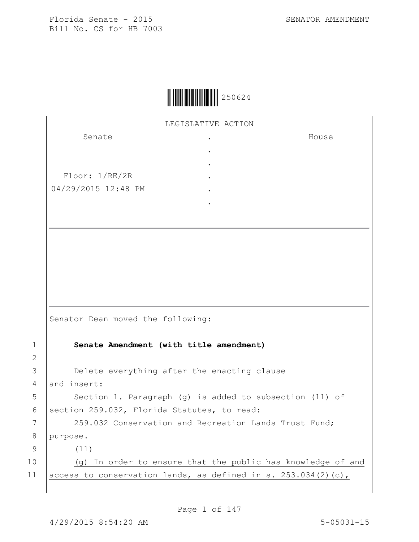House

Florida Senate - 2015 SENATOR AMENDMENT Bill No. CS for HB 7003

|  | 250624 |
|--|--------|
|--|--------|

LEGISLATIVE ACTION .

> . . . . .

Senate

Floor: 1/RE/2R 04/29/2015 12:48 PM

Senator Dean moved the following:

1 **Senate Amendment (with title amendment)**

3 **Delete everything after the enacting clause** 4 and insert:

5 | Section 1. Paragraph (g) is added to subsection (11) of 6 | section 259.032, Florida Statutes, to read:

7 | 259.032 Conservation and Recreation Lands Trust Fund; 8 purpose.—

9 (11)

2

10 (g) In order to ensure that the public has knowledge of and 11 access to conservation lands, as defined in s. 253.034(2)(c),

Page 1 of 147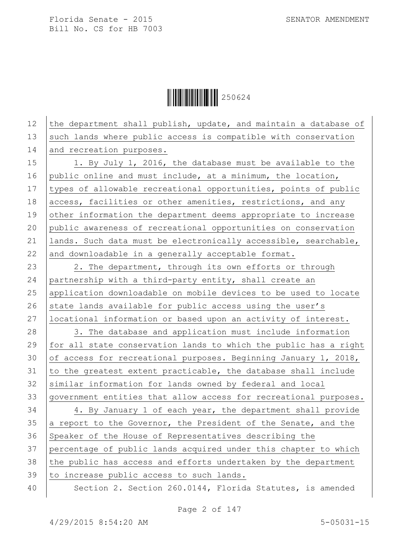Ì250624ÆÎ250624

| 12 | the department shall publish, update, and maintain a database of |
|----|------------------------------------------------------------------|
| 13 | such lands where public access is compatible with conservation   |
| 14 | and recreation purposes.                                         |
| 15 | 1. By July 1, 2016, the database must be available to the        |
| 16 | public online and must include, at a minimum, the location,      |
| 17 | types of allowable recreational opportunities, points of public  |
| 18 | access, facilities or other amenities, restrictions, and any     |
| 19 | other information the department deems appropriate to increase   |
| 20 | public awareness of recreational opportunities on conservation   |
| 21 | lands. Such data must be electronically accessible, searchable,  |
| 22 | and downloadable in a generally acceptable format.               |
| 23 | 2. The department, through its own efforts or through            |
| 24 | partnership with a third-party entity, shall create an           |
| 25 | application downloadable on mobile devices to be used to locate  |
| 26 | state lands available for public access using the user's         |
| 27 | locational information or based upon an activity of interest.    |
| 28 | 3. The database and application must include information         |
| 29 | for all state conservation lands to which the public has a right |
| 30 | of access for recreational purposes. Beginning January 1, 2018,  |
| 31 | to the greatest extent practicable, the database shall include   |
| 32 | similar information for lands owned by federal and local         |
| 33 | government entities that allow access for recreational purposes. |
| 34 | 4. By January 1 of each year, the department shall provide       |
| 35 | a report to the Governor, the President of the Senate, and the   |
| 36 | Speaker of the House of Representatives describing the           |
| 37 | percentage of public lands acquired under this chapter to which  |
| 38 | the public has access and efforts undertaken by the department   |
| 39 | to increase public access to such lands.                         |
| 40 | Section 2. Section 260.0144, Florida Statutes, is amended        |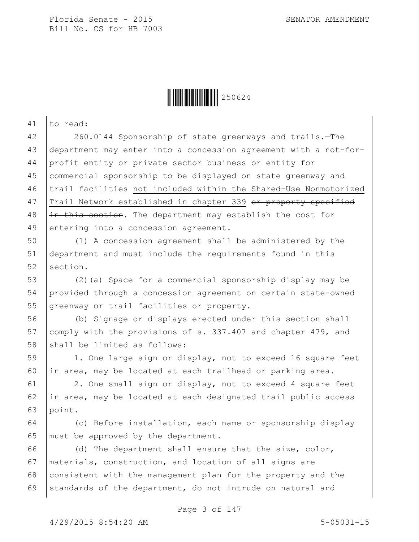

41 to read: 42 260.0144 Sponsorship of state greenways and trails.—The 43 department may enter into a concession agreement with a not-for-44 profit entity or private sector business or entity for 45 commercial sponsorship to be displayed on state greenway and 46 trail facilities not included within the Shared-Use Nonmotorized 47 Trail Network established in chapter 339 or property specified  $48$  |in this section. The department may establish the cost for 49 entering into a concession agreement.

50 (1) A concession agreement shall be administered by the 51 department and must include the requirements found in this 52 section.

53 (2)(a) Space for a commercial sponsorship display may be 54 provided through a concession agreement on certain state-owned 55 greenway or trail facilities or property.

56 (b) Signage or displays erected under this section shall 57 comply with the provisions of s. 337.407 and chapter 479, and 58 shall be limited as follows:

59 | 1. One large sign or display, not to exceed 16 square feet 60 in area, may be located at each trailhead or parking area.

61 2. One small sign or display, not to exceed 4 square feet 62 in area, may be located at each designated trail public access 63 point.

64 (c) Before installation, each name or sponsorship display 65 | must be approved by the department.

66 (d) The department shall ensure that the size, color, 67 materials, construction, and location of all signs are 68 consistent with the management plan for the property and the 69 standards of the department, do not intrude on natural and

Page 3 of 147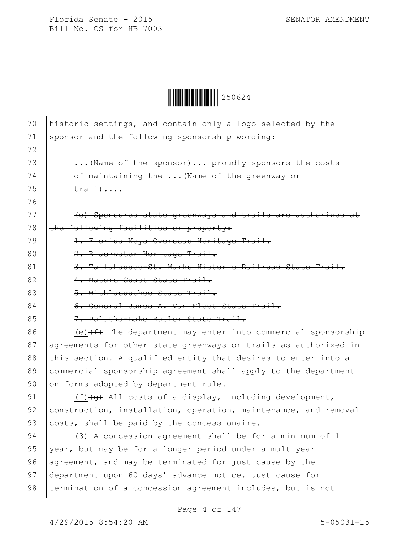

| 70 | historic settings, and contain only a logo selected by the           |
|----|----------------------------------------------------------------------|
| 71 | sponsor and the following sponsorship wording:                       |
| 72 |                                                                      |
| 73 | (Name of the sponsor) proudly sponsors the costs                     |
| 74 | of maintaining the  (Name of the greenway or                         |
| 75 | $train) \ldots$ .                                                    |
| 76 |                                                                      |
| 77 | (e) Sponsored state greenways and trails are authorized at           |
| 78 | the following facilities or property:                                |
| 79 | 1. Florida Keys Overseas Heritage Trail.                             |
| 80 | 2. Blackwater Heritage Trail.                                        |
| 81 | 3. Tallahassee-St. Marks Historic Railroad State                     |
| 82 | 4. Nature Coast State Trail.                                         |
| 83 | 5. Withlacoochee State Trail.                                        |
| 84 | 6. General James A. Van Fleet State Trail.                           |
| 85 | 7. Palatka-Lake Butler State Trail.                                  |
| 86 | (e) $(f)$ The department may enter into commercial sponsorship       |
| 87 | agreements for other state greenways or trails as authorized in      |
| 88 | this section. A qualified entity that desires to enter into a        |
| 89 | commercial sponsorship agreement shall apply to the department       |
| 90 | on forms adopted by department rule.                                 |
| 91 | $(f)$ $\overline{+g}$ All costs of a display, including development, |
| 92 | construction, installation, operation, maintenance, and removal      |
| 93 | costs, shall be paid by the concessionaire.                          |
| 94 | (3) A concession agreement shall be for a minimum of 1               |
| 95 | year, but may be for a longer period under a multiyear               |
| 96 | agreement, and may be terminated for just cause by the               |
| 97 | department upon 60 days' advance notice. Just cause for              |
| 98 | termination of a concession agreement includes, but is not           |
|    |                                                                      |

Page 4 of 147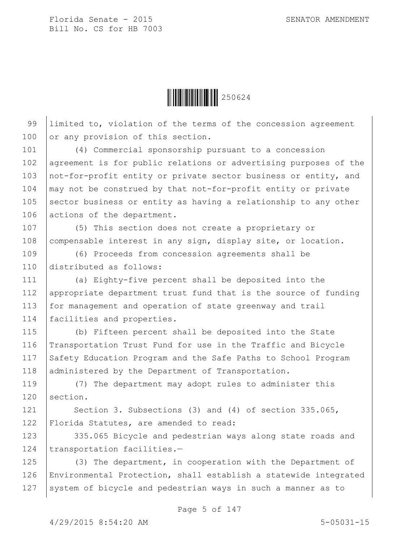

99 Ilimited to, violation of the terms of the concession agreement 100 or any provision of this section.

101 (4) Commercial sponsorship pursuant to a concession 102 agreement is for public relations or advertising purposes of the 103 not-for-profit entity or private sector business or entity, and  $104$   $\mid$  may not be construed by that not-for-profit entity or private 105 sector business or entity as having a relationship to any other 106 actions of the department.

107 (5) This section does not create a proprietary or 108 compensable interest in any sign, display site, or location.

109 (6) Proceeds from concession agreements shall be 110 distributed as follows:

111 (a) Eighty-five percent shall be deposited into the 112 appropriate department trust fund that is the source of funding 113 for management and operation of state greenway and trail 114 | facilities and properties.

115 (b) Fifteen percent shall be deposited into the State 116 Transportation Trust Fund for use in the Traffic and Bicycle 117 Safety Education Program and the Safe Paths to School Program 118 administered by the Department of Transportation.

119 (7) The department may adopt rules to administer this 120 section.

121 | Section 3. Subsections (3) and (4) of section 335.065, 122 Florida Statutes, are amended to read:

123 335.065 Bicycle and pedestrian ways along state roads and 124 transportation facilities.-

125 (3) The department, in cooperation with the Department of 126 Environmental Protection, shall establish a statewide integrated 127 System of bicycle and pedestrian ways in such a manner as to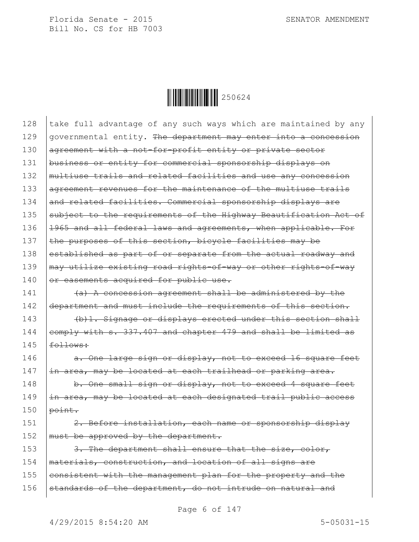

| 128 | take full advantage of any such ways which are maintained by any |
|-----|------------------------------------------------------------------|
| 129 | governmental entity. The department may enter into a concession  |
| 130 | agreement with a not-for-profit entity or private sector         |
| 131 | business or entity for commercial sponsorship displays on        |
| 132 | multiuse trails and related facilities and use any concession    |
| 133 | agreement revenues for the maintenance of the multiuse trails    |
| 134 | and related facilities. Commercial sponsorship displays are      |
| 135 | subject to the requirements of the Highway Beautification Act of |
| 136 | 1965 and all federal laws and agreements, when applicable. For   |
| 137 | the purposes of this section, bicycle facilities may be          |
| 138 | established as part of or separate from the actual roadway and   |
| 139 | may utilize existing road rights-of-way or other rights-of-way   |
| 140 | or easements acquired for public use.                            |
| 141 | (a) A concession agreement shall be administered by the          |
| 142 | department and must include the requirements of this section.    |
| 143 | (b) 1. Signage or displays erected under this section shall      |
| 144 | comply with s. 337.407 and chapter 479 and shall be limited as   |
| 145 | follows:                                                         |
| 146 | a. One large sign or display, not to exceed 16 square feet       |
| 147 | in area, may be located at each trailhead or parking area.       |
| 148 | b. One small sign or display, not to exceed 4 square feet        |
| 149 | in area, may be located at each designated trail public access   |
| 150 | point.                                                           |
| 151 | 2. Before installation, each name or sponsorship display         |
| 152 | must be approved by the department.                              |
| 153 | 3. The department shall ensure that the size, color,             |
| 154 | materials, construction, and location of all signs are           |
| 155 | consistent with the management plan for the property and the     |
| 156 | standards of the department, do not intrude on natural and       |
|     |                                                                  |

Page 6 of 147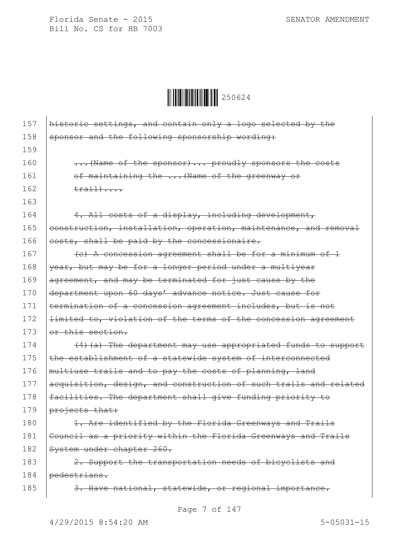

| 157 | historic settings, and contain only a logo selected by the       |
|-----|------------------------------------------------------------------|
| 158 | sponsor and the following sponsorship wording:                   |
| 159 |                                                                  |
|     |                                                                  |
| 160 | (Name of the sponsor)  proudly sponsors the costs                |
| 161 | of maintaining the  (Name of the greenway or                     |
| 162 | $\text{train}$                                                   |
| 163 |                                                                  |
| 164 | 4. All costs of a display, including development,                |
| 165 | construction, installation, operation, maintenance, and removal  |
| 166 | costs, shall be paid by the concessionaire.                      |
| 167 | (c) A concession agreement shall be for a minimum of 1           |
| 168 | year, but may be for a longer period under a multiyear           |
| 169 | agreement, and may be terminated for just cause by the           |
| 170 | department upon 60 days' advance notice. Just cause for          |
| 171 | termination of a concession agreement includes, but is not       |
| 172 | limited to, violation of the terms of the concession agreement   |
| 173 | or this section.                                                 |
| 174 | (4) (a) The department may use appropriated funds to support     |
| 175 | the establishment of a statewide system of interconnected        |
| 176 | multiuse trails and to pay the costs of planning, land           |
| 177 | acquisition, design, and construction of such trails and related |
| 178 | facilities. The department shall give funding priority to        |
| 179 | projects that:                                                   |
| 180 | 1. Are identified by the Florida Greenways and Trails            |
| 181 | Council as a priority within the Florida Greenways and Trails    |
| 182 | System under chapter 260.                                        |
| 183 | 2. Support the transportation needs of bicyclists and            |
| 184 | pedestrians.                                                     |
| 185 | 3. Have national, statewide, or regional importance.             |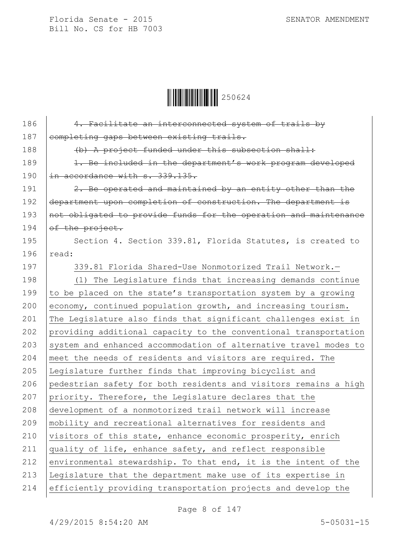$\begin{array}{|c|c|c|c|}\hline \multicolumn{1}{|c|}{\textbf{1}}&250624\ \hline \multicolumn{1}{|c|}{\textbf{2}}&50624\ \hline \end{array}$ 

| 186 | 4. Facilitate an interconnected system of trails by              |
|-----|------------------------------------------------------------------|
| 187 | completing gaps between existing trails.                         |
| 188 | (b) A project funded under this subsection shall:                |
| 189 | 1. Be included in the department's work program developed        |
| 190 | in accordance with s. 339.135.                                   |
| 191 | 2. Be operated and maintained by an entity other than the        |
| 192 | department upon completion of construction. The department is    |
| 193 | not obligated to provide funds for the operation and maintenance |
| 194 | of the project.                                                  |
| 195 | Section 4. Section 339.81, Florida Statutes, is created to       |
| 196 | read:                                                            |
| 197 | 339.81 Florida Shared-Use Nonmotorized Trail Network.-           |
| 198 | (1) The Legislature finds that increasing demands continue       |
| 199 | to be placed on the state's transportation system by a growing   |
| 200 | economy, continued population growth, and increasing tourism.    |
| 201 | The Legislature also finds that significant challenges exist in  |
| 202 | providing additional capacity to the conventional transportation |
| 203 | system and enhanced accommodation of alternative travel modes to |
| 204 | meet the needs of residents and visitors are required. The       |
| 205 | Legislature further finds that improving bicyclist and           |
| 206 | pedestrian safety for both residents and visitors remains a high |
| 207 | priority. Therefore, the Legislature declares that the           |
| 208 | development of a nonmotorized trail network will increase        |
| 209 | mobility and recreational alternatives for residents and         |
| 210 | visitors of this state, enhance economic prosperity, enrich      |
| 211 | quality of life, enhance safety, and reflect responsible         |
| 212 | environmental stewardship. To that end, it is the intent of the  |
| 213 | Legislature that the department make use of its expertise in     |
| 214 | efficiently providing transportation projects and develop the    |
|     |                                                                  |

Page 8 of 147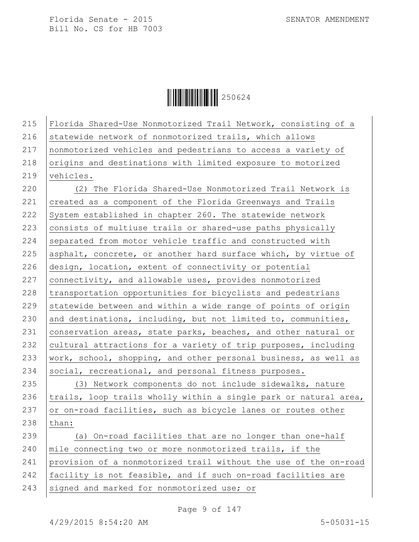$\|$  $\|$  $\|$  $\|$  $\|$  $\|$  $250624$ 

215 Florida Shared-Use Nonmotorized Trail Network, consisting of a 216 statewide network of nonmotorized trails, which allows 217 nonmotorized vehicles and pedestrians to access a variety of 218 origins and destinations with limited exposure to motorized 219 vehicles. 220 (2) The Florida Shared-Use Nonmotorized Trail Network is 221 created as a component of the Florida Greenways and Trails 222 System established in chapter 260. The statewide network 223 consists of multiuse trails or shared-use paths physically  $224$  separated from motor vehicle traffic and constructed with 225 asphalt, concrete, or another hard surface which, by virtue of 226 design, location, extent of connectivity or potential 227 connectivity, and allowable uses, provides nonmotorized 228 transportation opportunities for bicyclists and pedestrians  $229$  statewide between and within a wide range of points of origin 230 and destinations, including, but not limited to, communities, 231  $|conservation areas, state parks, beads, and other natural or$ 232 cultural attractions for a variety of trip purposes, including 233 | work, school, shopping, and other personal business, as well as 234 social, recreational, and personal fitness purposes. 235 (3) Network components do not include sidewalks, nature 236  $|$ trails, loop trails wholly within a single park or natural area, 237  $\sigma$  or on-road facilities, such as bicycle lanes or routes other 238 than: 239 (a) On-road facilities that are no longer than one-half 240 mile connecting two or more nonmotorized trails, if the 241 provision of a nonmotorized trail without the use of the on-road 242 facility is not feasible, and if such on-road facilities are 243 signed and marked for nonmotorized use; or

Page 9 of 147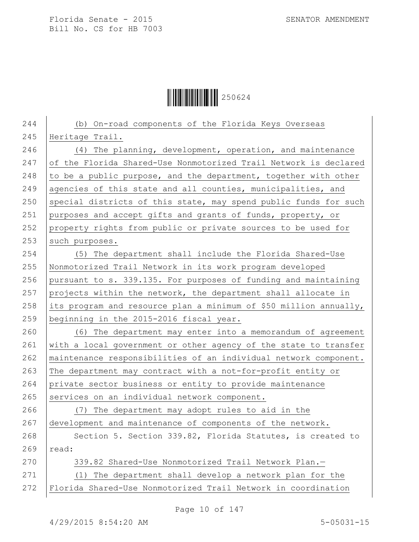$\begin{array}{|c|c|c|c|c|}\hline \multicolumn{1}{|c|}{\textbf{||}}{\textbf{||}}{\textbf{||}}{\textbf{||}}{\textbf{||}}{\textbf{||}}{\textbf{||}}{\textbf{||}}{\textbf{||}}{\textbf{||}}{\textbf{||}}{\textbf{||}}{\textbf{||}}{\textbf{||}}{\textbf{||}}{\textbf{||}}{\textbf{||}}{\textbf{||}}{\textbf{||}}{\textbf{||}}{\textbf{||}}{\textbf{||}}{\textbf{||}}{\textbf{||}}{\textbf{||}}{\textbf{||}}{\textbf{||}}{\textbf{||}}{\textbf{||}}{\textbf{||}}{\textbf{||}}{\textbf{$ 

| 244 | (b) On-road components of the Florida Keys Overseas               |
|-----|-------------------------------------------------------------------|
| 245 | Heritage Trail.                                                   |
| 246 | (4) The planning, development, operation, and maintenance         |
| 247 | of the Florida Shared-Use Nonmotorized Trail Network is declared  |
| 248 | to be a public purpose, and the department, together with other   |
| 249 | agencies of this state and all counties, municipalities, and      |
| 250 | special districts of this state, may spend public funds for such  |
| 251 | purposes and accept gifts and grants of funds, property, or       |
| 252 | property rights from public or private sources to be used for     |
| 253 | such purposes.                                                    |
| 254 | (5) The department shall include the Florida Shared-Use           |
| 255 | Nonmotorized Trail Network in its work program developed          |
| 256 | pursuant to s. 339.135. For purposes of funding and maintaining   |
| 257 | projects within the network, the department shall allocate in     |
| 258 | its program and resource plan a minimum of \$50 million annually, |
| 259 | beginning in the 2015-2016 fiscal year.                           |
| 260 | (6) The department may enter into a memorandum of agreement       |
| 261 | with a local government or other agency of the state to transfer  |
| 262 | maintenance responsibilities of an individual network component.  |
| 263 | The department may contract with a not-for-profit entity or       |
| 264 | private sector business or entity to provide maintenance          |
| 265 | services on an individual network component.                      |
| 266 | (7) The department may adopt rules to aid in the                  |
| 267 | development and maintenance of components of the network.         |
| 268 | Section 5. Section 339.82, Florida Statutes, is created to        |
| 269 | read:                                                             |
| 270 | 339.82 Shared-Use Nonmotorized Trail Network Plan.-               |
| 271 | The department shall develop a network plan for the<br>(1)        |
| 272 | Florida Shared-Use Nonmotorized Trail Network in coordination     |

Page 10 of 147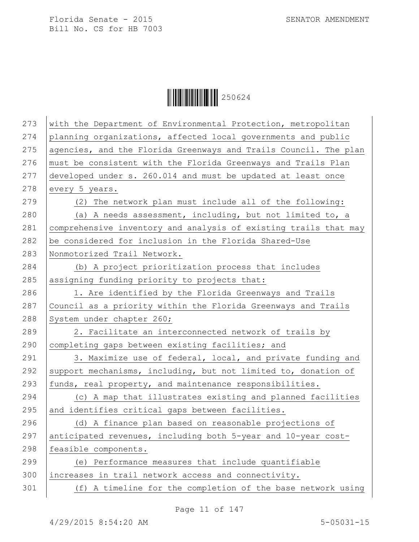$\begin{array}{|c|c|c|c|c|}\hline \multicolumn{1}{|c|}{\textbf{||}}{\textbf{||}}{\textbf{||}}{\textbf{||}}{\textbf{||}}{\textbf{||}}{\textbf{||}}{\textbf{||}}{\textbf{||}}{\textbf{||}}{\textbf{||}}{\textbf{||}}{\textbf{||}}{\textbf{||}}{\textbf{||}}{\textbf{||}}{\textbf{||}}{\textbf{||}}{\textbf{||}}{\textbf{||}}{\textbf{||}}{\textbf{||}}{\textbf{||}}{\textbf{||}}{\textbf{||}}{\textbf{||}}{\textbf{||}}{\textbf{||}}{\textbf{||}}{\textbf{||}}{\textbf{||}}{\textbf{$ 

| 273 | with the Department of Environmental Protection, metropolitan    |
|-----|------------------------------------------------------------------|
| 274 | planning organizations, affected local governments and public    |
| 275 | agencies, and the Florida Greenways and Trails Council. The plan |
| 276 | must be consistent with the Florida Greenways and Trails Plan    |
| 277 | developed under s. 260.014 and must be updated at least once     |
| 278 | every 5 years.                                                   |
| 279 | (2) The network plan must include all of the following:          |
| 280 | (a) A needs assessment, including, but not limited to, a         |
| 281 | comprehensive inventory and analysis of existing trails that may |
| 282 | be considered for inclusion in the Florida Shared-Use            |
| 283 | Nonmotorized Trail Network.                                      |
| 284 | (b) A project prioritization process that includes               |
| 285 | assigning funding priority to projects that:                     |
| 286 | 1. Are identified by the Florida Greenways and Trails            |
| 287 | Council as a priority within the Florida Greenways and Trails    |
| 288 | System under chapter 260;                                        |
| 289 | 2. Facilitate an interconnected network of trails by             |
| 290 | completing gaps between existing facilities; and                 |
| 291 | 3. Maximize use of federal, local, and private funding and       |
| 292 | support mechanisms, including, but not limited to, donation of   |
| 293 | funds, real property, and maintenance responsibilities.          |
| 294 | (c) A map that illustrates existing and planned facilities       |
| 295 | and identifies critical gaps between facilities.                 |
| 296 | (d) A finance plan based on reasonable projections of            |
| 297 | anticipated revenues, including both 5-year and 10-year cost-    |
| 298 | feasible components.                                             |
| 299 | (e) Performance measures that include quantifiable               |
| 300 | increases in trail network access and connectivity.              |
| 301 | (f) A timeline for the completion of the base network using      |
|     |                                                                  |

Page 11 of 147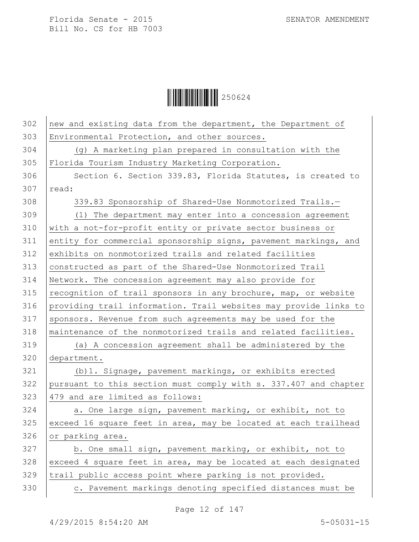$\begin{array}{|c|c|c|c|c|}\hline \multicolumn{1}{|c|}{\textbf{||}}{\textbf{||}}{\textbf{||}}{\textbf{||}}{\textbf{||}}{\textbf{||}}{\textbf{||}}{\textbf{||}}{\textbf{||}}{\textbf{||}}{\textbf{||}}{\textbf{||}}{\textbf{||}}{\textbf{||}}{\textbf{||}}{\textbf{||}}{\textbf{||}}{\textbf{||}}{\textbf{||}}{\textbf{||}}{\textbf{||}}{\textbf{||}}{\textbf{||}}{\textbf{||}}{\textbf{||}}{\textbf{||}}{\textbf{||}}{\textbf{||}}{\textbf{||}}{\textbf{||}}{\textbf{||}}{\textbf{$ 

| 302 | new and existing data from the department, the Department of     |
|-----|------------------------------------------------------------------|
| 303 | Environmental Protection, and other sources.                     |
| 304 | (g) A marketing plan prepared in consultation with the           |
| 305 | Florida Tourism Industry Marketing Corporation.                  |
| 306 | Section 6. Section 339.83, Florida Statutes, is created to       |
| 307 | read:                                                            |
| 308 | 339.83 Sponsorship of Shared-Use Nonmotorized Trails.-           |
| 309 | (1) The department may enter into a concession agreement         |
| 310 | with a not-for-profit entity or private sector business or       |
| 311 | entity for commercial sponsorship signs, pavement markings, and  |
| 312 | exhibits on nonmotorized trails and related facilities           |
| 313 | constructed as part of the Shared-Use Nonmotorized Trail         |
| 314 | Network. The concession agreement may also provide for           |
| 315 | recognition of trail sponsors in any brochure, map, or website   |
| 316 | providing trail information. Trail websites may provide links to |
| 317 | sponsors. Revenue from such agreements may be used for the       |
| 318 | maintenance of the nonmotorized trails and related facilities.   |
| 319 | (a) A concession agreement shall be administered by the          |
| 320 | department.                                                      |
| 321 | (b) 1. Signage, pavement markings, or exhibits erected           |
| 322 | pursuant to this section must comply with s. 337.407 and chapter |
| 323 | 479 and are limited as follows:                                  |
| 324 | a. One large sign, pavement marking, or exhibit, not to          |
| 325 | exceed 16 square feet in area, may be located at each trailhead  |
| 326 | or parking area.                                                 |
| 327 | b. One small sign, pavement marking, or exhibit, not to          |
| 328 | exceed 4 square feet in area, may be located at each designated  |
| 329 | trail public access point where parking is not provided.         |
| 330 | c. Pavement markings denoting specified distances must be        |

Page 12 of 147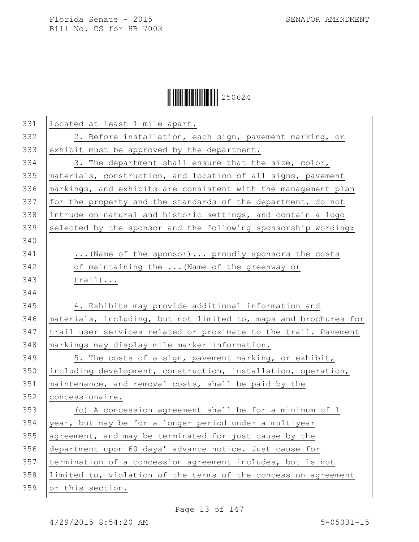## $\begin{array}{|c|c|c|c|c|}\hline \multicolumn{1}{|c|}{\textbf{||}}{\textbf{||}}{\textbf{||}}{\textbf{||}}{\textbf{||}}{\textbf{||}}{\textbf{||}}{\textbf{||}}{\textbf{||}}{\textbf{||}}{\textbf{||}}{\textbf{||}}{\textbf{||}}{\textbf{||}}{\textbf{||}}{\textbf{||}}{\textbf{||}}{\textbf{||}}{\textbf{||}}{\textbf{||}}{\textbf{||}}{\textbf{||}}{\textbf{||}}{\textbf{||}}{\textbf{||}}{\textbf{||}}{\textbf{||}}{\textbf{||}}{\textbf{||}}{\textbf{||}}{\textbf{||}}{\textbf{$

| 331 | located at least 1 mile apart.                                   |
|-----|------------------------------------------------------------------|
| 332 | 2. Before installation, each sign, pavement marking, or          |
| 333 | exhibit must be approved by the department.                      |
| 334 | 3. The department shall ensure that the size, color,             |
| 335 | materials, construction, and location of all signs, pavement     |
| 336 | markings, and exhibits are consistent with the management plan   |
| 337 | for the property and the standards of the department, do not     |
| 338 | intrude on natural and historic settings, and contain a logo     |
| 339 | selected by the sponsor and the following sponsorship wording:   |
| 340 |                                                                  |
| 341 | (Name of the sponsor)  proudly sponsors the costs                |
| 342 | of maintaining the  (Name of the greenway or                     |
| 343 | $train)$                                                         |
| 344 |                                                                  |
| 345 | 4. Exhibits may provide additional information and               |
| 346 | materials, including, but not limited to, maps and brochures for |
| 347 | trail user services related or proximate to the trail. Pavement  |
| 348 | markings may display mile marker information.                    |
| 349 | 5. The costs of a sign, pavement marking, or exhibit,            |
| 350 | including development, construction, installation, operation,    |
| 351 | maintenance, and removal costs, shall be paid by the             |
| 352 | concessionaire.                                                  |
| 353 | (c) A concession agreement shall be for a minimum of 1           |
| 354 | year, but may be for a longer period under a multiyear           |
| 355 | agreement, and may be terminated for just cause by the           |
| 356 | department upon 60 days' advance notice. Just cause for          |
| 357 | termination of a concession agreement includes, but is not       |
| 358 | limited to, violation of the terms of the concession agreement   |
| 359 | or this section.                                                 |
|     |                                                                  |

Page 13 of 147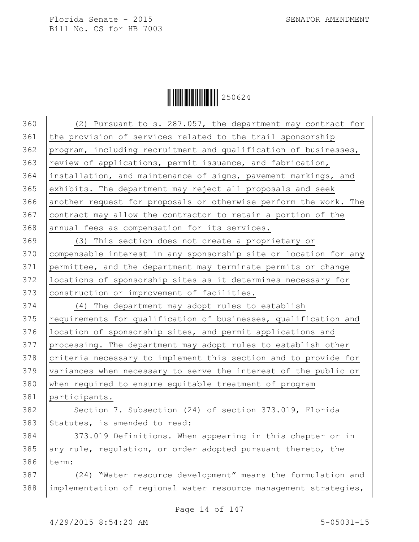$\begin{array}{|c|c|c|c|}\hline \multicolumn{1}{|c|}{\textbf{1}}&250624\ \hline \multicolumn{1}{|c|}{\textbf{2}}&50624\ \hline \end{array}$ 

| 360 | (2) Pursuant to s. 287.057, the department may contract for      |
|-----|------------------------------------------------------------------|
| 361 | the provision of services related to the trail sponsorship       |
| 362 | program, including recruitment and qualification of businesses,  |
| 363 | review of applications, permit issuance, and fabrication,        |
| 364 | installation, and maintenance of signs, pavement markings, and   |
| 365 | exhibits. The department may reject all proposals and seek       |
| 366 | another request for proposals or otherwise perform the work. The |
| 367 | contract may allow the contractor to retain a portion of the     |
| 368 | annual fees as compensation for its services.                    |
| 369 | (3) This section does not create a proprietary or                |
| 370 | compensable interest in any sponsorship site or location for any |
| 371 | permittee, and the department may terminate permits or change    |
| 372 | locations of sponsorship sites as it determines necessary for    |
| 373 | construction or improvement of facilities.                       |
| 374 | (4) The department may adopt rules to establish                  |
| 375 | requirements for qualification of businesses, qualification and  |
| 376 | location of sponsorship sites, and permit applications and       |
| 377 | processing. The department may adopt rules to establish other    |
| 378 | criteria necessary to implement this section and to provide for  |
| 379 | variances when necessary to serve the interest of the public or  |
| 380 | when required to ensure equitable treatment of program           |
| 381 | participants.                                                    |
| 382 | Section 7. Subsection (24) of section 373.019, Florida           |
| 383 | Statutes, is amended to read:                                    |
| 384 | 373.019 Definitions. When appearing in this chapter or in        |
| 385 | any rule, regulation, or order adopted pursuant thereto, the     |
| 386 | term:                                                            |
| 387 | (24) "Water resource development" means the formulation and      |
| 388 | implementation of regional water resource management strategies, |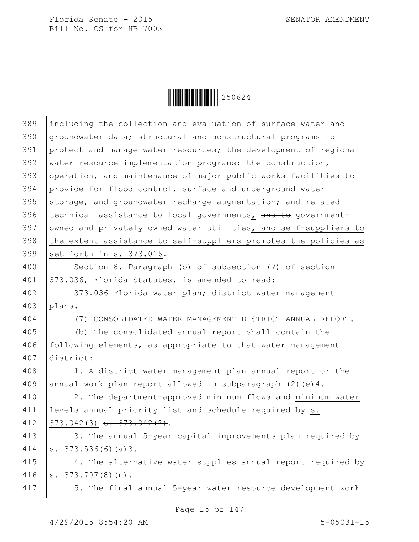

| 389 | including the collection and evaluation of surface water and     |
|-----|------------------------------------------------------------------|
| 390 | groundwater data; structural and nonstructural programs to       |
| 391 | protect and manage water resources; the development of regional  |
| 392 | water resource implementation programs; the construction,        |
| 393 | operation, and maintenance of major public works facilities to   |
| 394 | provide for flood control, surface and underground water         |
| 395 | storage, and groundwater recharge augmentation; and related      |
| 396 | technical assistance to local governments, and to government-    |
| 397 | owned and privately owned water utilities, and self-suppliers to |
| 398 | the extent assistance to self-suppliers promotes the policies as |
| 399 | set forth in s. 373.016.                                         |
| 400 | Section 8. Paragraph (b) of subsection (7) of section            |
| 401 | 373.036, Florida Statutes, is amended to read:                   |
| 402 | 373.036 Florida water plan; district water management            |
| 403 | plans.-                                                          |
| 404 | (7) CONSOLIDATED WATER MANAGEMENT DISTRICT ANNUAL REPORT.-       |
| 405 | (b) The consolidated annual report shall contain the             |
| 406 | following elements, as appropriate to that water management      |
| 407 | district:                                                        |
| 408 | 1. A district water management plan annual report or the         |
| 409 | annual work plan report allowed in subparagraph $(2)$ (e) 4.     |
| 410 | 2. The department-approved minimum flows and minimum water       |
| 411 | levels annual priority list and schedule required by s.          |
| 412 | $373.042(3)$ s. $373.042(2)$ .                                   |
| 413 | 3. The annual 5-year capital improvements plan required by       |
| 414 | s. $373.536(6)(a)3$ .                                            |
| 415 | 4. The alternative water supplies annual report required by      |
| 416 | $s. 373.707(8)(n)$ .                                             |
| 417 | 5. The final annual 5-year water resource development work       |
|     |                                                                  |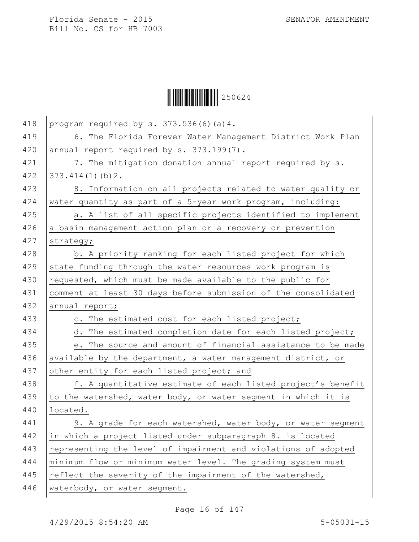

| 418 | program required by $s. 373.536(6)$ (a) 4.                     |
|-----|----------------------------------------------------------------|
| 419 | 6. The Florida Forever Water Management District Work Plan     |
| 420 | annual report required by s. 373.199(7).                       |
| 421 | 7. The mitigation donation annual report required by s.        |
| 422 | 373.414(1)(b)2.                                                |
| 423 | 8. Information on all projects related to water quality or     |
| 424 | water quantity as part of a 5-year work program, including:    |
| 425 | a. A list of all specific projects identified to implement     |
| 426 | a basin management action plan or a recovery or prevention     |
| 427 | strategy;                                                      |
| 428 | b. A priority ranking for each listed project for which        |
| 429 | state funding through the water resources work program is      |
| 430 | requested, which must be made available to the public for      |
| 431 | comment at least 30 days before submission of the consolidated |
| 432 | annual report;                                                 |
| 433 | c. The estimated cost for each listed project;                 |
| 434 | d. The estimated completion date for each listed project;      |
| 435 | e. The source and amount of financial assistance to be made    |
| 436 | available by the department, a water management district, or   |
| 437 | other entity for each listed project; and                      |
| 438 | f. A quantitative estimate of each listed project's benefit    |
| 439 | to the watershed, water body, or water segment in which it is  |
| 440 | located.                                                       |
| 441 | 9. A grade for each watershed, water body, or water segment    |
| 442 | in which a project listed under subparagraph 8. is located     |
| 443 | representing the level of impairment and violations of adopted |
| 444 | minimum flow or minimum water level. The grading system must   |
| 445 | reflect the severity of the impairment of the watershed,       |
| 446 | waterbody, or water segment.                                   |

Page 16 of 147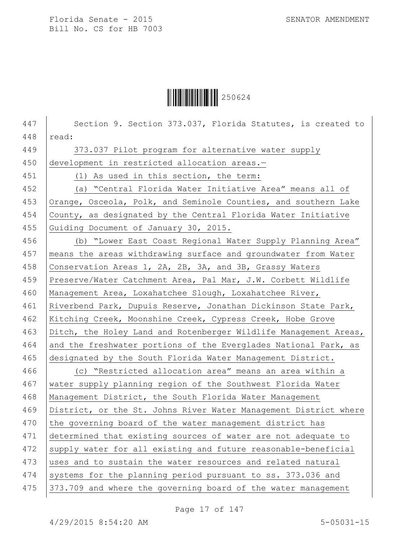

447 | Section 9. Section 373.037, Florida Statutes, is created to 448 read: 449 373.037 Pilot program for alternative water supply 450 development in restricted allocation areas.-451 (1) As used in this section, the term: 452 (a) "Central Florida Water Initiative Area" means all of 453 Orange, Osceola, Polk, and Seminole Counties, and southern Lake 454 County, as designated by the Central Florida Water Initiative 455 Guiding Document of January 30, 2015. 456 (b) "Lower East Coast Regional Water Supply Planning Area" 457 means the areas withdrawing surface and groundwater from Water 458 Conservation Areas 1, 2A, 2B, 3A, and 3B, Grassy Waters 459 Preserve/Water Catchment Area, Pal Mar, J.W. Corbett Wildlife 460 Management Area, Loxahatchee Slough, Loxahatchee River, 461 Riverbend Park, Dupuis Reserve, Jonathan Dickinson State Park, 462 Kitching Creek, Moonshine Creek, Cypress Creek, Hobe Grove 463 Ditch, the Holey Land and Rotenberger Wildlife Management Areas, 464 and the freshwater portions of the Everglades National Park, as 465 designated by the South Florida Water Management District. 466 (c) "Restricted allocation area" means an area within a 467 water supply planning region of the Southwest Florida Water 468 Management District, the South Florida Water Management 469 | District, or the St. Johns River Water Management District where 470 the governing board of the water management district has 471 determined that existing sources of water are not adequate to 472 supply water for all existing and future reasonable-beneficial 473 uses and to sustain the water resources and related natural 474 systems for the planning period pursuant to ss. 373.036 and 475 373.709 and where the governing board of the water management

Page 17 of 147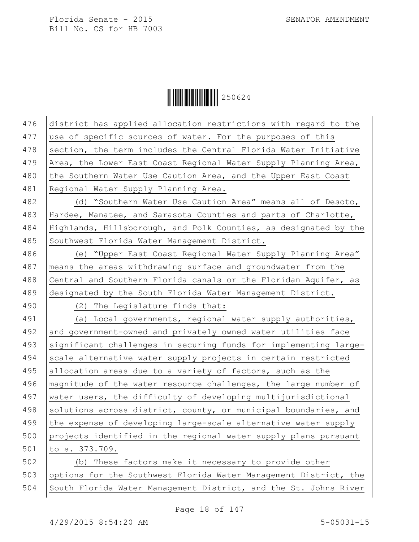Ì250624ÆÎ250624

| 476 | district has applied allocation restrictions with regard to the  |
|-----|------------------------------------------------------------------|
| 477 | use of specific sources of water. For the purposes of this       |
| 478 | section, the term includes the Central Florida Water Initiative  |
| 479 | Area, the Lower East Coast Regional Water Supply Planning Area,  |
| 480 | the Southern Water Use Caution Area, and the Upper East Coast    |
| 481 | Regional Water Supply Planning Area.                             |
| 482 | (d) "Southern Water Use Caution Area" means all of Desoto,       |
| 483 | Hardee, Manatee, and Sarasota Counties and parts of Charlotte,   |
| 484 | Highlands, Hillsborough, and Polk Counties, as designated by the |
| 485 | Southwest Florida Water Management District.                     |
| 486 | (e) "Upper East Coast Regional Water Supply Planning Area"       |
| 487 | means the areas withdrawing surface and groundwater from the     |
| 488 | Central and Southern Florida canals or the Floridan Aquifer, as  |
| 489 | designated by the South Florida Water Management District.       |
| 490 | (2) The Legislature finds that:                                  |
| 491 | (a) Local governments, regional water supply authorities,        |
| 492 | and government-owned and privately owned water utilities face    |
| 493 | significant challenges in securing funds for implementing large- |
| 494 | scale alternative water supply projects in certain restricted    |
| 495 | allocation areas due to a variety of factors, such as the        |
| 496 | magnitude of the water resource challenges, the large number of  |
| 497 | water users, the difficulty of developing multijurisdictional    |
| 498 | solutions across district, county, or municipal boundaries, and  |
| 499 | the expense of developing large-scale alternative water supply   |
| 500 | projects identified in the regional water supply plans pursuant  |
| 501 | to s. 373.709.                                                   |
| 502 | (b) These factors make it necessary to provide other             |
| 503 | options for the Southwest Florida Water Management District, the |
| 504 | South Florida Water Management District, and the St. Johns River |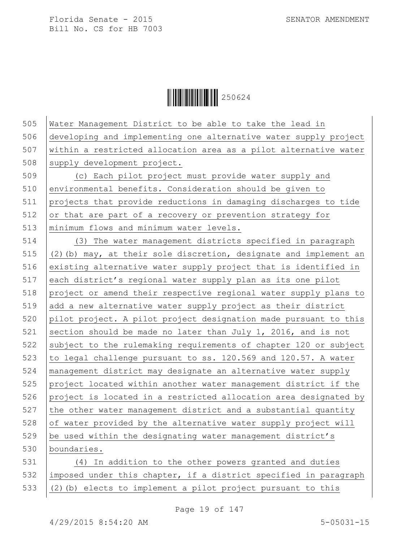$\begin{array}{|c|c|c|c|c|}\hline \multicolumn{1}{|c|}{\textbf{1}}&\multicolumn{1}{|c|}{\textbf{250624}}\ \hline \multicolumn{1}{|c|}{\textbf{250624}}\hline \end{array}$ 

| 505 | Water Management District to be able to take the lead in          |
|-----|-------------------------------------------------------------------|
| 506 | developing and implementing one alternative water supply project  |
| 507 | within a restricted allocation area as a pilot alternative water  |
| 508 | supply development project.                                       |
| 509 | (c) Each pilot project must provide water supply and              |
| 510 | environmental benefits. Consideration should be given to          |
| 511 | projects that provide reductions in damaging discharges to tide   |
| 512 | or that are part of a recovery or prevention strategy for         |
| 513 | minimum flows and minimum water levels.                           |
| 514 | (3) The water management districts specified in paragraph         |
| 515 | (2) (b) may, at their sole discretion, designate and implement an |
| 516 | existing alternative water supply project that is identified in   |
| 517 | each district's regional water supply plan as its one pilot       |
| 518 | project or amend their respective regional water supply plans to  |
| 519 | add a new alternative water supply project as their district      |
| 520 | pilot project. A pilot project designation made pursuant to this  |
| 521 | section should be made no later than July 1, 2016, and is not     |
| 522 | subject to the rulemaking requirements of chapter 120 or subject  |
| 523 | to legal challenge pursuant to ss. 120.569 and 120.57. A water    |
| 524 | management district may designate an alternative water supply     |
| 525 | project located within another water management district if the   |
| 526 | project is located in a restricted allocation area designated by  |
| 527 | the other water management district and a substantial quantity    |
| 528 | of water provided by the alternative water supply project will    |
| 529 | be used within the designating water management district's        |
| 530 | boundaries.                                                       |
| 531 | (4) In addition to the other powers granted and duties            |
| 532 | imposed under this chapter, if a district specified in paragraph  |
| 533 | (2) (b) elects to implement a pilot project pursuant to this      |
|     |                                                                   |

Page 19 of 147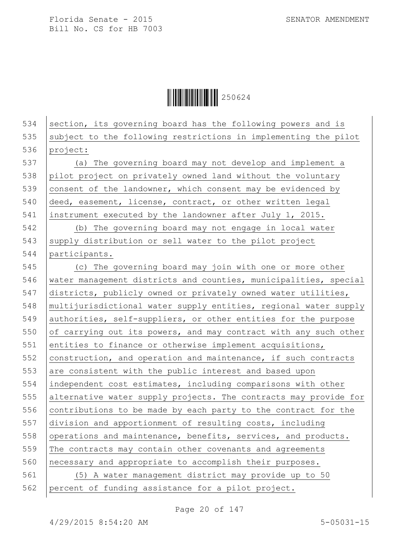$\|$  $\|$  $\|$  $\|$  $\|$  $\|$  $250624$ 

534 section, its governing board has the following powers and is subject to the following restrictions in implementing the pilot 536 project: (a) The governing board may not develop and implement a 538 pilot project on privately owned land without the voluntary consent of the landowner, which consent may be evidenced by 540 deed, easement, license, contract, or other written legal instrument executed by the landowner after July 1, 2015. (b) The governing board may not engage in local water supply distribution or sell water to the pilot project 544 | participants. (c) The governing board may join with one or more other water management districts and counties, municipalities, special districts, publicly owned or privately owned water utilities, multijurisdictional water supply entities, regional water supply 549 authorities, self-suppliers, or other entities for the purpose 550 of carrying out its powers, and may contract with any such other 551 entities to finance or otherwise implement acquisitions,  $|$  construction, and operation and maintenance, if such contracts 553 are consistent with the public interest and based upon independent cost estimates, including comparisons with other alternative water supply projects. The contracts may provide for 556 contributions to be made by each party to the contract for the division and apportionment of resulting costs, including 558 operations and maintenance, benefits, services, and products. The contracts may contain other covenants and agreements necessary and appropriate to accomplish their purposes. (5) A water management district may provide up to 50 percent of funding assistance for a pilot project.

Page 20 of 147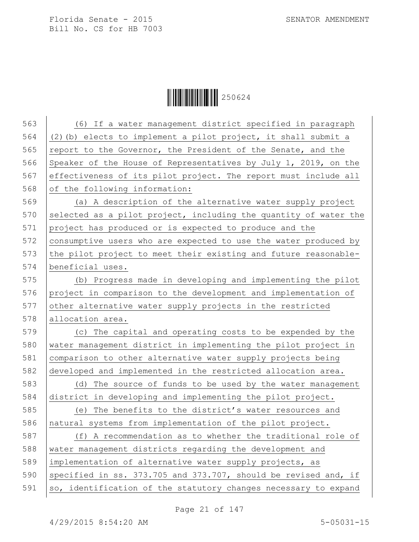$\begin{array}{|c|c|c|c|}\hline \multicolumn{1}{|c|}{\textbf{1}}&250624\ \hline \multicolumn{1}{|c|}{\textbf{2}}&50624\ \hline \end{array}$ 

| 563 | (6) If a water management district specified in paragraph        |
|-----|------------------------------------------------------------------|
| 564 | (2) (b) elects to implement a pilot project, it shall submit a   |
| 565 | report to the Governor, the President of the Senate, and the     |
| 566 | Speaker of the House of Representatives by July 1, 2019, on the  |
| 567 | effectiveness of its pilot project. The report must include all  |
| 568 | of the following information:                                    |
| 569 | (a) A description of the alternative water supply project        |
| 570 | selected as a pilot project, including the quantity of water the |
| 571 | project has produced or is expected to produce and the           |
| 572 | consumptive users who are expected to use the water produced by  |
| 573 | the pilot project to meet their existing and future reasonable-  |
| 574 | beneficial uses.                                                 |
| 575 | (b) Progress made in developing and implementing the pilot       |
| 576 | project in comparison to the development and implementation of   |
| 577 | other alternative water supply projects in the restricted        |
| 578 | allocation area.                                                 |
| 579 | (c) The capital and operating costs to be expended by the        |
| 580 | water management district in implementing the pilot project in   |
| 581 | comparison to other alternative water supply projects being      |
| 582 | developed and implemented in the restricted allocation area.     |
| 583 | (d) The source of funds to be used by the water management       |
| 584 | district in developing and implementing the pilot project.       |
| 585 | (e) The benefits to the district's water resources and           |
| 586 | natural systems from implementation of the pilot project.        |
| 587 | (f) A recommendation as to whether the traditional role of       |
| 588 | water management districts regarding the development and         |
| 589 | implementation of alternative water supply projects, as          |
| 590 | specified in ss. 373.705 and 373.707, should be revised and, if  |
| 591 | so, identification of the statutory changes necessary to expand  |
|     |                                                                  |

Page 21 of 147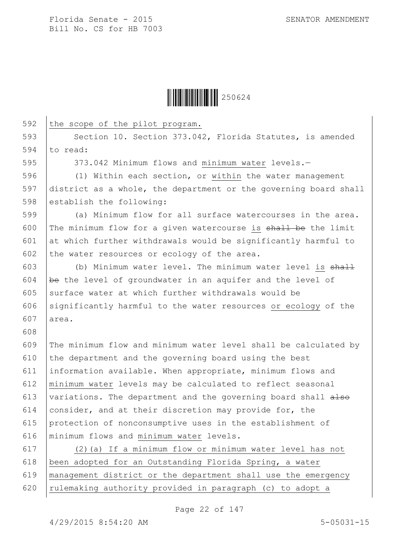

592 the scope of the pilot program. 593 Section 10. Section 373.042, Florida Statutes, is amended 594  $\vert$  to read: 595 373.042 Minimum flows and minimum water levels.-596 (1) Within each section, or within the water management 597 district as a whole, the department or the governing board shall 598 establish the following: 599 (a) Minimum flow for all surface watercourses in the area. 600 The minimum flow for a given watercourse is  $\frac{1}{2}$  be the limit 601  $\vert$  at which further withdrawals would be significantly harmful to 602 the water resources or ecology of the area. 603 (b) Minimum water level. The minimum water level is  $shall$ 604 be the level of groundwater in an aquifer and the level of 605 surface water at which further withdrawals would be 606 significantly harmful to the water resources or ecology of the 607 area. 608 609 The minimum flow and minimum water level shall be calculated by 610 the department and the governing board using the best 611 information available. When appropriate, minimum flows and 612 minimum water levels may be calculated to reflect seasonal 613 variations. The department and the governing board shall  $a \text{--}$ 614 consider, and at their discretion may provide for, the 615 protection of nonconsumptive uses in the establishment of 616 minimum flows and minimum water levels. 617 (2)(a) If a minimum flow or minimum water level has not 618 been adopted for an Outstanding Florida Spring, a water 619 management district or the department shall use the emergency 620 | rulemaking authority provided in paragraph (c) to adopt a

Page 22 of 147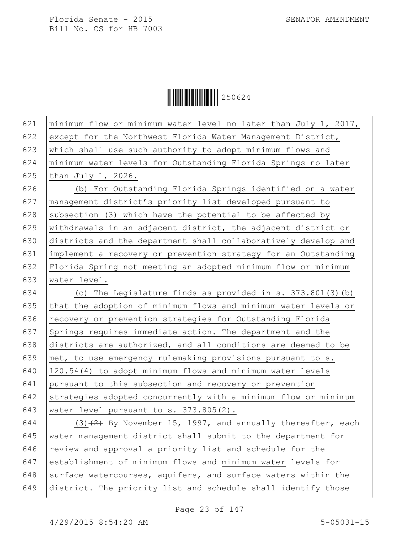$\mathbf{r}$ 

 $\|$  $\|$  $\|$  $\|$  $\|$  $\|$  $250624$ 

| 621                      | minimum flow or minimum water level no later than July 1, 2017,                                               |
|--------------------------|---------------------------------------------------------------------------------------------------------------|
| 622                      | except for the Northwest Florida Water Management District,                                                   |
| 623                      | which shall use such authority to adopt minimum flows and                                                     |
| 624                      | minimum water levels for Outstanding Florida Springs no later                                                 |
| 625                      | than July $1, 2026.$                                                                                          |
| 626                      | (b) For Outstanding Florida Springs identified on a water                                                     |
| 627                      | management district's priority list developed pursuant to                                                     |
| 628                      | subsection (3) which have the potential to be affected by                                                     |
| 629                      | withdrawals in an adjacent district, the adjacent district or                                                 |
| 630                      | districts and the department shall collaboratively develop and                                                |
| 631                      | implement a recovery or prevention strategy for an Outstanding                                                |
| 632                      | Florida Spring not meeting an adopted minimum flow or minimum                                                 |
| 633                      | water level.                                                                                                  |
| 634                      | (c) The Legislature finds as provided in s. $373.801(3)$ (b)                                                  |
| 635                      | that the adoption of minimum flows and minimum water levels or                                                |
| 636                      | recovery or prevention strategies for Outstanding Florida                                                     |
| 637                      | Springs requires immediate action. The department and the                                                     |
| 638                      | districts are authorized, and all conditions are deemed to be                                                 |
| 639                      | met, to use emergency rulemaking provisions pursuant to s.                                                    |
| 640                      | 120.54(4) to adopt minimum flows and minimum water levels                                                     |
| 641                      | pursuant to this subsection and recovery or prevention                                                        |
| 642                      | strategies adopted concurrently with a minimum flow or minimum                                                |
| 643                      | water level pursuant to s. 373.805(2).                                                                        |
| 644                      | $(3)$ $(2)$ By November 15, 1997, and annually thereafter, each                                               |
| $\bigcap_{n=1}^{\infty}$ | and the component component of the state of the first state of the state of the component of the state of the |

645 water management district shall submit to the department for  $646$  review and approval a priority list and schedule for the 647 establishment of minimum flows and minimum water levels for 648 surface watercourses, aquifers, and surface waters within the 649 district. The priority list and schedule shall identify those

Page 23 of 147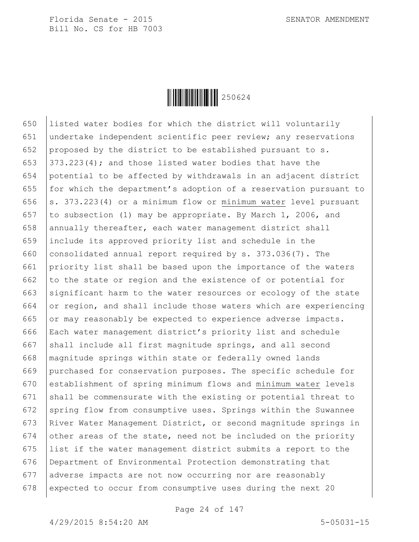

650 listed water bodies for which the district will voluntarily 651 undertake independent scientific peer review; any reservations 652 proposed by the district to be established pursuant to s. 653  $\vert$  373.223(4); and those listed water bodies that have the 654 potential to be affected by withdrawals in an adjacent district 655 for which the department's adoption of a reservation pursuant to 656  $\vert$  s. 373.223(4) or a minimum flow or minimum water level pursuant 657 to subsection (1) may be appropriate. By March 1, 2006, and 658 annually thereafter, each water management district shall 659 include its approved priority list and schedule in the 660 consolidated annual report required by  $s. 373.036(7)$ . The 661 priority list shall be based upon the importance of the waters 662 to the state or region and the existence of or potential for 663 significant harm to the water resources or ecology of the state 664 or region, and shall include those waters which are experiencing 665 or may reasonably be expected to experience adverse impacts. 666 Each water management district's priority list and schedule 667 shall include all first magnitude springs, and all second 668 magnitude springs within state or federally owned lands 669 purchased for conservation purposes. The specific schedule for 670 establishment of spring minimum flows and minimum water levels 671 shall be commensurate with the existing or potential threat to 672 spring flow from consumptive uses. Springs within the Suwannee 673 River Water Management District, or second magnitude springs in 674 other areas of the state, need not be included on the priority 675 list if the water management district submits a report to the 676 Department of Environmental Protection demonstrating that 677 adverse impacts are not now occurring nor are reasonably 678 expected to occur from consumptive uses during the next 20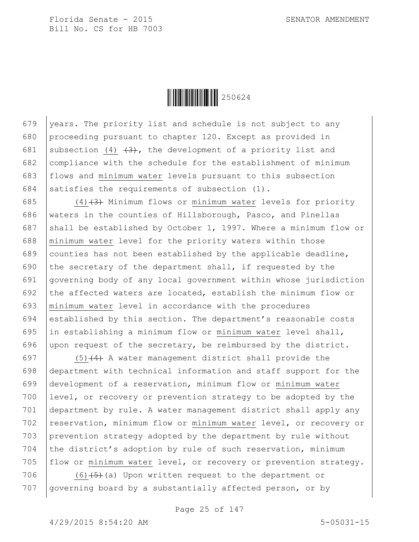

679 vears. The priority list and schedule is not subject to any 680 proceeding pursuant to chapter 120. Except as provided in 681 subsection (4)  $\left(3\right)$ , the development of a priority list and 682 compliance with the schedule for the establishment of minimum 683 flows and minimum water levels pursuant to this subsection 684 satisfies the requirements of subsection  $(1)$ .

685  $(4)$  (4)  $(3)$  Minimum flows or minimum water levels for priority 686 waters in the counties of Hillsborough, Pasco, and Pinellas 687 shall be established by October 1, 1997. Where a minimum flow or 688 minimum water level for the priority waters within those 689 counties has not been established by the applicable deadline, 690 the secretary of the department shall, if requested by the 691 governing body of any local government within whose jurisdiction 692 the affected waters are located, establish the minimum flow or 693 minimum water level in accordance with the procedures 694 established by this section. The department's reasonable costs 695  $\vert$  in establishing a minimum flow or minimum water level shall, 696 upon request of the secretary, be reimbursed by the district.

 $(5)$  (4) A water management district shall provide the department with technical information and staff support for the development of a reservation, minimum flow or minimum water level, or recovery or prevention strategy to be adopted by the department by rule. A water management district shall apply any 702 reservation, minimum flow or minimum water level, or recovery or prevention strategy adopted by the department by rule without 704 the district's adoption by rule of such reservation, minimum 705 flow or minimum water level, or recovery or prevention strategy.

706 (6) $(5)+(3)$  Upon written request to the department or 707 | governing board by a substantially affected person, or by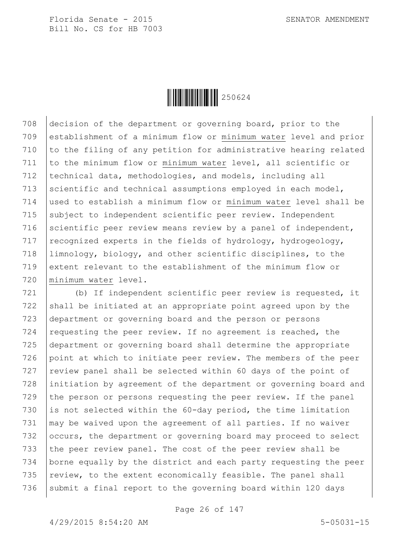

 decision of the department or governing board, prior to the establishment of a minimum flow or minimum water level and prior 710 to the filing of any petition for administrative hearing related to the minimum flow or minimum water level, all scientific or 712 | technical data, methodologies, and models, including all 713 scientific and technical assumptions employed in each model, used to establish a minimum flow or minimum water level shall be subject to independent scientific peer review. Independent 716 scientific peer review means review by a panel of independent, 717 recognized experts in the fields of hydrology, hydrogeology, limnology, biology, and other scientific disciplines, to the extent relevant to the establishment of the minimum flow or minimum water level.

721 (b) If independent scientific peer review is requested, it  $722$  shall be initiated at an appropriate point agreed upon by the 723 department or governing board and the person or persons 724 requesting the peer review. If no agreement is reached, the 725 department or governing board shall determine the appropriate 726 point at which to initiate peer review. The members of the peer  $727$  review panel shall be selected within 60 days of the point of 728 initiation by agreement of the department or governing board and 729 the person or persons requesting the peer review. If the panel 730 is not selected within the  $60$ -day period, the time limitation 731  $\mid$  may be waived upon the agreement of all parties. If no waiver 732 occurs, the department or governing board may proceed to select 733 the peer review panel. The cost of the peer review shall be 734 borne equally by the district and each party requesting the peer 735  $\vert$  review, to the extent economically feasible. The panel shall 736 | submit a final report to the governing board within 120 days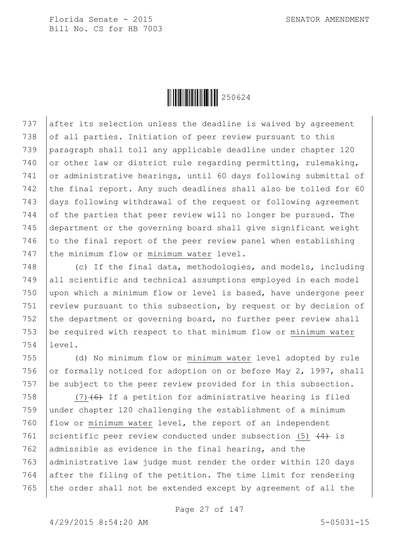

737 after its selection unless the deadline is waived by agreement 738 of all parties. Initiation of peer review pursuant to this 739 paragraph shall toll any applicable deadline under chapter 120 740 or other law or district rule regarding permitting, rulemaking, 741 or administrative hearings, until 60 days following submittal of 742 the final report. Any such deadlines shall also be tolled for 60 743 days following withdrawal of the request or following agreement 744 of the parties that peer review will no longer be pursued. The 745 department or the governing board shall give significant weight 746 to the final report of the peer review panel when establishing 747 the minimum flow or minimum water level.

748 (c) If the final data, methodologies, and models, including 749 all scientific and technical assumptions employed in each model 750 upon which a minimum flow or level is based, have undergone peer 751 | review pursuant to this subsection, by request or by decision of 752 the department or governing board, no further peer review shall 753 be required with respect to that minimum flow or minimum water 754 level.

755 (d) No minimum flow or minimum water level adopted by rule 756 or formally noticed for adoption on or before May 2, 1997, shall 757 be subject to the peer review provided for in this subsection.

 $(7)$  (7) (6) If a petition for administrative hearing is filed under chapter 120 challenging the establishment of a minimum flow or minimum water level, the report of an independent 761 scientific peer review conducted under subsection (5)  $\left(4\right)$  is 762 admissible as evidence in the final hearing, and the 763 administrative law judge must render the order within 120 days after the filing of the petition. The time limit for rendering the order shall not be extended except by agreement of all the

Page 27 of 147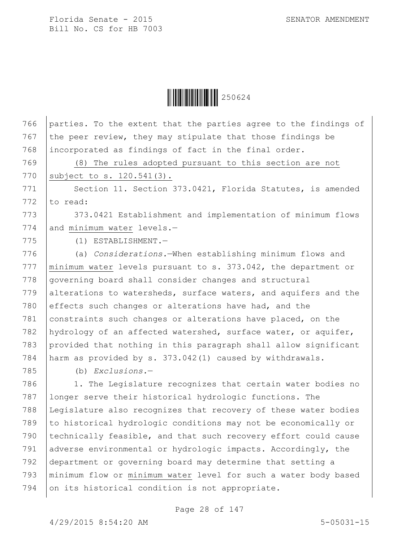$\|$  $\|$  $\|$  $\|$  $\|$  $\|$  $250624$ 

766 parties. To the extent that the parties agree to the findings of

 the peer review, they may stipulate that those findings be incorporated as findings of fact in the final order. (8) The rules adopted pursuant to this section are not 770 | subject to s. 120.541(3). 771 Section 11. Section 373.0421, Florida Statutes, is amended  $\vert$  to read: 773 373.0421 Establishment and implementation of minimum flows 774 and minimum water levels.- (1) ESTABLISHMENT.— (a) *Considerations.*—When establishing minimum flows and 777 | minimum water levels pursuant to s. 373.042, the department or 778 governing board shall consider changes and structural 779 alterations to watersheds, surface waters, and aquifers and the 780 effects such changes or alterations have had, and the constraints such changes or alterations have placed, on the hydrology of an affected watershed, surface water, or aquifer, provided that nothing in this paragraph shall allow significant harm as provided by s. 373.042(1) caused by withdrawals. (b) *Exclusions.*— 786 | 1. The Legislature recognizes that certain water bodies no longer serve their historical hydrologic functions. The Legislature also recognizes that recovery of these water bodies to historical hydrologic conditions may not be economically or 790 | technically feasible, and that such recovery effort could cause adverse environmental or hydrologic impacts. Accordingly, the department or governing board may determine that setting a minimum flow or minimum water level for such a water body based 794 on its historical condition is not appropriate.

Page 28 of 147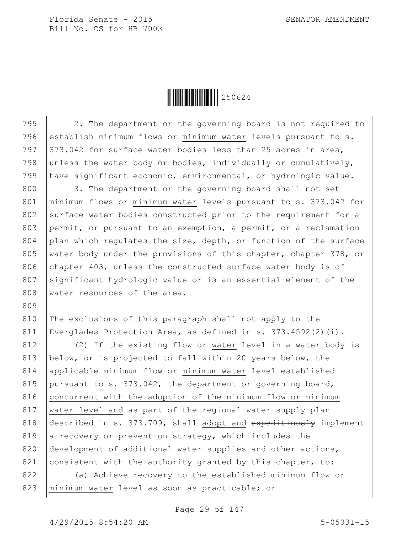Ì250624ÆÎ250624

795 2. The department or the governing board is not required to

796 establish minimum flows or minimum water levels pursuant to s. 797  $\vert$  373.042 for surface water bodies less than 25 acres in area, 798 unless the water body or bodies, individually or cumulatively, 799 have significant economic, environmental, or hydrologic value. 800 3. The department or the governing board shall not set 801 | minimum flows or minimum water levels pursuant to s. 373.042 for 802 surface water bodies constructed prior to the requirement for a 803 permit, or pursuant to an exemption, a permit, or a reclamation 804 plan which regulates the size, depth, or function of the surface 805 | water body under the provisions of this chapter, chapter 378, or 806 chapter 403, unless the constructed surface water body is of 807 significant hydrologic value or is an essential element of the 808 water resources of the area. 809 810 The exclusions of this paragraph shall not apply to the 811 Everglades Protection Area, as defined in s. 373.4592(2)(i). 812 (2) If the existing flow or water level in a water body is 813 below, or is projected to fall within 20 years below, the 814 applicable minimum flow or minimum water level established 815 pursuant to s. 373.042, the department or governing board, 816 concurrent with the adoption of the minimum flow or minimum 817 | water level and as part of the regional water supply plan 818 described in s. 373.709, shall adopt and  $\alpha$  expeditiously implement 819 a recovery or prevention strategy, which includes the 820 development of additional water supplies and other actions, 821 consistent with the authority granted by this chapter, to: 822 (a) Achieve recovery to the established minimum flow or

823 | minimum water level as soon as practicable; or

Page 29 of 147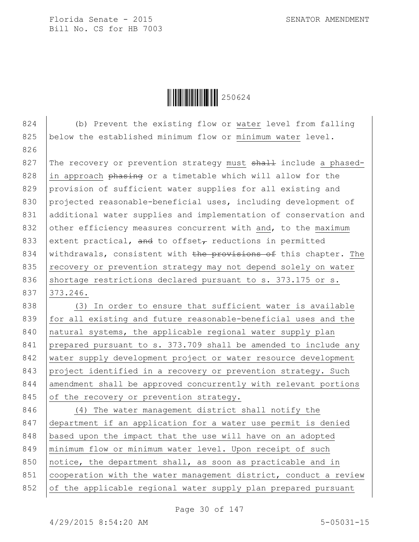$\|$  $\|$  $\|$  $\|$  $\|$  $\|$  $250624$ 

824 (b) Prevent the existing flow or water level from falling 825 below the established minimum flow or minimum water level. 826 827 The recovery or prevention strategy must  $shall$  include a phased-828 in approach phasing or a timetable which will allow for the 829 provision of sufficient water supplies for all existing and 830 projected reasonable-beneficial uses, including development of 831 additional water supplies and implementation of conservation and 832 other efficiency measures concurrent with and, to the maximum 833 extent practical, and to offset<sub> $\tau$ </sub> reductions in permitted 834 | withdrawals, consistent with the provisions of this chapter. The 835 recovery or prevention strategy may not depend solely on water 836 shortage restrictions declared pursuant to s. 373.175 or s. 837 373.246. 838 (3) In order to ensure that sufficient water is available 839 for all existing and future reasonable-beneficial uses and the 840 | natural systems, the applicable regional water supply plan 841 prepared pursuant to s. 373.709 shall be amended to include any 842 water supply development project or water resource development 843 project identified in a recovery or prevention strategy. Such 844 amendment shall be approved concurrently with relevant portions 845 of the recovery or prevention strategy. 846 (4) The water management district shall notify the 847 department if an application for a water use permit is denied 848 | based upon the impact that the use will have on an adopted 849 | minimum flow or minimum water level. Upon receipt of such 850 notice, the department shall, as soon as practicable and in 851 cooperation with the water management district, conduct a review 852 of the applicable regional water supply plan prepared pursuant

Page 30 of 147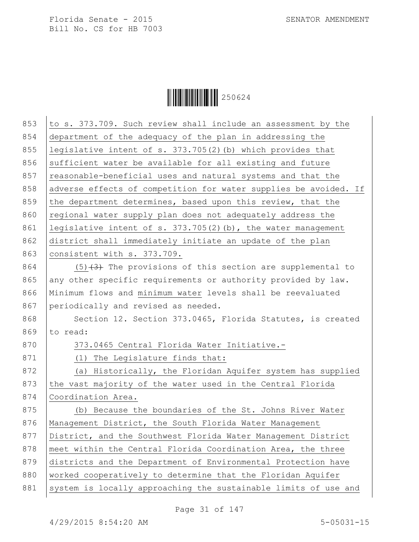$\begin{array}{|c|c|c|c|c|}\hline \multicolumn{1}{|c|}{\textbf{||}}{\textbf{||}}{\textbf{||}}{\textbf{||}}{\textbf{||}}{\textbf{||}}{\textbf{||}}{\textbf{||}}{\textbf{||}}{\textbf{||}}{\textbf{||}}{\textbf{||}}{\textbf{||}}{\textbf{||}}{\textbf{||}}{\textbf{||}}{\textbf{||}}{\textbf{||}}{\textbf{||}}{\textbf{||}}{\textbf{||}}{\textbf{||}}{\textbf{||}}{\textbf{||}}{\textbf{||}}{\textbf{||}}{\textbf{||}}{\textbf{||}}{\textbf{||}}{\textbf{||}}{\textbf{||}}{\textbf{$ 

| 853 | to s. 373.709. Such review shall include an assessment by the    |
|-----|------------------------------------------------------------------|
| 854 | department of the adequacy of the plan in addressing the         |
| 855 | legislative intent of s. 373.705(2)(b) which provides that       |
| 856 | sufficient water be available for all existing and future        |
| 857 | reasonable-beneficial uses and natural systems and that the      |
| 858 | adverse effects of competition for water supplies be avoided. If |
| 859 | the department determines, based upon this review, that the      |
| 860 | regional water supply plan does not adequately address the       |
| 861 | legislative intent of $s. 373.705(2)$ (b), the water management  |
| 862 | district shall immediately initiate an update of the plan        |
| 863 | consistent with s. 373.709.                                      |
| 864 | $(5)$ $(3)$ The provisions of this section are supplemental to   |
|     |                                                                  |
| 865 | any other specific requirements or authority provided by law.    |
| 866 | Minimum flows and minimum water levels shall be reevaluated      |
| 867 | periodically and revised as needed.                              |
| 868 | Section 12. Section 373.0465, Florida Statutes, is created       |
| 869 | to read:                                                         |
| 870 | 373.0465 Central Florida Water Initiative.-                      |
| 871 | (1) The Legislature finds that:                                  |
| 872 | (a) Historically, the Floridan Aquifer system has supplied       |
| 873 | the vast majority of the water used in the Central Florida       |
| 874 | Coordination Area.                                               |
| 875 | (b) Because the boundaries of the St. Johns River Water          |
| 876 | Management District, the South Florida Water Management          |
| 877 | District, and the Southwest Florida Water Management District    |
| 878 | meet within the Central Florida Coordination Area, the three     |
| 879 | districts and the Department of Environmental Protection have    |
| 880 | worked cooperatively to determine that the Floridan Aquifer      |
| 881 | system is locally approaching the sustainable limits of use and  |
|     |                                                                  |

Page 31 of 147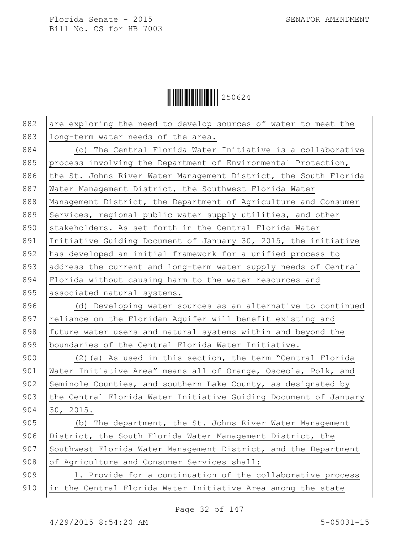$\begin{array}{|c|c|c|c|c|}\hline \multicolumn{1}{|c|}{\textbf{||}}{\textbf{||}}{\textbf{||}}{\textbf{||}}{\textbf{||}}{\textbf{||}}{\textbf{||}}{\textbf{||}}{\textbf{||}}{\textbf{||}}{\textbf{||}}{\textbf{||}}{\textbf{||}}{\textbf{||}}{\textbf{||}}{\textbf{||}}{\textbf{||}}{\textbf{||}}{\textbf{||}}{\textbf{||}}{\textbf{||}}{\textbf{||}}{\textbf{||}}{\textbf{||}}{\textbf{||}}{\textbf{||}}{\textbf{||}}{\textbf{||}}{\textbf{||}}{\textbf{||}}{\textbf{||}}{\textbf{$ 

| 882 | are exploring the need to develop sources of water to meet the   |
|-----|------------------------------------------------------------------|
| 883 | long-term water needs of the area.                               |
| 884 | (c) The Central Florida Water Initiative is a collaborative      |
| 885 | process involving the Department of Environmental Protection,    |
| 886 | the St. Johns River Water Management District, the South Florida |
| 887 | Water Management District, the Southwest Florida Water           |
| 888 | Management District, the Department of Agriculture and Consumer  |
| 889 | Services, regional public water supply utilities, and other      |
| 890 | stakeholders. As set forth in the Central Florida Water          |
| 891 | Initiative Guiding Document of January 30, 2015, the initiative  |
| 892 | has developed an initial framework for a unified process to      |
| 893 | address the current and long-term water supply needs of Central  |
| 894 | Florida without causing harm to the water resources and          |
| 895 | associated natural systems.                                      |
| 896 | (d) Developing water sources as an alternative to continued      |
| 897 | reliance on the Floridan Aquifer will benefit existing and       |
| 898 | future water users and natural systems within and beyond the     |
| 899 | boundaries of the Central Florida Water Initiative.              |
| 900 | $(2)$ (a) As used in this section, the term "Central Florida     |
| 901 | Water Initiative Area" means all of Orange, Osceola, Polk, and   |
| 902 | Seminole Counties, and southern Lake County, as designated by    |
| 903 | the Central Florida Water Initiative Guiding Document of January |
| 904 | 30, 2015.                                                        |
| 905 | (b) The department, the St. Johns River Water Management         |
| 906 | District, the South Florida Water Management District, the       |
| 907 | Southwest Florida Water Management District, and the Department  |
| 908 | of Agriculture and Consumer Services shall:                      |
| 909 | 1. Provide for a continuation of the collaborative process       |
| 910 | in the Central Florida Water Initiative Area among the state     |
|     |                                                                  |

Page 32 of 147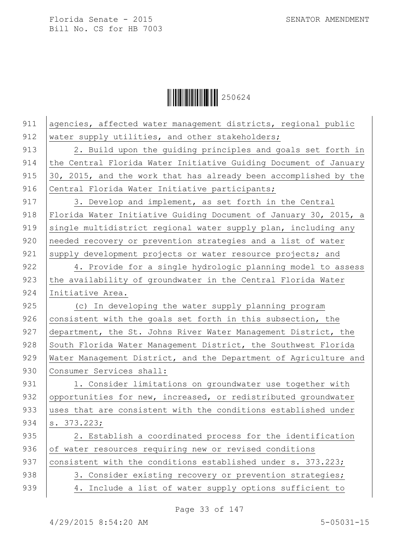$\begin{array}{|c|c|c|c|c|}\hline \multicolumn{1}{|c|}{\textbf{||}}{\textbf{||}}{\textbf{||}}{\textbf{||}}{\textbf{||}}{\textbf{||}}{\textbf{||}}{\textbf{||}}{\textbf{||}}{\textbf{||}}{\textbf{||}}{\textbf{||}}{\textbf{||}}{\textbf{||}}{\textbf{||}}{\textbf{||}}{\textbf{||}}{\textbf{||}}{\textbf{||}}{\textbf{||}}{\textbf{||}}{\textbf{||}}{\textbf{||}}{\textbf{||}}{\textbf{||}}{\textbf{||}}{\textbf{||}}{\textbf{||}}{\textbf{||}}{\textbf{||}}{\textbf{||}}{\textbf{$ 

| 911 | agencies, affected water management districts, regional public   |
|-----|------------------------------------------------------------------|
| 912 | water supply utilities, and other stakeholders;                  |
| 913 | 2. Build upon the guiding principles and goals set forth in      |
| 914 | the Central Florida Water Initiative Guiding Document of January |
| 915 | 30, 2015, and the work that has already been accomplished by the |
| 916 | Central Florida Water Initiative participants;                   |
| 917 | 3. Develop and implement, as set forth in the Central            |
| 918 | Florida Water Initiative Guiding Document of January 30, 2015, a |
| 919 | single multidistrict regional water supply plan, including any   |
| 920 | needed recovery or prevention strategies and a list of water     |
| 921 | supply development projects or water resource projects; and      |
| 922 | 4. Provide for a single hydrologic planning model to assess      |
| 923 | the availability of groundwater in the Central Florida Water     |
| 924 | Initiative Area.                                                 |
| 925 | (c) In developing the water supply planning program              |
| 926 | consistent with the goals set forth in this subsection, the      |
| 927 | department, the St. Johns River Water Management District, the   |
| 928 | South Florida Water Management District, the Southwest Florida   |
| 929 | Water Management District, and the Department of Agriculture and |
| 930 | Consumer Services shall:                                         |
| 931 | 1. Consider limitations on groundwater use together with         |
| 932 | opportunities for new, increased, or redistributed groundwater   |
| 933 | uses that are consistent with the conditions established under   |
| 934 | s. 373.223;                                                      |
| 935 | 2. Establish a coordinated process for the identification        |
| 936 | of water resources requiring new or revised conditions           |
| 937 | consistent with the conditions established under s. 373.223;     |
| 938 | 3. Consider existing recovery or prevention strategies;          |
| 939 | 4. Include a list of water supply options sufficient to          |

Page 33 of 147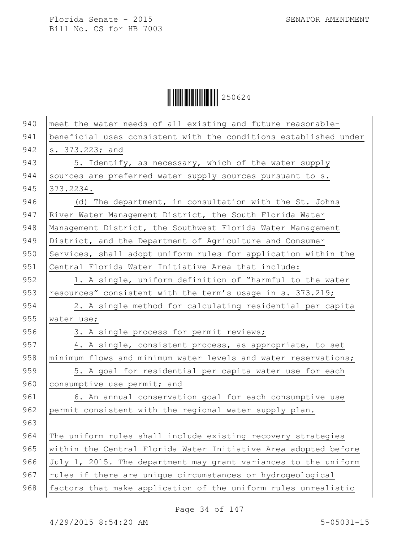$\begin{array}{|c|c|c|c|}\hline \multicolumn{1}{|c|}{\textbf{1}}&250624\ \hline \multicolumn{1}{|c|}{\textbf{2}}&50624\ \hline \end{array}$ 

| 941<br>beneficial uses consistent with the conditions established under<br>942<br>s. 373.223; and<br>943<br>5. Identify, as necessary, which of the water supply<br>944<br>sources are preferred water supply sources pursuant to s.<br>945<br>373.2234.<br>946<br>(d) The department, in consultation with the St. Johns<br>947<br>River Water Management District, the South Florida Water<br>948<br>Management District, the Southwest Florida Water Management<br>949<br>District, and the Department of Agriculture and Consumer<br>950<br>Services, shall adopt uniform rules for application within the<br>951<br>Central Florida Water Initiative Area that include:<br>952<br>1. A single, uniform definition of "harmful to the water<br>953<br>resources" consistent with the term's usage in s. 373.219;<br>954<br>2. A single method for calculating residential per capita<br>955<br>water use;<br>956<br>3. A single process for permit reviews;<br>957<br>4. A single, consistent process, as appropriate, to set<br>958<br>minimum flows and minimum water levels and water reservations;<br>959<br>5. A goal for residential per capita water use for each<br>960<br>consumptive use permit; and<br>961<br>6. An annual conservation goal for each consumptive use<br>962<br>permit consistent with the regional water supply plan.<br>963<br>964<br>The uniform rules shall include existing recovery strategies<br>965<br>within the Central Florida Water Initiative Area adopted before<br>966<br>July 1, 2015. The department may grant variances to the uniform<br>967<br>rules if there are unique circumstances or hydrogeological<br>968<br>factors that make application of the uniform rules unrealistic | 940 | meet the water needs of all existing and future reasonable- |
|---------------------------------------------------------------------------------------------------------------------------------------------------------------------------------------------------------------------------------------------------------------------------------------------------------------------------------------------------------------------------------------------------------------------------------------------------------------------------------------------------------------------------------------------------------------------------------------------------------------------------------------------------------------------------------------------------------------------------------------------------------------------------------------------------------------------------------------------------------------------------------------------------------------------------------------------------------------------------------------------------------------------------------------------------------------------------------------------------------------------------------------------------------------------------------------------------------------------------------------------------------------------------------------------------------------------------------------------------------------------------------------------------------------------------------------------------------------------------------------------------------------------------------------------------------------------------------------------------------------------------------------------------------------------------------------------------------------------------------------|-----|-------------------------------------------------------------|
|                                                                                                                                                                                                                                                                                                                                                                                                                                                                                                                                                                                                                                                                                                                                                                                                                                                                                                                                                                                                                                                                                                                                                                                                                                                                                                                                                                                                                                                                                                                                                                                                                                                                                                                                       |     |                                                             |
|                                                                                                                                                                                                                                                                                                                                                                                                                                                                                                                                                                                                                                                                                                                                                                                                                                                                                                                                                                                                                                                                                                                                                                                                                                                                                                                                                                                                                                                                                                                                                                                                                                                                                                                                       |     |                                                             |
|                                                                                                                                                                                                                                                                                                                                                                                                                                                                                                                                                                                                                                                                                                                                                                                                                                                                                                                                                                                                                                                                                                                                                                                                                                                                                                                                                                                                                                                                                                                                                                                                                                                                                                                                       |     |                                                             |
|                                                                                                                                                                                                                                                                                                                                                                                                                                                                                                                                                                                                                                                                                                                                                                                                                                                                                                                                                                                                                                                                                                                                                                                                                                                                                                                                                                                                                                                                                                                                                                                                                                                                                                                                       |     |                                                             |
|                                                                                                                                                                                                                                                                                                                                                                                                                                                                                                                                                                                                                                                                                                                                                                                                                                                                                                                                                                                                                                                                                                                                                                                                                                                                                                                                                                                                                                                                                                                                                                                                                                                                                                                                       |     |                                                             |
|                                                                                                                                                                                                                                                                                                                                                                                                                                                                                                                                                                                                                                                                                                                                                                                                                                                                                                                                                                                                                                                                                                                                                                                                                                                                                                                                                                                                                                                                                                                                                                                                                                                                                                                                       |     |                                                             |
|                                                                                                                                                                                                                                                                                                                                                                                                                                                                                                                                                                                                                                                                                                                                                                                                                                                                                                                                                                                                                                                                                                                                                                                                                                                                                                                                                                                                                                                                                                                                                                                                                                                                                                                                       |     |                                                             |
|                                                                                                                                                                                                                                                                                                                                                                                                                                                                                                                                                                                                                                                                                                                                                                                                                                                                                                                                                                                                                                                                                                                                                                                                                                                                                                                                                                                                                                                                                                                                                                                                                                                                                                                                       |     |                                                             |
|                                                                                                                                                                                                                                                                                                                                                                                                                                                                                                                                                                                                                                                                                                                                                                                                                                                                                                                                                                                                                                                                                                                                                                                                                                                                                                                                                                                                                                                                                                                                                                                                                                                                                                                                       |     |                                                             |
|                                                                                                                                                                                                                                                                                                                                                                                                                                                                                                                                                                                                                                                                                                                                                                                                                                                                                                                                                                                                                                                                                                                                                                                                                                                                                                                                                                                                                                                                                                                                                                                                                                                                                                                                       |     |                                                             |
|                                                                                                                                                                                                                                                                                                                                                                                                                                                                                                                                                                                                                                                                                                                                                                                                                                                                                                                                                                                                                                                                                                                                                                                                                                                                                                                                                                                                                                                                                                                                                                                                                                                                                                                                       |     |                                                             |
|                                                                                                                                                                                                                                                                                                                                                                                                                                                                                                                                                                                                                                                                                                                                                                                                                                                                                                                                                                                                                                                                                                                                                                                                                                                                                                                                                                                                                                                                                                                                                                                                                                                                                                                                       |     |                                                             |
|                                                                                                                                                                                                                                                                                                                                                                                                                                                                                                                                                                                                                                                                                                                                                                                                                                                                                                                                                                                                                                                                                                                                                                                                                                                                                                                                                                                                                                                                                                                                                                                                                                                                                                                                       |     |                                                             |
|                                                                                                                                                                                                                                                                                                                                                                                                                                                                                                                                                                                                                                                                                                                                                                                                                                                                                                                                                                                                                                                                                                                                                                                                                                                                                                                                                                                                                                                                                                                                                                                                                                                                                                                                       |     |                                                             |
|                                                                                                                                                                                                                                                                                                                                                                                                                                                                                                                                                                                                                                                                                                                                                                                                                                                                                                                                                                                                                                                                                                                                                                                                                                                                                                                                                                                                                                                                                                                                                                                                                                                                                                                                       |     |                                                             |
|                                                                                                                                                                                                                                                                                                                                                                                                                                                                                                                                                                                                                                                                                                                                                                                                                                                                                                                                                                                                                                                                                                                                                                                                                                                                                                                                                                                                                                                                                                                                                                                                                                                                                                                                       |     |                                                             |
|                                                                                                                                                                                                                                                                                                                                                                                                                                                                                                                                                                                                                                                                                                                                                                                                                                                                                                                                                                                                                                                                                                                                                                                                                                                                                                                                                                                                                                                                                                                                                                                                                                                                                                                                       |     |                                                             |
|                                                                                                                                                                                                                                                                                                                                                                                                                                                                                                                                                                                                                                                                                                                                                                                                                                                                                                                                                                                                                                                                                                                                                                                                                                                                                                                                                                                                                                                                                                                                                                                                                                                                                                                                       |     |                                                             |
|                                                                                                                                                                                                                                                                                                                                                                                                                                                                                                                                                                                                                                                                                                                                                                                                                                                                                                                                                                                                                                                                                                                                                                                                                                                                                                                                                                                                                                                                                                                                                                                                                                                                                                                                       |     |                                                             |
|                                                                                                                                                                                                                                                                                                                                                                                                                                                                                                                                                                                                                                                                                                                                                                                                                                                                                                                                                                                                                                                                                                                                                                                                                                                                                                                                                                                                                                                                                                                                                                                                                                                                                                                                       |     |                                                             |
|                                                                                                                                                                                                                                                                                                                                                                                                                                                                                                                                                                                                                                                                                                                                                                                                                                                                                                                                                                                                                                                                                                                                                                                                                                                                                                                                                                                                                                                                                                                                                                                                                                                                                                                                       |     |                                                             |
|                                                                                                                                                                                                                                                                                                                                                                                                                                                                                                                                                                                                                                                                                                                                                                                                                                                                                                                                                                                                                                                                                                                                                                                                                                                                                                                                                                                                                                                                                                                                                                                                                                                                                                                                       |     |                                                             |
|                                                                                                                                                                                                                                                                                                                                                                                                                                                                                                                                                                                                                                                                                                                                                                                                                                                                                                                                                                                                                                                                                                                                                                                                                                                                                                                                                                                                                                                                                                                                                                                                                                                                                                                                       |     |                                                             |
|                                                                                                                                                                                                                                                                                                                                                                                                                                                                                                                                                                                                                                                                                                                                                                                                                                                                                                                                                                                                                                                                                                                                                                                                                                                                                                                                                                                                                                                                                                                                                                                                                                                                                                                                       |     |                                                             |
|                                                                                                                                                                                                                                                                                                                                                                                                                                                                                                                                                                                                                                                                                                                                                                                                                                                                                                                                                                                                                                                                                                                                                                                                                                                                                                                                                                                                                                                                                                                                                                                                                                                                                                                                       |     |                                                             |
|                                                                                                                                                                                                                                                                                                                                                                                                                                                                                                                                                                                                                                                                                                                                                                                                                                                                                                                                                                                                                                                                                                                                                                                                                                                                                                                                                                                                                                                                                                                                                                                                                                                                                                                                       |     |                                                             |
|                                                                                                                                                                                                                                                                                                                                                                                                                                                                                                                                                                                                                                                                                                                                                                                                                                                                                                                                                                                                                                                                                                                                                                                                                                                                                                                                                                                                                                                                                                                                                                                                                                                                                                                                       |     |                                                             |
|                                                                                                                                                                                                                                                                                                                                                                                                                                                                                                                                                                                                                                                                                                                                                                                                                                                                                                                                                                                                                                                                                                                                                                                                                                                                                                                                                                                                                                                                                                                                                                                                                                                                                                                                       |     |                                                             |

Page 34 of 147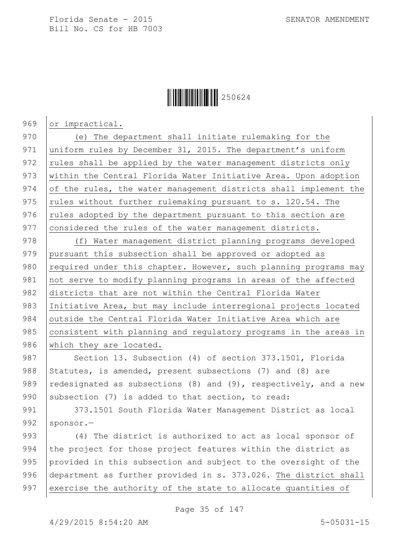## $\|$  $\|$  $\|$  $\|$  $\|$  $\|$  $250624$

969 or impractical.

970 (e) The department shall initiate rulemaking for the 971 uniform rules by December 31, 2015. The department's uniform 972 rules shall be applied by the water management districts only 973 | within the Central Florida Water Initiative Area. Upon adoption 974 of the rules, the water management districts shall implement the 975 | rules without further rulemaking pursuant to s. 120.54. The  $976$  rules adopted by the department pursuant to this section are 977 considered the rules of the water management districts.

978 (f) Water management district planning programs developed 979 pursuant this subsection shall be approved or adopted as 980  $\vert$  required under this chapter. However, such planning programs may 981 not serve to modify planning programs in areas of the affected 982 districts that are not within the Central Florida Water 983 Initiative Area, but may include interregional projects located 984 outside the Central Florida Water Initiative Area which are 985 consistent with planning and regulatory programs in the areas in 986 which they are located.

987 Section 13. Subsection (4) of section 373.1501, Florida 988 Statutes, is amended, present subsections (7) and (8) are 989 redesignated as subsections (8) and (9), respectively, and a new 990 subsection (7) is added to that section, to read:

991 | 373.1501 South Florida Water Management District as local 992  $\sqrt{3}$  sponsor.

993 (4) The district is authorized to act as local sponsor of 994 the project for those project features within the district as 995 provided in this subsection and subject to the oversight of the 996 department as further provided in s. 373.026. The district shall 997 exercise the authority of the state to allocate quantities of

Page 35 of 147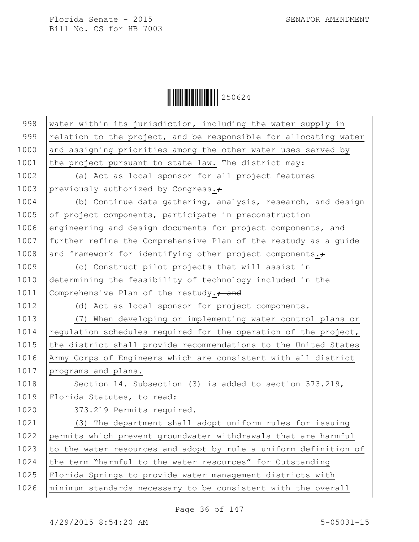$\begin{array}{|c|c|c|c|c|}\hline \multicolumn{1}{|c|}{\textbf{||}}{\textbf{||}}{\textbf{||}}{\textbf{||}}{\textbf{||}}{\textbf{||}}{\textbf{||}}{\textbf{||}}{\textbf{||}}{\textbf{||}}{\textbf{||}}{\textbf{||}}{\textbf{||}}{\textbf{||}}{\textbf{||}}{\textbf{||}}{\textbf{||}}{\textbf{||}}{\textbf{||}}{\textbf{||}}{\textbf{||}}{\textbf{||}}{\textbf{||}}{\textbf{||}}{\textbf{||}}{\textbf{||}}{\textbf{||}}{\textbf{||}}{\textbf{||}}{\textbf{||}}{\textbf{||}}{\textbf{$ 

| 998  | water within its jurisdiction, including the water supply in     |
|------|------------------------------------------------------------------|
| 999  | relation to the project, and be responsible for allocating water |
| 1000 | and assigning priorities among the other water uses served by    |
| 1001 | the project pursuant to state law. The district may:             |
| 1002 | (a) Act as local sponsor for all project features                |
| 1003 | previously authorized by Congress.+                              |
| 1004 | (b) Continue data gathering, analysis, research, and design      |
| 1005 | of project components, participate in preconstruction            |
| 1006 | engineering and design documents for project components, and     |
| 1007 | further refine the Comprehensive Plan of the restudy as a quide  |
| 1008 | and framework for identifying other project components. $\div$   |
| 1009 | (c) Construct pilot projects that will assist in                 |
| 1010 | determining the feasibility of technology included in the        |
| 1011 | Comprehensive Plan of the restudy. <sup>2</sup> and              |
| 1012 | (d) Act as local sponsor for project components.                 |
| 1013 | (7) When developing or implementing water control plans or       |
| 1014 | regulation schedules required for the operation of the project,  |
| 1015 | the district shall provide recommendations to the United States  |
| 1016 | Army Corps of Engineers which are consistent with all district   |
| 1017 | programs and plans.                                              |
| 1018 | Section 14. Subsection (3) is added to section 373.219,          |
| 1019 | Florida Statutes, to read:                                       |
| 1020 | 373.219 Permits required.-                                       |
| 1021 | (3) The department shall adopt uniform rules for issuing         |
| 1022 | permits which prevent groundwater withdrawals that are harmful   |
| 1023 | to the water resources and adopt by rule a uniform definition of |
| 1024 | the term "harmful to the water resources" for Outstanding        |
| 1025 | Florida Springs to provide water management districts with       |
| 1026 | minimum standards necessary to be consistent with the overall    |

Page 36 of 147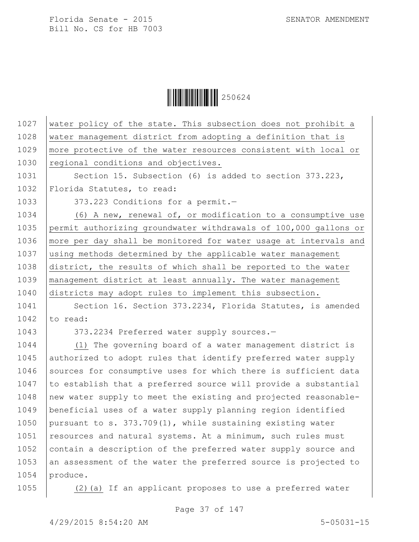$\begin{array}{|c|c|c|c|c|}\hline \multicolumn{1}{|c|}{\textbf{1}}&\multicolumn{1}{|c|}{\textbf{250624}}\ \hline \multicolumn{1}{|c|}{\textbf{250624}}\hline \end{array}$ 

| water policy of the state. This subsection does not prohibit a   |
|------------------------------------------------------------------|
| water management district from adopting a definition that is     |
| more protective of the water resources consistent with local or  |
| regional conditions and objectives.                              |
| Section 15. Subsection (6) is added to section 373.223,          |
| Florida Statutes, to read:                                       |
| 373.223 Conditions for a permit.-                                |
| (6) A new, renewal of, or modification to a consumptive use      |
| permit authorizing groundwater withdrawals of 100,000 gallons or |
| more per day shall be monitored for water usage at intervals and |
| using methods determined by the applicable water management      |
| district, the results of which shall be reported to the water    |
| management district at least annually. The water management      |
| districts may adopt rules to implement this subsection.          |
| Section 16. Section 373.2234, Florida Statutes, is amended       |
| to read:                                                         |
| 373.2234 Preferred water supply sources.-                        |
| (1) The governing board of a water management district is        |
| authorized to adopt rules that identify preferred water supply   |
| sources for consumptive uses for which there is sufficient data  |
| to establish that a preferred source will provide a substantial  |
| new water supply to meet the existing and projected reasonable-  |
| beneficial uses of a water supply planning region identified     |
| pursuant to s. $373.709(1)$ , while sustaining existing water    |
| resources and natural systems. At a minimum, such rules must     |
| contain a description of the preferred water supply source and   |
| an assessment of the water the preferred source is projected to  |
| produce.                                                         |
|                                                                  |

1055  $(2)(a)$  If an applicant proposes to use a preferred water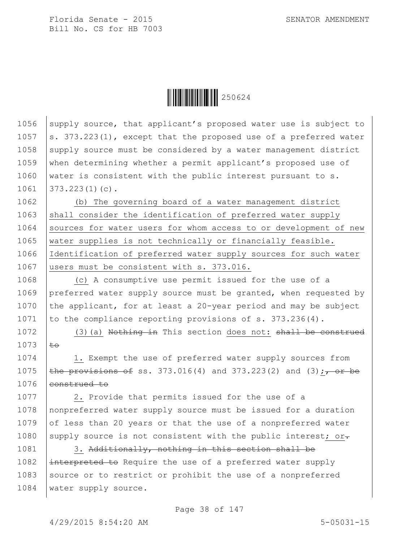

1056 supply source, that applicant's proposed water use is subject to 1057  $\vert$ s. 373.223(1), except that the proposed use of a preferred water 1058 supply source must be considered by a water management district 1059 when determining whether a permit applicant's proposed use of 1060 water is consistent with the public interest pursuant to s. 1061 373.223(1)(c).

1062 (b) The governing board of a water management district 1063 shall consider the identification of preferred water supply 1064 Sources for water users for whom access to or development of new 1065 water supplies is not technically or financially feasible. 1066 Identification of preferred water supply sources for such water 1067 users must be consistent with s. 373.016.

1068 (c) A consumptive use permit issued for the use of a 1069 preferred water supply source must be granted, when requested by 1070 the applicant, for at least a 20-year period and may be subject 1071 to the compliance reporting provisions of  $s. 373.236(4)$ .

1072 (3)(a) Nothing in This section does not: shall be construed  $1073$   $t\rightarrow$ 

1074 1. Exempt the use of preferred water supply sources from 1075 **the provisions of ss.** 373.016(4) and 373.223(2) and (3);  $\frac{1}{100}$ 1076 eonstrued to

1077 | 2. Provide that permits issued for the use of a 1078 nonpreferred water supply source must be issued for a duration 1079  $\int$  of less than 20 years or that the use of a nonpreferred water 1080 supply source is not consistent with the public interest; or.

1081 3. Additionally, nothing in this section shall be 1082  $\left| \right|$  interpreted to Require the use of a preferred water supply 1083 Source or to restrict or prohibit the use of a nonpreferred 1084 | water supply source.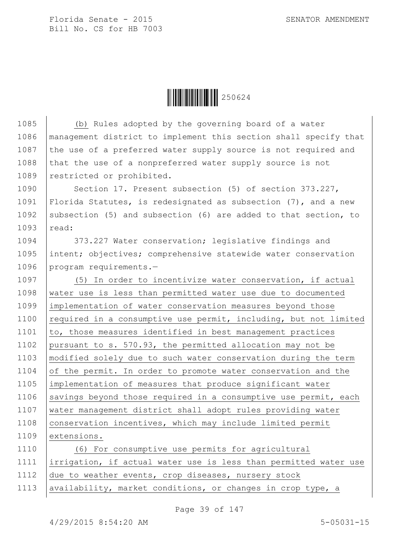

| 1085 | (b) Rules adopted by the governing board of a water               |
|------|-------------------------------------------------------------------|
| 1086 | management district to implement this section shall specify that  |
| 1087 | the use of a preferred water supply source is not required and    |
| 1088 | that the use of a nonpreferred water supply source is not         |
| 1089 | restricted or prohibited.                                         |
| 1090 | Section 17. Present subsection (5) of section 373.227,            |
| 1091 | Florida Statutes, is redesignated as subsection $(7)$ , and a new |
| 1092 | subsection (5) and subsection (6) are added to that section, to   |
| 1093 | read:                                                             |
| 1094 | 373.227 Water conservation; legislative findings and              |
| 1095 | intent; objectives; comprehensive statewide water conservation    |
| 1096 | program requirements.-                                            |
| 1097 | (5) In order to incentivize water conservation, if actual         |
| 1098 | water use is less than permitted water use due to documented      |
| 1099 | implementation of water conservation measures beyond those        |
| 1100 | required in a consumptive use permit, including, but not limited  |
| 1101 | to, those measures identified in best management practices        |
| 1102 | pursuant to s. 570.93, the permitted allocation may not be        |
| 1103 | modified solely due to such water conservation during the term    |
| 1104 | of the permit. In order to promote water conservation and the     |
| 1105 | implementation of measures that produce significant water         |
| 1106 | savings beyond those required in a consumptive use permit, each   |
| 1107 | water management district shall adopt rules providing water       |
| 1108 | conservation incentives, which may include limited permit         |
| 1109 | extensions.                                                       |
| 1110 | (6) For consumptive use permits for agricultural                  |
| 1111 | irrigation, if actual water use is less than permitted water use  |
| 1112 | due to weather events, crop diseases, nursery stock               |
| 1113 | availability, market conditions, or changes in crop type, a       |

Page 39 of 147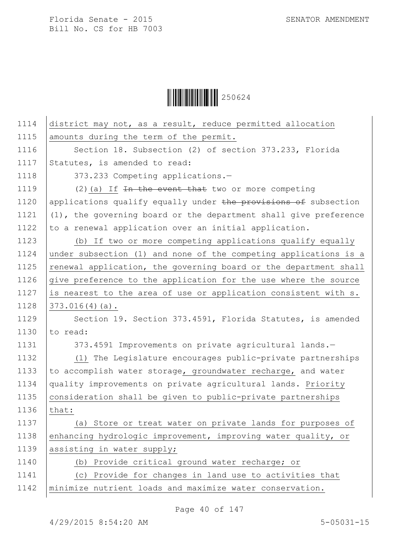$\begin{array}{|c|c|c|c|}\hline \multicolumn{1}{|c|}{\textbf{1}}&250624\ \hline \multicolumn{1}{|c|}{\textbf{2}}&50624\ \hline \end{array}$ 

| 1114 | district may not, as a result, reduce permitted allocation       |
|------|------------------------------------------------------------------|
| 1115 | amounts during the term of the permit.                           |
| 1116 | Section 18. Subsection (2) of section 373.233, Florida           |
| 1117 | Statutes, is amended to read:                                    |
| 1118 | 373.233 Competing applications.-                                 |
| 1119 | $(2)$ (a) If In the event that two or more competing             |
| 1120 | applications qualify equally under the provisions of subsection  |
| 1121 | (1), the governing board or the department shall give preference |
| 1122 | to a renewal application over an initial application.            |
| 1123 | (b) If two or more competing applications qualify equally        |
| 1124 | under subsection (1) and none of the competing applications is a |
| 1125 | renewal application, the governing board or the department shall |
| 1126 | give preference to the application for the use where the source  |
| 1127 | is nearest to the area of use or application consistent with s.  |
| 1128 | $373.016(4)(a)$ .                                                |
| 1129 | Section 19. Section 373.4591, Florida Statutes, is amended       |
| 1130 | to read:                                                         |
| 1131 | 373.4591 Improvements on private agricultural lands.-            |
| 1132 | (1) The Legislature encourages public-private partnerships       |
| 1133 | to accomplish water storage, groundwater recharge, and water     |
| 1134 | quality improvements on private agricultural lands. Priority     |
| 1135 | consideration shall be given to public-private partnerships      |
| 1136 | that:                                                            |
| 1137 | (a) Store or treat water on private lands for purposes of        |
| 1138 | enhancing hydrologic improvement, improving water quality, or    |
| 1139 | assisting in water supply;                                       |
| 1140 | (b) Provide critical ground water recharge; or                   |
| 1141 | (c) Provide for changes in land use to activities that           |
| 1142 | minimize nutrient loads and maximize water conservation.         |
|      |                                                                  |

Page 40 of 147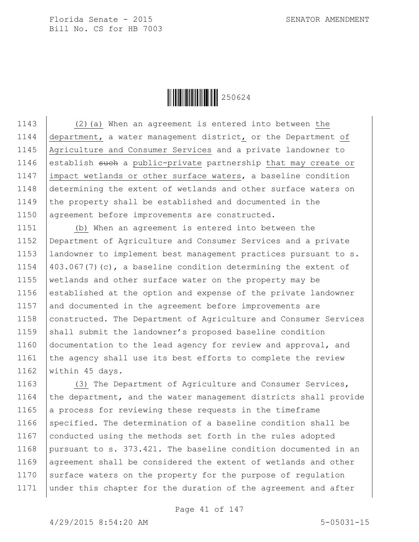

1143 (2)(a) When an agreement is entered into between the 1144 department, a water management district, or the Department of 1145 Agriculture and Consumer Services and a private landowner to 1146 establish such a public-private partnership that may create or 1147 impact wetlands or other surface waters, a baseline condition 1148 determining the extent of wetlands and other surface waters on 1149 the property shall be established and documented in the 1150 agreement before improvements are constructed.

1151 (b) When an agreement is entered into between the 1152 Department of Agriculture and Consumer Services and a private 1153 landowner to implement best management practices pursuant to s. 1154  $\vert$  403.067(7)(c), a baseline condition determining the extent of 1155 wetlands and other surface water on the property may be 1156 established at the option and expense of the private landowner 1157 and documented in the agreement before improvements are 1158 constructed. The Department of Agriculture and Consumer Services 1159  $\beta$  shall submit the landowner's proposed baseline condition 1160 documentation to the lead agency for review and approval, and 1161 the agency shall use its best efforts to complete the review 1162 | within 45 days.

1163 (3) The Department of Agriculture and Consumer Services, 1164 the department, and the water management districts shall provide 1165 a process for reviewing these requests in the timeframe 1166 specified. The determination of a baseline condition shall be 1167 conducted using the methods set forth in the rules adopted 1168 pursuant to s. 373.421. The baseline condition documented in an 1169 | agreement shall be considered the extent of wetlands and other 1170 surface waters on the property for the purpose of regulation 1171 under this chapter for the duration of the agreement and after

Page 41 of 147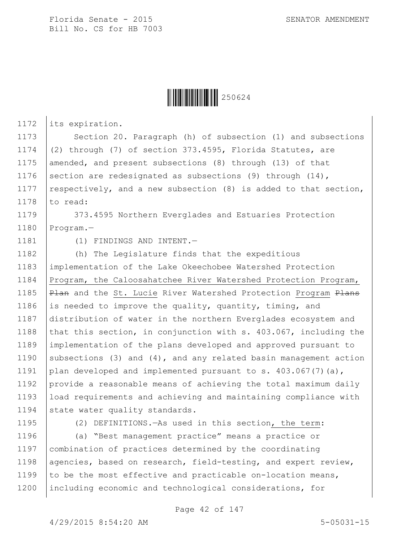

1172 its expiration.

1173 Section 20. Paragraph (h) of subsection (1) and subsections 1174 (2) through (7) of section 373.4595, Florida Statutes, are 1175 amended, and present subsections (8) through (13) of that 1176 section are redesignated as subsections (9) through  $(14)$ , 1177 respectively, and a new subsection  $(8)$  is added to that section, 1178  $\vert$  to read:

1179 | 373.4595 Northern Everglades and Estuaries Protection 1180 Program.—

1181 (1) FINDINGS AND INTENT.

1182 (h) The Legislature finds that the expeditious 1183 implementation of the Lake Okeechobee Watershed Protection 1184 Program, the Caloosahatchee River Watershed Protection Program, 1185 | Plan and the St. Lucie River Watershed Protection Program Plans 1186 is needed to improve the quality, quantity, timing, and 1187 distribution of water in the northern Everglades ecosystem and 1188 that this section, in conjunction with s.  $403.067$ , including the 1189 implementation of the plans developed and approved pursuant to 1190 subsections (3) and (4), and any related basin management action 1191 plan developed and implemented pursuant to s. 403.067(7)(a), 1192 provide a reasonable means of achieving the total maximum daily 1193 load requirements and achieving and maintaining compliance with 1194 state water quality standards.

1195 (2) DEFINITIONS.—As used in this section, the term:

1196 (a) "Best management practice" means a practice or 1197 combination of practices determined by the coordinating 1198 agencies, based on research, field-testing, and expert review, 1199 to be the most effective and practicable on-location means, 1200 including economic and technological considerations, for

Page 42 of 147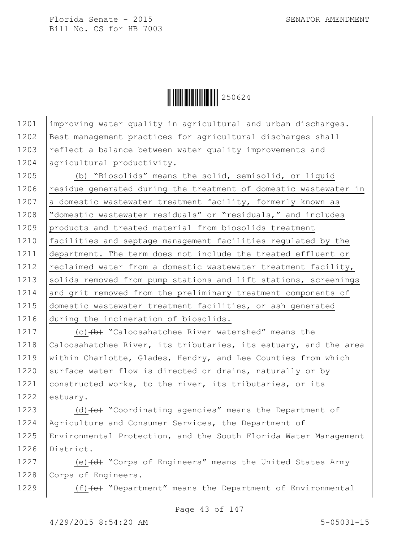$\|$  $\|$  $\|$  $\|$  $\|$  $\|$  $250624$ 

1201 | improving water quality in agricultural and urban discharges. 1202 Best management practices for agricultural discharges shall 1203 reflect a balance between water quality improvements and 1204 agricultural productivity.

1205 (b) "Biosolids" means the solid, semisolid, or liquid 1206 residue generated during the treatment of domestic wastewater in 1207 a domestic wastewater treatment facility, formerly known as 1208 "domestic wastewater residuals" or "residuals," and includes 1209 products and treated material from biosolids treatment 1210 facilities and septage management facilities regulated by the 1211 department. The term does not include the treated effluent or 1212  $|$  reclaimed water from a domestic wastewater treatment facility, 1213 solids removed from pump stations and lift stations, screenings 1214 and grit removed from the preliminary treatment components of 1215 domestic wastewater treatment facilities, or ash generated 1216 during the incineration of biosolids.

1217 (c) (b) "Caloosahatchee River watershed" means the 1218 Caloosahatchee River, its tributaries, its estuary, and the area 1219 | within Charlotte, Glades, Hendry, and Lee Counties from which 1220 surface water flow is directed or drains, naturally or by 1221 constructed works, to the river, its tributaries, or its 1222 estuary.

 $\vert$  (d)  $\left\{ e\right\}$  "Coordinating agencies" means the Department of Agriculture and Consumer Services, the Department of Environmental Protection, and the South Florida Water Management District.

1227 (e) (d) "Corps of Engineers" means the United States Army 1228 Corps of Engineers.

1229 (f) (e) "Department" means the Department of Environmental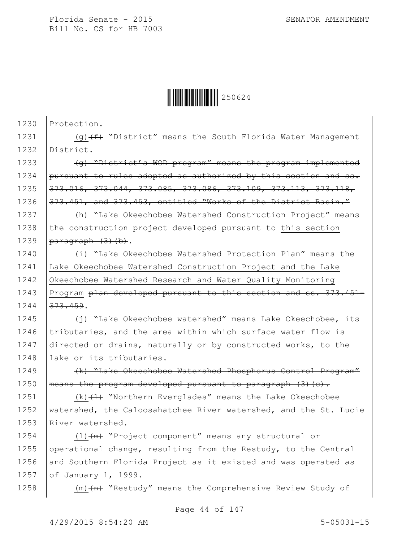

1230 Protection.

1231  $(9)$  (g)  $(f)$  "District" means the South Florida Water Management 1232 District.

1233  $\sqrt{q}$  "District's WOD program" means the program implemented 1234 pursuant to rules adopted as authorized by this section and ss. 1235 373.016, 373.044, 373.085, 373.086, 373.109, 373.113, 373.118, 1236 373.451, and 373.453, entitled "Works of the District Basin."

1237 (h) "Lake Okeechobee Watershed Construction Project" means 1238 the construction project developed pursuant to this section 1239  $\sqrt{a} \frac{a}{b}$  (3) (b).

1240 (i) "Lake Okeechobee Watershed Protection Plan" means the 1241 Lake Okeechobee Watershed Construction Project and the Lake 1242 Okeechobee Watershed Research and Water Quality Monitoring 1243 Program plan developed pursuant to this section and ss. 373.451-1244 373.459.

1245 (j) "Lake Okeechobee watershed" means Lake Okeechobee, its 1246  $|tributaries,$  and the area within which surface water flow is 1247 directed or drains, naturally or by constructed works, to the 1248 lake or its tributaries.

1249 (k) "Lake Okeechobee Watershed Phosphorus Control Program" 1250 | means the program developed pursuant to paragraph  $(3)$   $(c)$ .

1251  $(k)$   $(1)$  "Northern Everglades" means the Lake Okeechobee 1252 | watershed, the Caloosahatchee River watershed, and the St. Lucie 1253 River watershed.

1254 (l) (m) "Project component" means any structural or 1255 operational change, resulting from the Restudy, to the Central 1256 and Southern Florida Project as it existed and was operated as 1257 of January 1, 1999.

1258  $\vert$  (m)  $\langle n \rangle$  "Restudy" means the Comprehensive Review Study of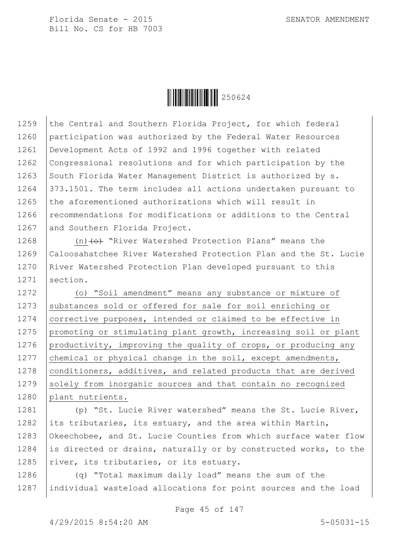

1259 the Central and Southern Florida Project, for which federal 1260 participation was authorized by the Federal Water Resources 1261 Development Acts of 1992 and 1996 together with related 1262 Congressional resolutions and for which participation by the 1263 South Florida Water Management District is authorized by  $s$ . 1264 373.1501. The term includes all actions undertaken pursuant to 1265 the aforementioned authorizations which will result in 1266 recommendations for modifications or additions to the Central 1267 and Southern Florida Project.

1268  $(n)$  (o) "River Watershed Protection Plans" means the 1269 Caloosahatchee River Watershed Protection Plan and the St. Lucie 1270 River Watershed Protection Plan developed pursuant to this 1271 section.

1272 (o) "Soil amendment" means any substance or mixture of 1273 substances sold or offered for sale for soil enriching or 1274 corrective purposes, intended or claimed to be effective in 1275 | promoting or stimulating plant growth, increasing soil or plant 1276 productivity, improving the quality of crops, or producing any 1277 chemical or physical change in the soil, except amendments, 1278 | conditioners, additives, and related products that are derived 1279 solely from inorganic sources and that contain no recognized 1280 plant nutrients.

1281 (p) "St. Lucie River watershed" means the St. Lucie River, 1282 its tributaries, its estuary, and the area within Martin, 1283 Okeechobee, and St. Lucie Counties from which surface water flow 1284 is directed or drains, naturally or by constructed works, to the 1285  $\vert$ river, its tributaries, or its estuary.

1286 (q) "Total maximum daily load" means the sum of the 1287 individual wasteload allocations for point sources and the load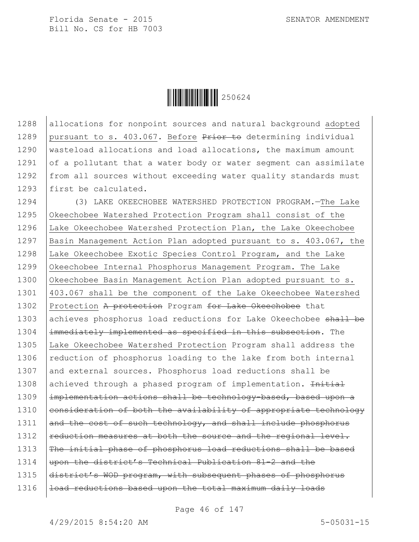

1288 allocations for nonpoint sources and natural background adopted 1289 pursuant to s. 403.067. Before Prior to determining individual 1290 | wasteload allocations and load allocations, the maximum amount 1291  $\int$  of a pollutant that a water body or water segment can assimilate 1292 from all sources without exceeding water quality standards must 1293 first be calculated.

1294 (3) LAKE OKEECHOBEE WATERSHED PROTECTION PROGRAM.—The Lake 1295 Okeechobee Watershed Protection Program shall consist of the 1296 Lake Okeechobee Watershed Protection Plan, the Lake Okeechobee 1297 Basin Management Action Plan adopted pursuant to s. 403.067, the 1298 Lake Okeechobee Exotic Species Control Program, and the Lake 1299 Okeechobee Internal Phosphorus Management Program. The Lake 1300 Okeechobee Basin Management Action Plan adopted pursuant to s. 1301 403.067 shall be the component of the Lake Okeechobee Watershed 1302 Protection A protection Program for Lake Okeechobee that 1303 achieves phosphorus load reductions for Lake Okeechobee shall be 1304 | immediately implemented as specified in this subsection. The 1305 Lake Okeechobee Watershed Protection Program shall address the 1306 reduction of phosphorus loading to the lake from both internal 1307 and external sources. Phosphorus load reductions shall be 1308 achieved through a phased program of implementation. Initial 1309 | implementation actions shall be technology-based, based upon a 1310 consideration of both the availability of appropriate technology 1311  $\vert$  and the cost of such technology, and shall include phosphorus  $1312$  reduction measures at both the source and the regional level.  $1313$  The initial phase of phosphorus load reductions shall be based 1314 wpon the district's Technical Publication 81-2 and the 1315 district's WOD program, with subsequent phases of phosphorus  $1316$  |  $10$ ad reductions based upon the total maximum daily loads

Page 46 of 147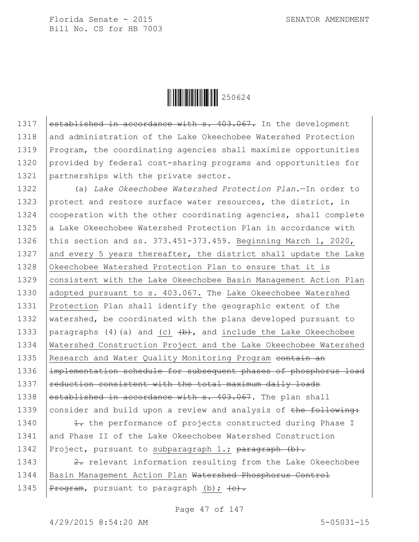

1317 established in accordance with s. 403.067. In the development 1318 and administration of the Lake Okeechobee Watershed Protection 1319 Program, the coordinating agencies shall maximize opportunities 1320 provided by federal cost-sharing programs and opportunities for 1321 partnerships with the private sector.

1322 (a) *Lake Okeechobee Watershed Protection Plan.*—In order to 1323 protect and restore surface water resources, the district, in 1324 cooperation with the other coordinating agencies, shall complete 1325  $\vert$  a Lake Okeechobee Watershed Protection Plan in accordance with 1326 this section and ss. 373.451-373.459. Beginning March 1, 2020, 1327 and every 5 years thereafter, the district shall update the Lake 1328 Okeechobee Watershed Protection Plan to ensure that it is 1329 | consistent with the Lake Okeechobee Basin Management Action Plan 1330 adopted pursuant to s. 403.067. The Lake Okeechobee Watershed 1331 Protection Plan shall identify the geographic extent of the 1332 watershed, be coordinated with the plans developed pursuant to 1333 | paragraphs (4)(a) and (c)  $\leftrightarrow$ , and include the Lake Okeechobee 1334 Watershed Construction Project and the Lake Okeechobee Watershed 1335 Research and Water Quality Monitoring Program contain an 1336 | implementation schedule for subsequent phases of phosphorus load 1337  $\vert$  reduction consistent with the total maximum daily loads 1338 established in accordance with s.  $403.067$ . The plan shall 1339 consider and build upon a review and analysis of the following:

1340  $\frac{1}{1}$  the performance of projects constructed during Phase I 1341 and Phase II of the Lake Okeechobee Watershed Construction 1342 Project, pursuant to subparagraph 1.; paragraph (b).

1343  $\vert$  2. relevant information resulting from the Lake Okeechobee 1344 | Basin Management Action Plan Watershed Phosphorus Control 1345 |  $P_{\text{rogram}}$ , pursuant to paragraph (b);  $\left\langle e\right\rangle$ .

Page 47 of 147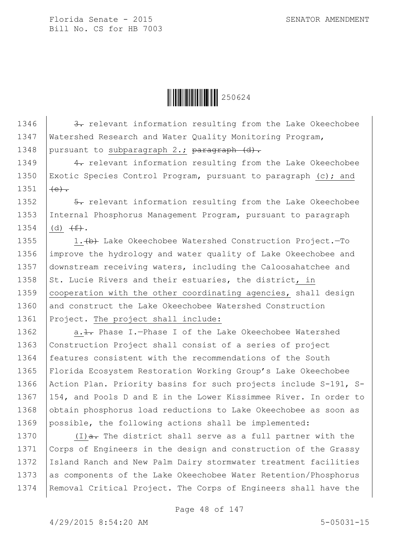

1346  $\vert$  3. relevant information resulting from the Lake Okeechobee 1347 | Watershed Research and Water Quality Monitoring Program, 1348 | pursuant to subparagraph  $2$ .; paragraph  $(d)$ .

1349  $\vert$  4. relevant information resulting from the Lake Okeechobee 1350 Exotic Species Control Program, pursuant to paragraph (c); and 1351  $(e)$ .

1352  $\vert$  5. relevant information resulting from the Lake Okeechobee 1353 Internal Phosphorus Management Program, pursuant to paragraph 1354 (d)  $(f^+)_*$ .

1355 1. (b) Lake Okeechobee Watershed Construction Project.-To 1356 improve the hydrology and water quality of Lake Okeechobee and 1357 downstream receiving waters, including the Caloosahatchee and 1358  $\vert$  St. Lucie Rivers and their estuaries, the district, in 1359 | cooperation with the other coordinating agencies, shall design 1360 and construct the Lake Okeechobee Watershed Construction 1361 Project. The project shall include:

1362 | a. 1. Phase I. - Phase I of the Lake Okeechobee Watershed 1363 | Construction Project shall consist of a series of project 1364 | features consistent with the recommendations of the South 1365 Florida Ecosystem Restoration Working Group's Lake Okeechobee 1366 Action Plan. Priority basins for such projects include S-191, S-1367 154, and Pools D and E in the Lower Kissimmee River. In order to 1368 obtain phosphorus load reductions to Lake Okeechobee as soon as 1369 possible, the following actions shall be implemented:

1370  $(1)$   $\frac{1}{a}$ . The district shall serve as a full partner with the 1371 | Corps of Engineers in the design and construction of the Grassy 1372 Island Ranch and New Palm Dairy stormwater treatment facilities 1373 as components of the Lake Okeechobee Water Retention/Phosphorus 1374 Removal Critical Project. The Corps of Engineers shall have the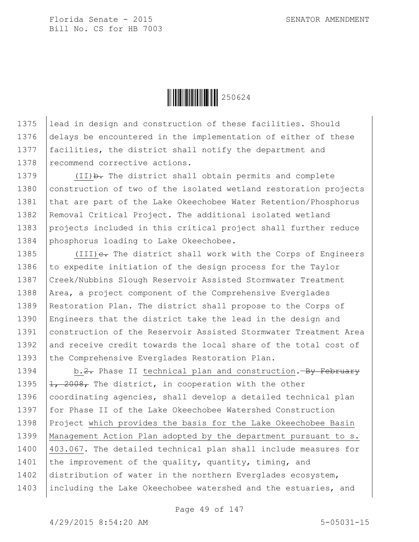

1375 lead in design and construction of these facilities. Should 1376 delays be encountered in the implementation of either of these 1377 | facilities, the district shall notify the department and 1378 recommend corrective actions.

1379 (II) b. The district shall obtain permits and complete 1380 | construction of two of the isolated wetland restoration projects 1381 that are part of the Lake Okeechobee Water Retention/Phosphorus 1382 | Removal Critical Project. The additional isolated wetland 1383 projects included in this critical project shall further reduce 1384 phosphorus loading to Lake Okeechobee.

1385 (III) e. The district shall work with the Corps of Engineers 1386  $\vert$  to expedite initiation of the design process for the Taylor 1387 Creek/Nubbins Slough Reservoir Assisted Stormwater Treatment 1388 | Area, a project component of the Comprehensive Everglades 1389 Restoration Plan. The district shall propose to the Corps of 1390 Engineers that the district take the lead in the design and 1391 construction of the Reservoir Assisted Stormwater Treatment Area 1392 and receive credit towards the local share of the total cost of 1393 the Comprehensive Everglades Restoration Plan.

1394 b.2. Phase II technical plan and construction.—By February 1395  $\left| \frac{1}{1} \right|$ , 2008, The district, in cooperation with the other 1396  $|$  coordinating agencies, shall develop a detailed technical plan 1397 for Phase II of the Lake Okeechobee Watershed Construction 1398 Project which provides the basis for the Lake Okeechobee Basin 1399 Management Action Plan adopted by the department pursuant to s. 1400 403.067. The detailed technical plan shall include measures for 1401 the improvement of the quality, quantity, timing, and 1402 distribution of water in the northern Everglades ecosystem, 1403 | including the Lake Okeechobee watershed and the estuaries, and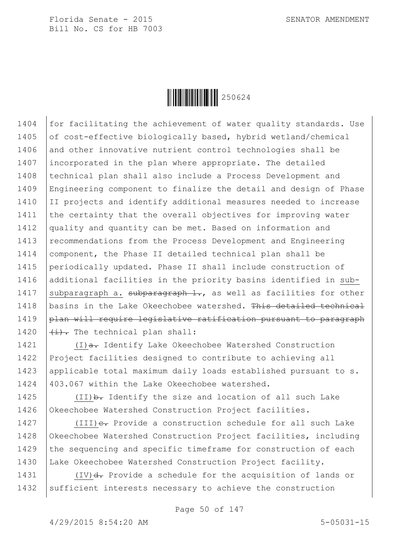

1404 for facilitating the achievement of water quality standards. Use 1405 of cost-effective biologically based, hybrid wetland/chemical 1406 and other innovative nutrient control technologies shall be 1407 incorporated in the plan where appropriate. The detailed 1408 | technical plan shall also include a Process Development and 1409 Engineering component to finalize the detail and design of Phase 1410 II projects and identify additional measures needed to increase 1411 the certainty that the overall objectives for improving water 1412 quality and quantity can be met. Based on information and 1413 | recommendations from the Process Development and Engineering 1414 | component, the Phase II detailed technical plan shall be 1415 periodically updated. Phase II shall include construction of 1416 additional facilities in the priority basins identified in sub-1417 Subparagraph a. subparagraph  $1$ ., as well as facilities for other 1418 basins in the Lake Okeechobee watershed. This detailed technical 1419 plan will require legislative ratification pursuant to paragraph 1420  $\left|\frac{1}{1}\right\rangle$ . The technical plan shall:

1421 (I)<del>a.</del> Identify Lake Okeechobee Watershed Construction 1422 Project facilities designed to contribute to achieving all 1423 | applicable total maximum daily loads established pursuant to s. 1424 403.067 within the Lake Okeechobee watershed.

1425  $(II)$  b. Identify the size and location of all such Lake 1426 Okeechobee Watershed Construction Project facilities.

1427 (III) e. Provide a construction schedule for all such Lake 1428 Okeechobee Watershed Construction Project facilities, including 1429 the sequencing and specific timeframe for construction of each 1430 Lake Okeechobee Watershed Construction Project facility.

1431  $(IV)$ d. Provide a schedule for the acquisition of lands or 1432 sufficient interests necessary to achieve the construction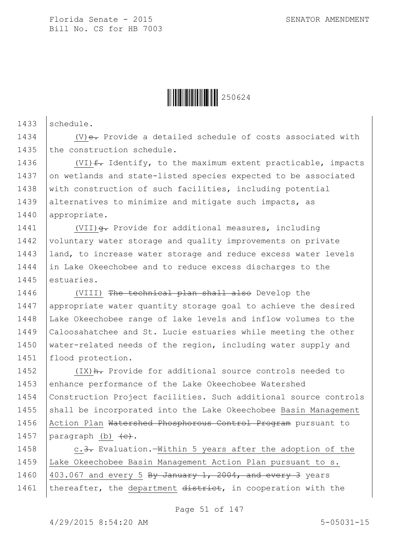

 $1433$  schedule.

1434  $(V)$ e. Provide a detailed schedule of costs associated with 1435 the construction schedule.

1436  $\vert$  (VI)  $f$ . Identify, to the maximum extent practicable, impacts 1437 on wetlands and state-listed species expected to be associated 1438 with construction of such facilities, including potential 1439 alternatives to minimize and mitigate such impacts, as 1440 appropriate.

1441 | (VII)  $\theta$ . Provide for additional measures, including 1442 voluntary water storage and quality improvements on private 1443 | land, to increase water storage and reduce excess water levels 1444 in Lake Okeechobee and to reduce excess discharges to the 1445 estuaries.

1446 | (VIII) The technical plan shall also Develop the 1447 appropriate water quantity storage goal to achieve the desired 1448 Lake Okeechobee range of lake levels and inflow volumes to the 1449 Caloosahatchee and St. Lucie estuaries while meeting the other 1450 | water-related needs of the region, including water supply and 1451 | flood protection.

1452 (IX) A. Provide for additional source controls needed to 1453 enhance performance of the Lake Okeechobee Watershed 1454 Construction Project facilities. Such additional source controls 1455 shall be incorporated into the Lake Okeechobee Basin Management 1456 | Action Plan Watershed Phosphorous Control Program pursuant to 1457  $\vert$  paragraph (b)  $\vert$  (e).

1458 c.3. Evaluation.—Within 5 years after the adoption of the 1459 Lake Okeechobee Basin Management Action Plan pursuant to s. 1460  $\vert$  403.067 and every 5 By January 1, 2004, and every 3 years 1461 | thereafter, the department district, in cooperation with the

Page 51 of 147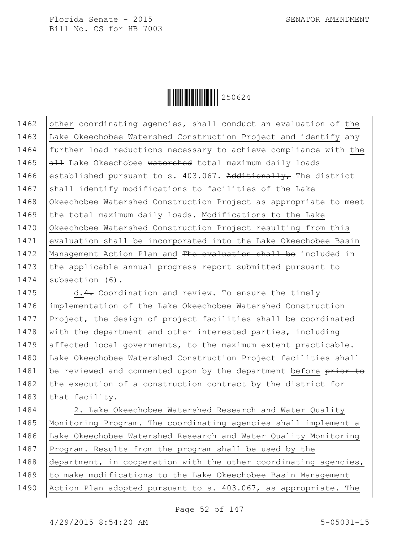

1462  $\vert$  other coordinating agencies, shall conduct an evaluation of the 1463 Lake Okeechobee Watershed Construction Project and identify any 1464 further load reductions necessary to achieve compliance with the 1465  $\overline{a}$  Lake Okeechobee watershed total maximum daily loads 1466 established pursuant to s. 403.067. Additionally, The district 1467  $\vert$  shall identify modifications to facilities of the Lake 1468 Okeechobee Watershed Construction Project as appropriate to meet 1469 the total maximum daily loads. Modifications to the Lake 1470 Okeechobee Watershed Construction Project resulting from this 1471 evaluation shall be incorporated into the Lake Okeechobee Basin 1472 | Management Action Plan and The evaluation shall be included in 1473 the applicable annual progress report submitted pursuant to 1474 subsection (6).

1475 d.4. Coordination and review. To ensure the timely 1476 implementation of the Lake Okeechobee Watershed Construction 1477 Project, the design of project facilities shall be coordinated 1478 with the department and other interested parties, including 1479 affected local governments, to the maximum extent practicable. 1480 Lake Okeechobee Watershed Construction Project facilities shall 1481 | be reviewed and commented upon by the department before prior to 1482 the execution of a construction contract by the district for 1483 that facility.

1484 | 2. Lake Okeechobee Watershed Research and Water Quality 1485 Monitoring Program.—The coordinating agencies shall implement a 1486 Lake Okeechobee Watershed Research and Water Quality Monitoring 1487 Program. Results from the program shall be used by the 1488 department, in cooperation with the other coordinating agencies, 1489 to make modifications to the Lake Okeechobee Basin Management 1490 Action Plan adopted pursuant to s. 403.067, as appropriate. The

Page 52 of 147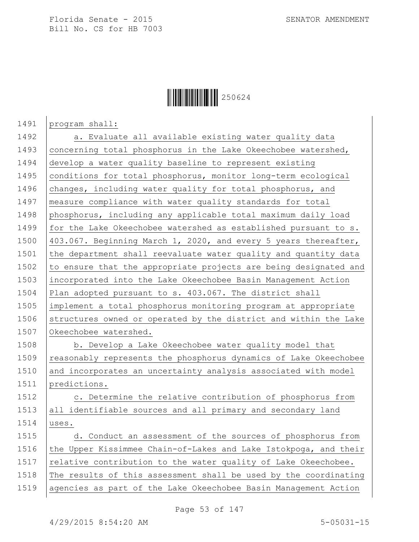## $\|$  $\|$  $\|$  $\|$  $\|$  $\|$  $250624$

1491 program shall:

1492 a. Evaluate all available existing water quality data 1493 concerning total phosphorus in the Lake Okeechobee watershed, 1494 develop a water quality baseline to represent existing 1495 | conditions for total phosphorus, monitor long-term ecological 1496 changes, including water quality for total phosphorus, and 1497 | measure compliance with water quality standards for total 1498 phosphorus, including any applicable total maximum daily load 1499 for the Lake Okeechobee watershed as established pursuant to s. 1500 403.067. Beginning March 1, 2020, and every 5 years thereafter, 1501 the department shall reevaluate water quality and quantity data 1502  $\vert$  to ensure that the appropriate projects are being designated and 1503 incorporated into the Lake Okeechobee Basin Management Action 1504 Plan adopted pursuant to s. 403.067. The district shall 1505 implement a total phosphorus monitoring program at appropriate 1506 structures owned or operated by the district and within the Lake 1507 Okeechobee watershed. 1508 b. Develop a Lake Okeechobee water quality model that 1509 reasonably represents the phosphorus dynamics of Lake Okeechobee 1510 and incorporates an uncertainty analysis associated with model 1511 predictions. 1512 | c. Determine the relative contribution of phosphorus from

1513 all identifiable sources and all primary and secondary land  $1514$  | uses.

1515 d. Conduct an assessment of the sources of phosphorus from 1516 the Upper Kissimmee Chain-of-Lakes and Lake Istokpoga, and their 1517  $\vert$  relative contribution to the water quality of Lake Okeechobee. 1518 The results of this assessment shall be used by the coordinating 1519 agencies as part of the Lake Okeechobee Basin Management Action

Page 53 of 147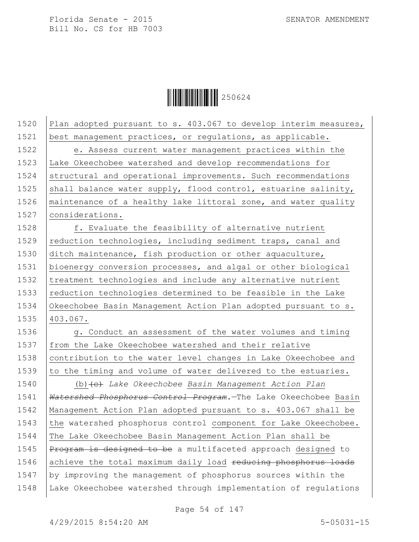

| 1520 | Plan adopted pursuant to s. 403.067 to develop interim measures, |
|------|------------------------------------------------------------------|
| 1521 | best management practices, or regulations, as applicable.        |
| 1522 | e. Assess current water management practices within the          |
| 1523 | Lake Okeechobee watershed and develop recommendations for        |
| 1524 | structural and operational improvements. Such recommendations    |
| 1525 | shall balance water supply, flood control, estuarine salinity,   |
| 1526 | maintenance of a healthy lake littoral zone, and water quality   |
| 1527 | considerations.                                                  |
| 1528 | f. Evaluate the feasibility of alternative nutrient              |
| 1529 | reduction technologies, including sediment traps, canal and      |
| 1530 | ditch maintenance, fish production or other aquaculture,         |
| 1531 | bioenergy conversion processes, and algal or other biological    |
| 1532 | treatment technologies and include any alternative nutrient      |
| 1533 | reduction technologies determined to be feasible in the Lake     |
| 1534 | Okeechobee Basin Management Action Plan adopted pursuant to s.   |
| 1535 | 403.067.                                                         |
| 1536 | g. Conduct an assessment of the water volumes and timing         |
| 1537 | from the Lake Okeechobee watershed and their relative            |
| 1538 | contribution to the water level changes in Lake Okeechobee and   |
| 1539 | to the timing and volume of water delivered to the estuaries.    |
| 1540 | (b) (e) Lake Okeechobee Basin Management Action Plan             |
| 1541 | Watershed Phosphorus Control Program. The Lake Okeechobee Basin  |
| 1542 | Management Action Plan adopted pursuant to s. 403.067 shall be   |
| 1543 | the watershed phosphorus control component for Lake Okeechobee.  |
| 1544 | The Lake Okeechobee Basin Management Action Plan shall be        |
| 1545 | Program is designed to be a multifaceted approach designed to    |
| 1546 | achieve the total maximum daily load reducing phosphorus loads   |
| 1547 | by improving the management of phosphorus sources within the     |
| 1548 | Lake Okeechobee watershed through implementation of regulations  |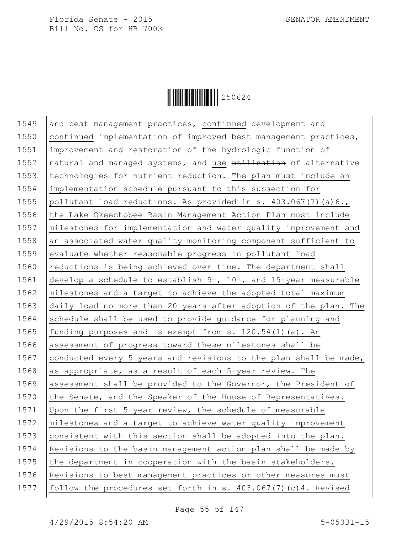

1549 and best management practices, continued development and 1550 continued implementation of improved best management practices, 1551 improvement and restoration of the hydrologic function of 1552 natural and managed systems, and use utilization of alternative 1553 | technologies for nutrient reduction. The plan must include an 1554 implementation schedule pursuant to this subsection for 1555 pollutant load reductions. As provided in s.  $403.067(7)(a)6.$ 1556 the Lake Okeechobee Basin Management Action Plan must include 1557 | milestones for implementation and water quality improvement and 1558 an associated water quality monitoring component sufficient to 1559 evaluate whether reasonable progress in pollutant load 1560  $\vert$  reductions is being achieved over time. The department shall 1561 develop a schedule to establish 5-, 10-, and 15-year measurable 1562 milestones and a target to achieve the adopted total maximum 1563 daily load no more than 20 years after adoption of the plan. The 1564 schedule shall be used to provide quidance for planning and 1565 | funding purposes and is exempt from s.  $120.54(1)(a)$ . An 1566 assessment of progress toward these milestones shall be 1567 conducted every 5 years and revisions to the plan shall be made, 1568 as appropriate, as a result of each  $5$ -year review. The 1569 assessment shall be provided to the Governor, the President of 1570  $\vert$  the Senate, and the Speaker of the House of Representatives. 1571 Upon the first 5-year review, the schedule of measurable 1572  $\mid$  milestones and a target to achieve water quality improvement 1573 consistent with this section shall be adopted into the plan. 1574 Revisions to the basin management action plan shall be made by 1575  $\vert$  the department in cooperation with the basin stakeholders. 1576 Revisions to best management practices or other measures must 1577 follow the procedures set forth in s. 403.067(7)(c)4. Revised

Page 55 of 147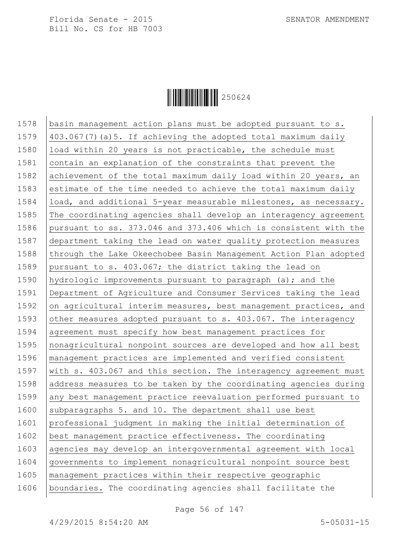

1578 | basin management action plans must be adopted pursuant to s. 1579  $\vert$  403.067(7) (a) 5. If achieving the adopted total maximum daily 1580 | load within 20 years is not practicable, the schedule must 1581 contain an explanation of the constraints that prevent the 1582 achievement of the total maximum daily load within 20 years, an 1583 estimate of the time needed to achieve the total maximum daily 1584 | load, and additional 5-year measurable milestones, as necessary. 1585 The coordinating agencies shall develop an interagency agreement 1586 pursuant to ss. 373.046 and 373.406 which is consistent with the 1587 department taking the lead on water quality protection measures 1588 through the Lake Okeechobee Basin Management Action Plan adopted 1589 pursuant to s. 403.067; the district taking the lead on 1590 hydrologic improvements pursuant to paragraph (a); and the 1591 Department of Agriculture and Consumer Services taking the lead 1592 on agricultural interim measures, best management practices, and 1593 other measures adopted pursuant to s. 403.067. The interagency 1594 agreement must specify how best management practices for 1595 | nonagricultural nonpoint sources are developed and how all best 1596 management practices are implemented and verified consistent 1597 | with s. 403.067 and this section. The interagency agreement must 1598 address measures to be taken by the coordinating agencies during 1599 any best management practice reevaluation performed pursuant to 1600 subparagraphs 5. and 10. The department shall use best 1601 professional judgment in making the initial determination of 1602 best management practice effectiveness. The coordinating 1603 agencies may develop an intergovernmental agreement with local 1604 governments to implement nonagricultural nonpoint source best 1605 management practices within their respective geographic 1606 boundaries. The coordinating agencies shall facilitate the

Page 56 of 147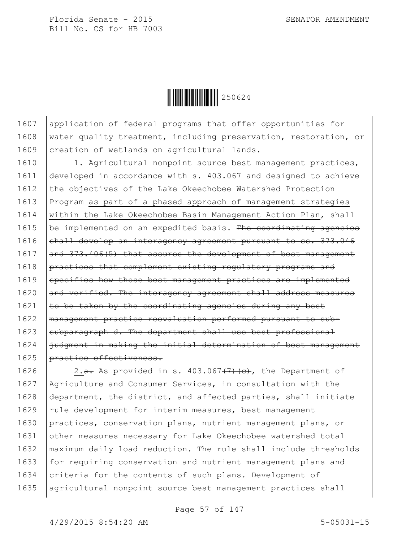$\|$  $\|$  $\|$  $\|$  $\|$  $\|$  $250624$ 

1607 application of federal programs that offer opportunities for 1608 water quality treatment, including preservation, restoration, or 1609 creation of wetlands on agricultural lands.

1610 | 1. Agricultural nonpoint source best management practices, 1611 developed in accordance with s. 403.067 and designed to achieve 1612 the objectives of the Lake Okeechobee Watershed Protection 1613 Program as part of a phased approach of management strategies 1614 | within the Lake Okeechobee Basin Management Action Plan, shall 1615  $\vert$  be implemented on an expedited basis. The coordinating agencies 1616 shall develop an interagency agreement pursuant to ss. 373.046  $1617$  and  $373.406(5)$  that assures the development of best management 1618 practices that complement existing regulatory programs and 1619 specifies how those best management practices are implemented 1620 and verified. The interagency agreement shall address measures 1621  $\vert$  to be taken by the coordinating agencies during any best 1622 management practice reevaluation performed pursuant to sub- $1623$  subparagraph d. The department shall use best professional 1624 judgment in making the initial determination of best management 1625 | practice effectiveness.

1626  $\vert$  2.<del>a.</del> As provided in s. 403.067<del>(7)(c)</del>, the Department of 1627 Agriculture and Consumer Services, in consultation with the 1628 department, the district, and affected parties, shall initiate 1629 | rule development for interim measures, best management 1630 practices, conservation plans, nutrient management plans, or 1631 other measures necessary for Lake Okeechobee watershed total 1632 maximum daily load reduction. The rule shall include thresholds 1633 for requiring conservation and nutrient management plans and 1634  $\vert$  criteria for the contents of such plans. Development of 1635 | agricultural nonpoint source best management practices shall

Page 57 of 147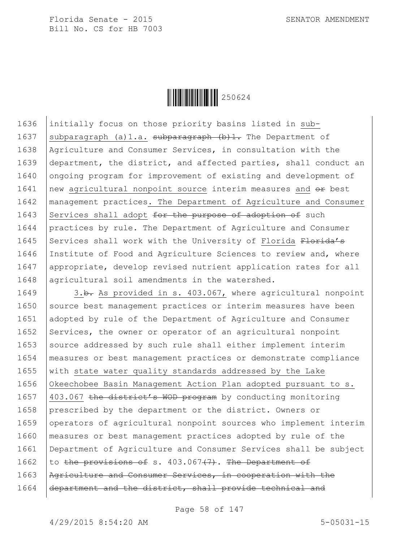

1636 initially focus on those priority basins listed in sub-1637 subparagraph (a)1.a. subparagraph  $(b)$ 1. The Department of 1638 Agriculture and Consumer Services, in consultation with the 1639 department, the district, and affected parties, shall conduct an 1640 ongoing program for improvement of existing and development of 1641  $\vert$  new agricultural nonpoint source interim measures and  $\theta$  best 1642 management practices. The Department of Agriculture and Consumer 1643 Services shall adopt  $f$ or the purpose of adoption of such 1644 practices by rule. The Department of Agriculture and Consumer 1645 Services shall work with the University of Florida Florida's 1646 Institute of Food and Agriculture Sciences to review and, where 1647 appropriate, develop revised nutrient application rates for all 1648 agricultural soil amendments in the watershed.

1649 3.b. As provided in s. 403.067, where agricultural nonpoint 1650 Source best management practices or interim measures have been 1651 adopted by rule of the Department of Agriculture and Consumer 1652 Services, the owner or operator of an agricultural nonpoint  $1653$  source addressed by such rule shall either implement interim 1654 measures or best management practices or demonstrate compliance 1655  $\vert$  with state water quality standards addressed by the Lake 1656 Okeechobee Basin Management Action Plan adopted pursuant to s. 1657 403.067 the district's WOD program by conducting monitoring 1658 prescribed by the department or the district. Owners or 1659 operators of agricultural nonpoint sources who implement interim 1660 measures or best management practices adopted by rule of the 1661 Department of Agriculture and Consumer Services shall be subject 1662 to the provisions of s.  $403.067(7)$ . The Department of 1663 Agriculture and Consumer Services, in cooperation with the 1664 department and the district, shall provide technical and

Page 58 of 147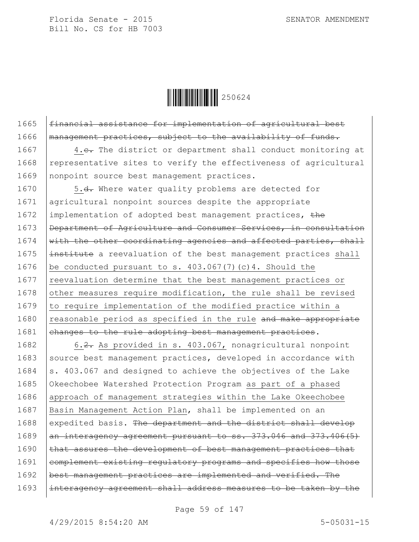

1665 | financial assistance for implementation of agricultural best 1666 | management practices, subject to the availability of funds.

1667 4.e. The district or department shall conduct monitoring at 1668 representative sites to verify the effectiveness of agricultural 1669 | nonpoint source best management practices.

1670 | 5.<del>d.</del> Where water quality problems are detected for 1671 agricultural nonpoint sources despite the appropriate 1672 implementation of adopted best management practices, the 1673 **Department of Agriculture and Consumer Services, in consultation** 1674  $\frac{1}{100}$  with the other coordinating agencies and affected parties, shall 1675  $\frac{1}{1000}$  institute a reevaluation of the best management practices shall 1676 | be conducted pursuant to s.  $403.067(7)$  (c) 4. Should the 1677 reevaluation determine that the best management practices or 1678 other measures require modification, the rule shall be revised 1679 to require implementation of the modified practice within a  $1680$  reasonable period as specified in the rule and make appropriate  $1681$  ehanges to the rule adopting best management practices.

1682 6.2. As provided in s. 403.067, nonagricultural nonpoint 1683 source best management practices, developed in accordance with 1684  $\vert$ s. 403.067 and designed to achieve the objectives of the Lake 1685 Okeechobee Watershed Protection Program as part of a phased 1686 approach of management strategies within the Lake Okeechobee 1687 | Basin Management Action Plan, shall be implemented on an 1688 expedited basis. The department and the district shall develop 1689  $\alpha$  interagency agreement pursuant to ss. 373.046 and 373.406(5)  $1690$  that assures the development of best management practices that 1691 complement existing regulatory programs and specifies how those 1692 | best management practices are implemented and verified. The 1693 |interagency agreement shall address measures to be taken by the

Page 59 of 147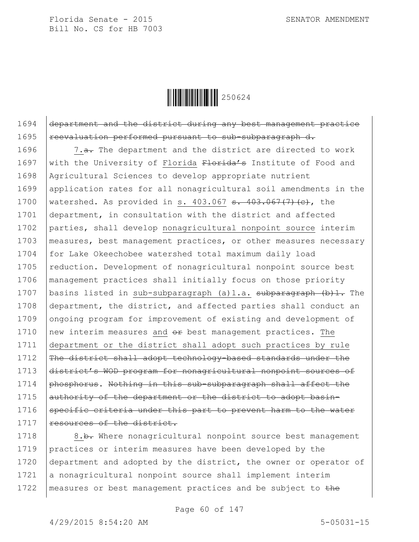

1694 department and the district during any best management practice 1695 | reevaluation performed pursuant to sub-subparagraph d.

1696  $\vert$  7.<del>a.</del> The department and the district are directed to work 1697 with the University of Florida  $F$ lorida's Institute of Food and 1698 Agricultural Sciences to develop appropriate nutrient 1699 application rates for all nonagricultural soil amendments in the 1700 | watershed. As provided in s. 403.067  $\frac{1}{3}$ . 403.067(7)(c), the 1701 department, in consultation with the district and affected 1702 parties, shall develop nonagricultural nonpoint source interim 1703 measures, best management practices, or other measures necessary 1704 for Lake Okeechobee watershed total maximum daily load 1705 reduction. Development of nonagricultural nonpoint source best 1706 management practices shall initially focus on those priority 1707 | basins listed in sub-subparagraph (a) 1.a. subparagraph (b) 1. The 1708 department, the district, and affected parties shall conduct an 1709 ongoing program for improvement of existing and development of 1710  $\vert$  new interim measures and  $\theta$  best management practices. The 1711 department or the district shall adopt such practices by rule 1712 The district shall adopt technology-based standards under the 1713 district's WOD program for nonagricultural nonpoint sources of 1714 | phosphorus. Nothing in this sub-subparagraph shall affect the 1715 authority of the department or the district to adopt basin-1716 Specific criteria under this part to prevent harm to the water 1717 resources of the district.

1718 | 8.b. Where nonagricultural nonpoint source best management 1719 practices or interim measures have been developed by the 1720 department and adopted by the district, the owner or operator of 1721 a nonagricultural nonpoint source shall implement interim 1722 | measures or best management practices and be subject to the

Page 60 of 147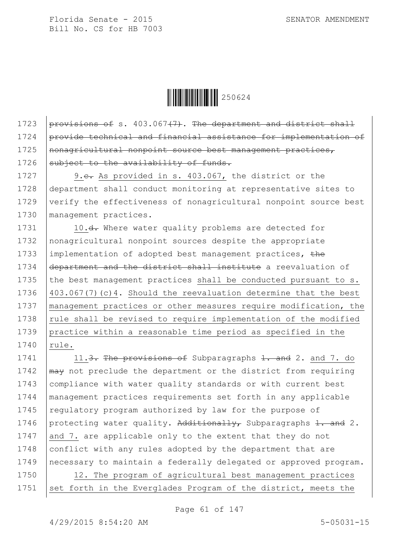$\|$  $\|$  $\|$  $\|$  $\|$  $\|$  $250624$ 

1723 provisions of s.  $403.067(7)$ . The department and district shall 1724 provide technical and financial assistance for implementation of 1725 | nonagricultural nonpoint source best management practices, 1726 subject to the availability of funds.

1727 9.e. As provided in s. 403.067, the district or the 1728 department shall conduct monitoring at representative sites to 1729 verify the effectiveness of nonagricultural nonpoint source best 1730 management practices.

1731 10.<del>d.</del> Where water quality problems are detected for 1732 nonagricultural nonpoint sources despite the appropriate 1733 implementation of adopted best management practices, the 1734 department and the district shall institute a reevaluation of 1735 the best management practices shall be conducted pursuant to s. 1736 403.067(7)(c)4. Should the reevaluation determine that the best 1737 | management practices or other measures require modification, the 1738  $\vert$  rule shall be revised to require implementation of the modified 1739 practice within a reasonable time period as specified in the 1740 | rule.

1741 | 11.<del>3. The provisions of</del> Subparagraphs 1. and 2. and 7. do 1742  $\mu$  may not preclude the department or the district from requiring 1743 | compliance with water quality standards or with current best 1744 management practices requirements set forth in any applicable 1745 regulatory program authorized by law for the purpose of 1746 protecting water quality. Additionally, Subparagraphs 1. and 2. 1747 and 7. are applicable only to the extent that they do not 1748 conflict with any rules adopted by the department that are 1749 necessary to maintain a federally delegated or approved program. 1750 12. The program of agricultural best management practices

1751 set forth in the Everglades Program of the district, meets the

Page 61 of 147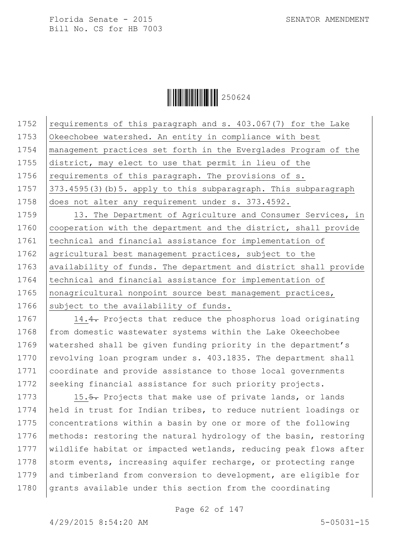

1752  $\vert$  requirements of this paragraph and s. 403.067(7) for the Lake 1753 Okeechobee watershed. An entity in compliance with best 1754 management practices set forth in the Everglades Program of the 1755 district, may elect to use that permit in lieu of the 1756 | requirements of this paragraph. The provisions of  $s$ . 1757  $\vert$  373.4595(3)(b)5. apply to this subparagraph. This subparagraph 1758 does not alter any requirement under s. 373.4592. 1759 | 13. The Department of Agriculture and Consumer Services, in 1760 cooperation with the department and the district, shall provide 1761 | technical and financial assistance for implementation of 1762 | agricultural best management practices, subject to the 1763 | availability of funds. The department and district shall provide 1764 technical and financial assistance for implementation of 1765 | nonagricultural nonpoint source best management practices, 1766 subject to the availability of funds.

1767 14.4. Projects that reduce the phosphorus load originating 1768 from domestic wastewater systems within the Lake Okeechobee 1769 watershed shall be given funding priority in the department's 1770  $\vert$  revolving loan program under s. 403.1835. The department shall 1771 coordinate and provide assistance to those local governments 1772 seeking financial assistance for such priority projects.

1773 15.5. Projects that make use of private lands, or lands 1774 held in trust for Indian tribes, to reduce nutrient loadings or 1775 concentrations within a basin by one or more of the following 1776 | methods: restoring the natural hydrology of the basin, restoring 1777 wildlife habitat or impacted wetlands, reducing peak flows after 1778 storm events, increasing aquifer recharge, or protecting range 1779 and timberland from conversion to development, are eligible for 1780 grants available under this section from the coordinating

Page 62 of 147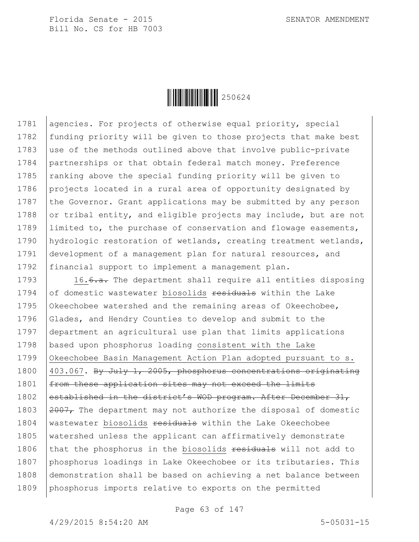

1781 agencies. For projects of otherwise equal priority, special 1782 funding priority will be given to those projects that make best 1783 use of the methods outlined above that involve public-private 1784 partnerships or that obtain federal match money. Preference 1785  $\vert$  ranking above the special funding priority will be given to 1786 projects located in a rural area of opportunity designated by 1787 the Governor. Grant applications may be submitted by any person 1788 or tribal entity, and eligible projects may include, but are not 1789 Ilimited to, the purchase of conservation and flowage easements, 1790 | hydrologic restoration of wetlands, creating treatment wetlands, 1791 development of a management plan for natural resources, and 1792 | financial support to implement a management plan.

1793  $16.6 \text{--}$  The department shall require all entities disposing 1794  $of$  domestic wastewater biosolids  $f$  residuals within the Lake 1795 Okeechobee watershed and the remaining areas of Okeechobee, 1796 Glades, and Hendry Counties to develop and submit to the 1797 department an agricultural use plan that limits applications 1798 based upon phosphorus loading consistent with the Lake 1799 Okeechobee Basin Management Action Plan adopted pursuant to s. 1800 403.067. By July 1, 2005, phosphorus concentrations originating 1801 | from these application sites may not exceed the limits 1802 established in the district's WOD program. After December 31, 1803  $\sqrt{2007}$ , The department may not authorize the disposal of domestic 1804 | wastewater biosolids <del>residuals</del> within the Lake Okeechobee 1805 | watershed unless the applicant can affirmatively demonstrate 1806 that the phosphorus in the biosolids residuals will not add to 1807 phosphorus loadings in Lake Okeechobee or its tributaries. This 1808 demonstration shall be based on achieving a net balance between 1809 phosphorus imports relative to exports on the permitted

Page 63 of 147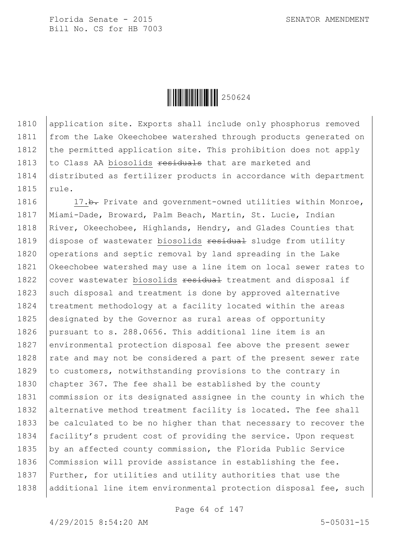

1810 application site. Exports shall include only phosphorus removed 1811 | from the Lake Okeechobee watershed through products generated on 1812 the permitted application site. This prohibition does not apply 1813  $\vert$  to Class AA biosolids  $\frac{1813}{\vert}$  that are marketed and 1814 distributed as fertilizer products in accordance with department 1815 rule.

1816 17.b. Private and government-owned utilities within Monroe, 1817 Miami-Dade, Broward, Palm Beach, Martin, St. Lucie, Indian 1818 | River, Okeechobee, Highlands, Hendry, and Glades Counties that 1819  $\vert$  dispose of wastewater biosolids residual sludge from utility 1820 operations and septic removal by land spreading in the Lake 1821 Okeechobee watershed may use a line item on local sewer rates to 1822 cover wastewater biosolids  $\frac{1822}{1000}$  treatment and disposal if 1823 such disposal and treatment is done by approved alternative 1824 | treatment methodology at a facility located within the areas 1825 designated by the Governor as rural areas of opportunity 1826 pursuant to s. 288.0656. This additional line item is an 1827 environmental protection disposal fee above the present sewer 1828  $\vert$  rate and may not be considered a part of the present sewer rate 1829 to customers, notwithstanding provisions to the contrary in 1830  $\vert$  chapter 367. The fee shall be established by the county 1831 commission or its designated assignee in the county in which the 1832 alternative method treatment facility is located. The fee shall 1833 be calculated to be no higher than that necessary to recover the 1834 facility's prudent cost of providing the service. Upon request 1835 by an affected county commission, the Florida Public Service 1836 Commission will provide assistance in establishing the fee. 1837 Further, for utilities and utility authorities that use the 1838 additional line item environmental protection disposal fee, such

Page 64 of 147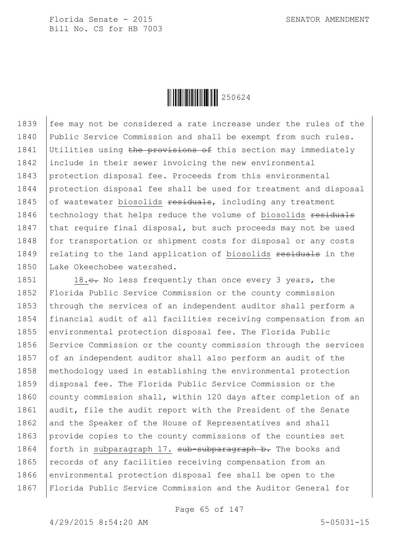

1839 fee may not be considered a rate increase under the rules of the 1840 Public Service Commission and shall be exempt from such rules. 1841 Utilities using the provisions of this section may immediately 1842 include in their sewer invoicing the new environmental 1843 protection disposal fee. Proceeds from this environmental 1844 protection disposal fee shall be used for treatment and disposal 1845  $\int$  of wastewater biosolids residuals, including any treatment 1846 | technology that helps reduce the volume of biosolids residuals 1847 that require final disposal, but such proceeds may not be used 1848 for transportation or shipment costs for disposal or any costs 1849 relating to the land application of biosolids residuals in the 1850 Lake Okeechobee watershed.

1851 18.e. No less frequently than once every 3 years, the 1852 Florida Public Service Commission or the county commission 1853 through the services of an independent auditor shall perform a 1854 financial audit of all facilities receiving compensation from an 1855 environmental protection disposal fee. The Florida Public 1856 Service Commission or the county commission through the services 1857 of an independent auditor shall also perform an audit of the 1858 methodology used in establishing the environmental protection 1859 disposal fee. The Florida Public Service Commission or the 1860 county commission shall, within 120 days after completion of an 1861 audit, file the audit report with the President of the Senate 1862 and the Speaker of the House of Representatives and shall 1863 provide copies to the county commissions of the counties set 1864 | forth in subparagraph 17. sub-subparagraph b. The books and 1865 | records of any facilities receiving compensation from an 1866 environmental protection disposal fee shall be open to the 1867 Florida Public Service Commission and the Auditor General for

Page 65 of 147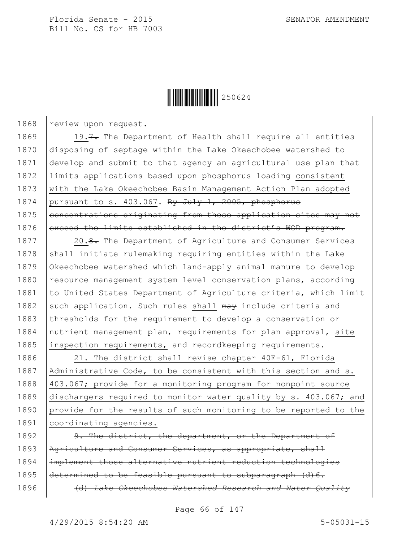

1868 review upon request.

1869 19.7. The Department of Health shall require all entities 1870 disposing of septage within the Lake Okeechobee watershed to 1871 develop and submit to that agency an agricultural use plan that 1872 limits applications based upon phosphorus loading consistent 1873 with the Lake Okeechobee Basin Management Action Plan adopted 1874 | pursuant to s. 403.067. By July 1, 2005, phosphorus 1875 concentrations originating from these application sites may not 1876 exceed the limits established in the district's WOD program.

1877 | 20.<del>8.</del> The Department of Agriculture and Consumer Services 1878 shall initiate rulemaking requiring entities within the Lake 1879 Okeechobee watershed which land-apply animal manure to develop 1880 resource management system level conservation plans, according 1881 to United States Department of Agriculture criteria, which limit 1882 such application. Such rules shall  $\frac{m}{m}$  include criteria and 1883 thresholds for the requirement to develop a conservation or 1884 | nutrient management plan, requirements for plan approval, site 1885 inspection requirements, and recordkeeping requirements.

1886 21. The district shall revise chapter 40E-61, Florida 1887 | Administrative Code, to be consistent with this section and s. 1888 403.067; provide for a monitoring program for nonpoint source 1889 dischargers required to monitor water quality by s. 403.067; and 1890 provide for the results of such monitoring to be reported to the 1891 | coordinating agencies.

 $\vert$  9. The district, the department, or the Department of 1893 | Agriculture and Consumer Services, as appropriate, shall implement those alternative nutrient reduction technologies  $\theta$  determined to be feasible pursuant to subparagraph  $(d)$  6. (d) *Lake Okeechobee Watershed Research and Water Quality* 

Page 66 of 147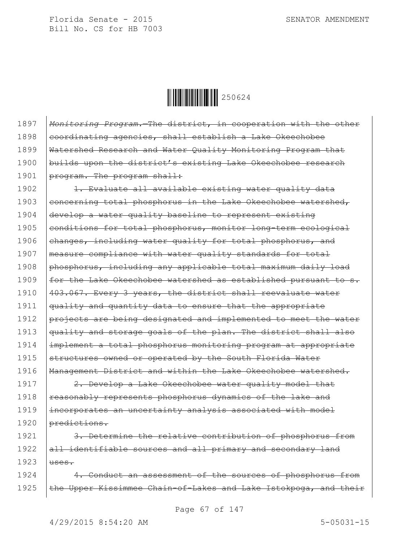Ì250624ÆÎ250624

1897 *Monitoring Program.*—The district, in cooperation with the other 1898 eoordinating agencies, shall establish a Lake Okeechobee 1899 | Watershed Research and Water Quality Monitoring Program that 1900 | builds upon the district's existing Lake Okeechobee research 1901 | program. The program shall: 1902 | 1. Evaluate all available existing water quality data 1903 concerning total phosphorus in the Lake Okeechobee watershed, 1904 develop a water quality baseline to represent existing 1905  $|$  conditions for total phosphorus, monitor long-term ecological 1906 ehanges, including water quality for total phosphorus, and 1907 | measure compliance with water quality standards for total 1908  $\beta$  phosphorus, including any applicable total maximum daily load 1909  $\pm$ or the Lake Okeechobee watershed as established pursuant to s. 1910 403.067. Every 3 years, the district shall reevaluate water 1911 | quality and quantity data to ensure that the appropriate 1912 projects are being designated and implemented to meet the water 1913 | quality and storage goals of the plan. The district shall also 1914 implement a total phosphorus monitoring program at appropriate 1915  $\beta$  structures owned or operated by the South Florida Water 1916 | Management District and within the Lake Okeechobee watershed. 1917 | 2. Develop a Lake Okeechobee water quality model that

1918 | reasonably represents phosphorus dynamics of the lake and 1919 incorporates an uncertainty analysis associated with model 1920 | predictions.

1921 | 3. Determine the relative contribution of phosphorus from  $1922$  all identifiable sources and all primary and secondary land 1923  $|$ uses.

1924 4. Conduct an assessment of the sources of phosphorus from 1925 | the Upper Kissimmee Chain-of-Lakes and Lake Istokpoga, and their

Page 67 of 147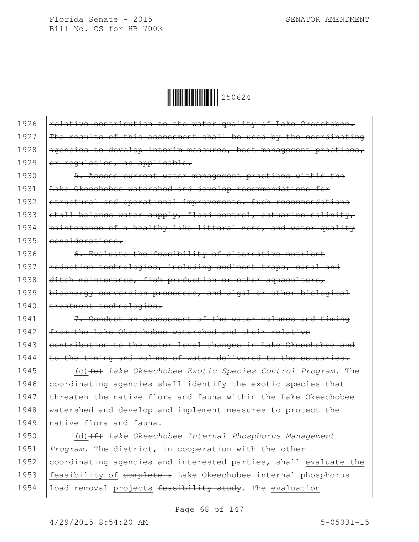Ì250624ÆÎ250624

 $\vert$  relative contribution to the water quality of Lake Okeechobee.  $\vert$  The results of this assessment shall be used by the coordinating 1928 agencies to develop interim measures, best management practices,  $\sigma$  regulation, as applicable.

1930 | 5. Assess current water management practices within the 1931 Lake Okeechobee watershed and develop recommendations for 1932 structural and operational improvements. Such recommendations 1933 | shall balance water supply, flood control, estuarine salinity, 1934 | maintenance of a healthy lake littoral zone, and water quality 1935 eonsiderations.

1936 6. Evaluate the feasibility of alternative nutrient 1937 | reduction technologies, including sediment traps, canal and 1938 ditch maintenance, fish production or other aquaculture, 1939 | bioenergy conversion processes, and algal or other biological 1940 | treatment technologies.

1941 **7.** Conduct an assessment of the water volumes and timing 1942 | from the Lake Okeechobee watershed and their relative 1943 eontribution to the water level changes in Lake Okeechobee and 1944  $\vert$  to the timing and volume of water delivered to the estuaries.

1945 (c)(e) *Lake Okeechobee Exotic Species Control Program.*—The 1946 coordinating agencies shall identify the exotic species that 1947 threaten the native flora and fauna within the Lake Okeechobee 1948 watershed and develop and implement measures to protect the 1949 Inative flora and fauna.

1950 (d)(f) *Lake Okeechobee Internal Phosphorus Management*  1951 *Program.*—The district, in cooperation with the other 1952 coordinating agencies and interested parties, shall evaluate the 1953 | feasibility of complete a Lake Okeechobee internal phosphorus 1954 | load removal projects feasibility study. The evaluation

Page 68 of 147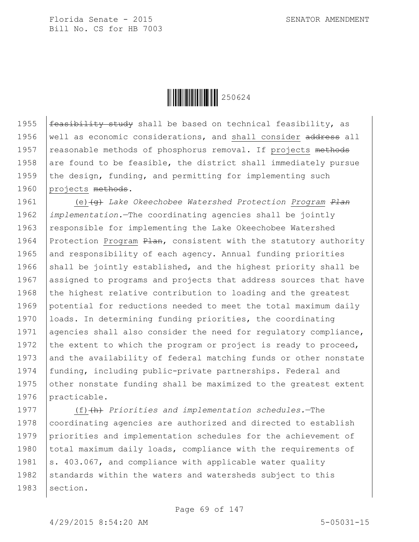

1955  $f_{\text{feasibility study}}$  study shall be based on technical feasibility, as 1956 | well as economic considerations, and shall consider address all 1957 | reasonable methods of phosphorus removal. If projects methods 1958 are found to be feasible, the district shall immediately pursue 1959 the design, funding, and permitting for implementing such 1960 projects methods.

1961 (e)(g) *Lake Okeechobee Watershed Protection Program Plan* 1962 *implementation.*—The coordinating agencies shall be jointly 1963 | responsible for implementing the Lake Okeechobee Watershed 1964 Protection Program  $\frac{P}{P}$  consistent with the statutory authority 1965 and responsibility of each agency. Annual funding priorities 1966 shall be jointly established, and the highest priority shall be 1967 assigned to programs and projects that address sources that have 1968  $\vert$  the highest relative contribution to loading and the greatest 1969 potential for reductions needed to meet the total maximum daily 1970 | loads. In determining funding priorities, the coordinating 1971 agencies shall also consider the need for regulatory compliance, 1972 the extent to which the program or project is ready to proceed, 1973 and the availability of federal matching funds or other nonstate 1974 funding, including public-private partnerships. Federal and 1975  $\vert$  other nonstate funding shall be maximized to the greatest extent 1976 practicable.

1977 (f)(h) *Priorities and implementation schedules.*—The 1978 coordinating agencies are authorized and directed to establish 1979 priorities and implementation schedules for the achievement of 1980 | total maximum daily loads, compliance with the requirements of 1981  $\vert$ s. 403.067, and compliance with applicable water quality 1982 standards within the waters and watersheds subject to this 1983 | section.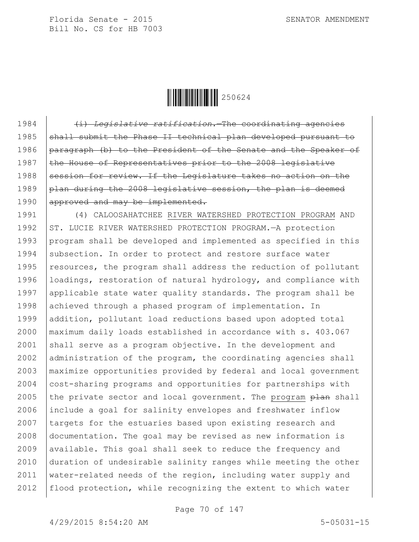$\|$  $\|$  $\|$  $\|$  $\|$  $\|$  $250624$ 

1984 (i) *Legislative ratification.*—The coordinating agencies 1985 shall submit the Phase II technical plan developed pursuant to 1986 paragraph (b) to the President of the Senate and the Speaker of 1987  $\vert$  the House of Representatives prior to the 2008 legislative 1988 Session for review. If the Legislature takes no action on the 1989  $\beta$  plan during the 2008 legislative session, the plan is deemed 1990 approved and may be implemented. 1991 (4) CALOOSAHATCHEE RIVER WATERSHED PROTECTION PROGRAM AND 1992 | ST. LUCIE RIVER WATERSHED PROTECTION PROGRAM. - A protection 1993 program shall be developed and implemented as specified in this 1994 subsection. In order to protect and restore surface water 1995  $resources,$  the program shall address the reduction of pollutant 1996 | loadings, restoration of natural hydrology, and compliance with 1997 applicable state water quality standards. The program shall be 1998 achieved through a phased program of implementation. In 1999 addition, pollutant load reductions based upon adopted total 2000 maximum daily loads established in accordance with s. 403.067 2001 shall serve as a program objective. In the development and 2002 administration of the program, the coordinating agencies shall 2003 maximize opportunities provided by federal and local government 2004 cost-sharing programs and opportunities for partnerships with 2005 the private sector and local government. The program  $n$  shall 2006 include a goal for salinity envelopes and freshwater inflow 2007 targets for the estuaries based upon existing research and 2008 documentation. The goal may be revised as new information is  $2009$  available. This goal shall seek to reduce the frequency and 2010 duration of undesirable salinity ranges while meeting the other 2011 water-related needs of the region, including water supply and 2012 | flood protection, while recognizing the extent to which water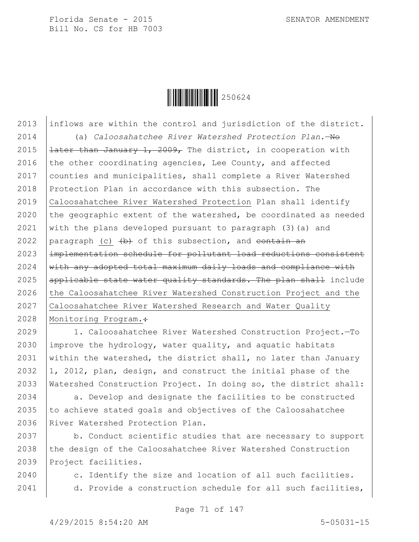

2013 inflows are within the control and jurisdiction of the district. 2014 (a) *Caloosahatchee River Watershed Protection Plan.*—No 2015  $\vert$  later than January 1, 2009, The district, in cooperation with 2016 the other coordinating agencies, Lee County, and affected 2017 counties and municipalities, shall complete a River Watershed 2018 Protection Plan in accordance with this subsection. The 2019 Caloosahatchee River Watershed Protection Plan shall identify 2020 the geographic extent of the watershed, be coordinated as needed 2021 with the plans developed pursuant to paragraph  $(3)(a)$  and 2022 paragraph (c)  $\left(\frac{b}{b}\right)$  of this subsection, and contain an 2023 implementation schedule for pollutant load reductions consistent  $2024$   $\frac{1}{1}$  with any adopted total maximum daily loads and compliance with 2025  $\alpha$  applicable state water quality standards. The plan shall include 2026 the Caloosahatchee River Watershed Construction Project and the 2027 Caloosahatchee River Watershed Research and Water Quality 2028 | Monitoring Program.:

 1. Caloosahatchee River Watershed Construction Project.—To  $\vert$  improve the hydrology, water quality, and aquatic habitats 2031 within the watershed, the district shall, no later than January 1, 2012, plan, design, and construct the initial phase of the Watershed Construction Project. In doing so, the district shall:

2034 a. Develop and designate the facilities to be constructed 2035  $\vert$  to achieve stated goals and objectives of the Caloosahatchee 2036 River Watershed Protection Plan.

2037 b. Conduct scientific studies that are necessary to support 2038  $\vert$  the design of the Caloosahatchee River Watershed Construction 2039 Project facilities.

2040 c. Identify the size and location of all such facilities. 2041 d. Provide a construction schedule for all such facilities,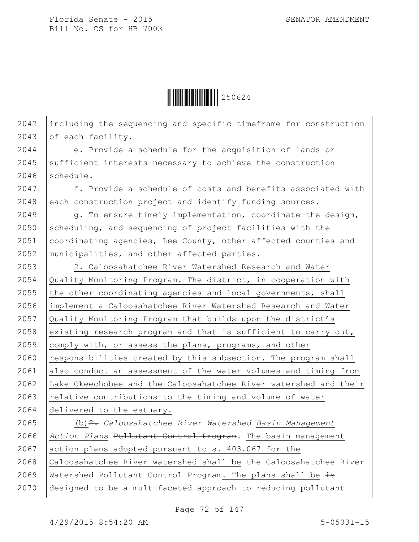

2042 including the sequencing and specific timeframe for construction 2043 of each facility.

2044 e. Provide a schedule for the acquisition of lands or  $2045$  sufficient interests necessary to achieve the construction 2046 schedule.

2047 f. Provide a schedule of costs and benefits associated with 2048 each construction project and identify funding sources.

2049  $\vert$  q. To ensure timely implementation, coordinate the design, 2050 scheduling, and sequencing of project facilities with the 2051 | coordinating agencies, Lee County, other affected counties and 2052 municipalities, and other affected parties.

2053 | 2. Caloosahatchee River Watershed Research and Water  $\sqrt{\Omega}$  Quality Monitoring Program.—The district, in cooperation with  $\vert$  the other coordinating agencies and local governments, shall implement a Caloosahatchee River Watershed Research and Water Quality Monitoring Program that builds upon the district's 2058 existing research program and that is sufficient to carry out, 2059 comply with, or assess the plans, programs, and other  $responsibleities created by this subsection. The program shall$ 2061 also conduct an assessment of the water volumes and timing from Lake Okeechobee and the Caloosahatchee River watershed and their  $\vert$  relative contributions to the timing and volume of water delivered to the estuary.

 (b)2. *Caloosahatchee River Watershed Basin Management Action Plans* Pollutant Control Program*.*—The basin management action plans adopted pursuant to s. 403.067 for the Caloosahatchee River watershed shall be the Caloosahatchee River 2069 Watershed Pollutant Control Program. The plans shall be  $\pm$ designed to be a multifaceted approach to reducing pollutant

Page 72 of 147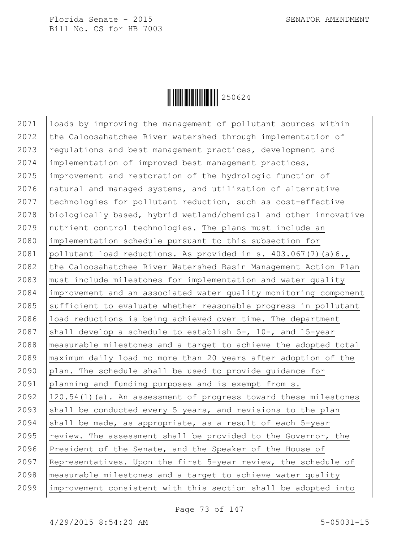

 loads by improving the management of pollutant sources within 2072 the Caloosahatchee River watershed through implementation of  $r_{\text{equations and best management practices, development and}$  implementation of improved best management practices, improvement and restoration of the hydrologic function of natural and managed systems, and utilization of alternative 2077 | technologies for pollutant reduction, such as cost-effective biologically based, hybrid wetland/chemical and other innovative nutrient control technologies. The plans must include an implementation schedule pursuant to this subsection for pollutant load reductions. As provided in s. 403.067(7)(a)6., 2082 the Caloosahatchee River Watershed Basin Management Action Plan must include milestones for implementation and water quality improvement and an associated water quality monitoring component 2085 sufficient to evaluate whether reasonable progress in pollutant 2086 | load reductions is being achieved over time. The department 2087 shall develop a schedule to establish  $5-$ , 10-, and 15-year measurable milestones and a target to achieve the adopted total maximum daily load no more than 20 years after adoption of the plan. The schedule shall be used to provide guidance for planning and funding purposes and is exempt from s. 120.54(1)(a). An assessment of progress toward these milestones 2093 shall be conducted every 5 years, and revisions to the plan 2094 shall be made, as appropriate, as a result of each -year  $\vert$  review. The assessment shall be provided to the Governor, the President of the Senate, and the Speaker of the House of Representatives. Upon the first 5-year review, the schedule of measurable milestones and a target to achieve water quality improvement consistent with this section shall be adopted into

Page 73 of 147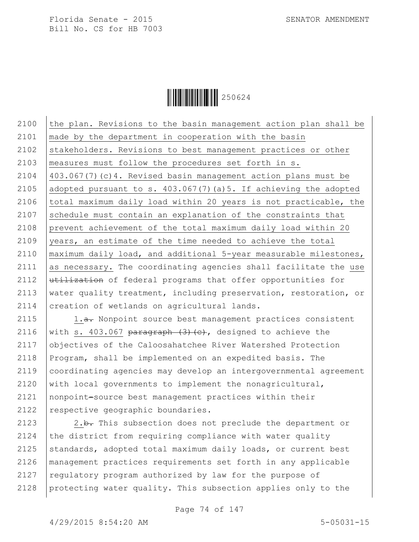

2100  $\vert$  the plan. Revisions to the basin management action plan shall be 2101 made by the department in cooperation with the basin 2102 Stakeholders. Revisions to best management practices or other 2103 measures must follow the procedures set forth in s. 2104 403.067(7)(c)4. Revised basin management action plans must be 2105 adopted pursuant to s.  $403.067(7)$  (a) 5. If achieving the adopted 2106 | total maximum daily load within 20 years is not practicable, the 2107 schedule must contain an explanation of the constraints that 2108 prevent achievement of the total maximum daily load within 20 2109 years, an estimate of the time needed to achieve the total 2110 maximum daily load, and additional 5-year measurable milestones, 2111 as necessary. The coordinating agencies shall facilitate the use 2112  $\mu$ tilization of federal programs that offer opportunities for 2113 | water quality treatment, including preservation, restoration, or 2114 creation of wetlands on agricultural lands.

2115 1.a. Nonpoint source best management practices consistent 2116 with s. 403.067 paragraph  $(3)$   $(e)$ , designed to achieve the objectives of the Caloosahatchee River Watershed Protection Program, shall be implemented on an expedited basis. The coordinating agencies may develop an intergovernmental agreement  $\vert$  with local governments to implement the nonagricultural, nonpoint-source best management practices within their 2122 | respective geographic boundaries.

 $\vert$  2.b. This subsection does not preclude the department or  $\vert$  the district from requiring compliance with water quality 2125 standards, adopted total maximum daily loads, or current best management practices requirements set forth in any applicable  $\vert$  regulatory program authorized by law for the purpose of protecting water quality. This subsection applies only to the

Page 74 of 147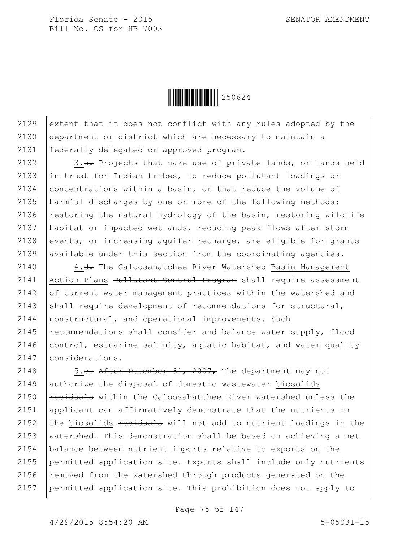

2129 extent that it does not conflict with any rules adopted by the 2130 department or district which are necessary to maintain a 2131 federally delegated or approved program.

2132  $\vert$  3.e. Projects that make use of private lands, or lands held 2133 in trust for Indian tribes, to reduce pollutant loadings or 2134 concentrations within a basin, or that reduce the volume of 2135 harmful discharges by one or more of the following methods: 2136 restoring the natural hydrology of the basin, restoring wildlife 2137 habitat or impacted wetlands, reducing peak flows after storm 2138 events, or increasing aquifer recharge, are eligible for grants  $2139$  available under this section from the coordinating agencies.

2140 4.<del>d.</del> The Caloosahatchee River Watershed Basin Management 2141 | Action Plans Pollutant Control Program shall require assessment 2142 of current water management practices within the watershed and 2143 shall require development of recommendations for structural, 2144 nonstructural, and operational improvements. Such 2145 | recommendations shall consider and balance water supply, flood 2146  $\vert$  control, estuarine salinity, aquatic habitat, and water quality 2147 considerations.

2148 | 5.e. After December 31, 2007, The department may not authorize the disposal of domestic wastewater biosolids  $\vert$  residuals within the Caloosahatchee River watershed unless the applicant can affirmatively demonstrate that the nutrients in 2152 the biosolids  $\frac{1}{2}$  residuals will not add to nutrient loadings in the 2153 | watershed. This demonstration shall be based on achieving a net balance between nutrient imports relative to exports on the permitted application site. Exports shall include only nutrients  $\vert$  removed from the watershed through products generated on the permitted application site. This prohibition does not apply to

Page 75 of 147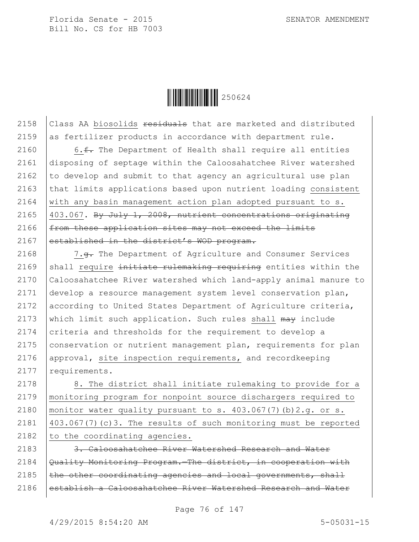

2158  $|$  Class AA biosolids  $\frac{1}{2}$  residuals that are marketed and distributed 2159 as fertilizer products in accordance with department rule.

 $\vert$  6. f. The Department of Health shall require all entities disposing of septage within the Caloosahatchee River watershed  $\vert$  to develop and submit to that agency an agricultural use plan  $\vert$  that limits applications based upon nutrient loading consistent  $\vert$  with any basin management action plan adopted pursuant to s.  $|403.067$ . By July 1, 2008, nutrient concentrations originating | from these application sites may not exceed the limits 2167 established in the district's WOD program.

2168 | 7.<del>g.</del> The Department of Agriculture and Consumer Services 2169 shall require initiate rulemaking requiring entities within the 2170 Caloosahatchee River watershed which land-apply animal manure to 2171 develop a resource management system level conservation plan, 2172 according to United States Department of Agriculture criteria, 2173 which limit such application. Such rules shall  $\theta$  may include 2174 criteria and thresholds for the requirement to develop a 2175 conservation or nutrient management plan, requirements for plan 2176 approval, site inspection requirements, and recordkeeping 2177 requirements.

2178 | 8. The district shall initiate rulemaking to provide for a monitoring program for nonpoint source dischargers required to monitor water quality pursuant to s. 403.067(7)(b)2.g. or s.  $\vert$  403.067(7)(c)3. The results of such monitoring must be reported to the coordinating agencies.

2183 3. Caloosahatchee River Watershed Research and Water 2184  $\sqrt{Quality Monitoring Program.}$ The district, in cooperation with  $2185$  the other coordinating agencies and local governments, shall 2186 | establish a Caloosahatchee River Watershed Research and Water

Page 76 of 147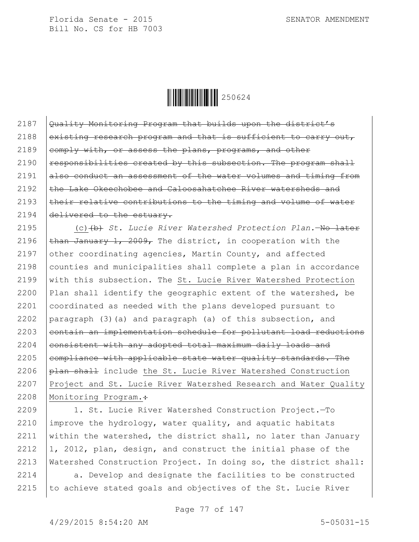Ì250624ÆÎ250624

 Quality Monitoring Program that builds upon the district's 2188 existing research program and that is sufficient to carry out, 2189 comply with, or assess the plans, programs, and other  $\vert$  responsibilities created by this subsection. The program shall also conduct an assessment of the water volumes and timing from the Lake Okeechobee and Caloosahatchee River watersheds and  $\vert$  their relative contributions to the timing and volume of water 2194 delivered to the estuary.

2195 (c)(b) *St. Lucie River Watershed Protection Plan.*—No later 2196  $\tanh$  January 1, 2009, The district, in cooperation with the 2197 other coordinating agencies, Martin County, and affected 2198 counties and municipalities shall complete a plan in accordance 2199 with this subsection. The St. Lucie River Watershed Protection 2200 | Plan shall identify the geographic extent of the watershed, be 2201 coordinated as needed with the plans developed pursuant to 2202 paragraph (3)(a) and paragraph (a) of this subsection, and  $2203$  eontain an implementation schedule for pollutant load reductions  $2204$  eonsistent with any adopted total maximum daily loads and 2205 compliance with applicable state water quality standards. The 2206  $\beta$  and  $\beta$  include the St. Lucie River Watershed Construction 2207 Project and St. Lucie River Watershed Research and Water Quality 2208 | Monitoring Program.:

 1. St. Lucie River Watershed Construction Project.—To  $\vert$  improve the hydrology, water quality, and aquatic habitats 2211 within the watershed, the district shall, no later than January  $\vert$ 1, 2012, plan, design, and construct the initial phase of the Watershed Construction Project. In doing so, the district shall:

 $2214$  a. Develop and designate the facilities to be constructed  $2215$  to achieve stated goals and objectives of the St. Lucie River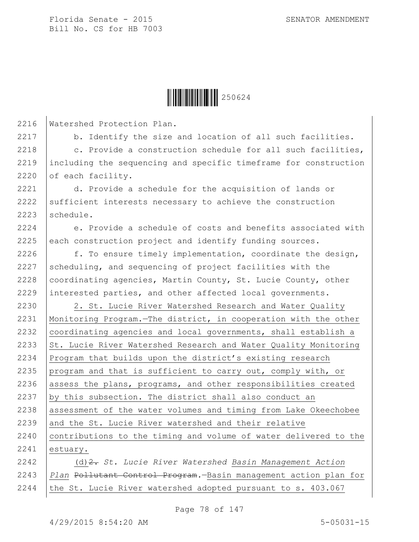

2216 Watershed Protection Plan.

2217 b. Identify the size and location of all such facilities.

2218  $\vert$  c. Provide a construction schedule for all such facilities, 2219 including the sequencing and specific timeframe for construction 2220 of each facility.

2221 d. Provide a schedule for the acquisition of lands or 2222 sufficient interests necessary to achieve the construction 2223 schedule.

 $2224$  e. Provide a schedule of costs and benefits associated with  $2225$  each construction project and identify funding sources.

 $\vert$  f. To ensure timely implementation, coordinate the design,  $\beta$  scheduling, and sequencing of project facilities with the  $|$  coordinating agencies, Martin County, St. Lucie County, other 2229 interested parties, and other affected local governments.

2230 | 2. St. Lucie River Watershed Research and Water Quality 2231 Monitoring Program.—The district, in cooperation with the other 2232 coordinating agencies and local governments, shall establish a 2233  $\vert$  St. Lucie River Watershed Research and Water Quality Monitoring 2234 Program that builds upon the district's existing research 2235 program and that is sufficient to carry out, comply with, or 2236 assess the plans, programs, and other responsibilities created 2237  $\vert$  by this subsection. The district shall also conduct an 2238 assessment of the water volumes and timing from Lake Okeechobee 2239 and the St. Lucie River watershed and their relative 2240 | contributions to the timing and volume of water delivered to the 2241 estuary. 2242 (d)2. *St. Lucie River Watershed Basin Management Action* 

2243 *Plan* Pollutant Control Program*.*—Basin management action plan for 2244 | the St. Lucie River watershed adopted pursuant to s.  $403.067$ 

Page 78 of 147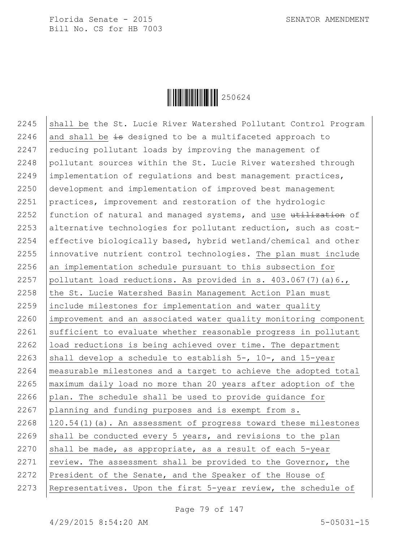

2245 Shall be the St. Lucie River Watershed Pollutant Control Program 2246 and shall be  $\frac{1}{2}$  designed to be a multifaceted approach to  $2247$  reducing pollutant loads by improving the management of  $2248$  pollutant sources within the St. Lucie River watershed through 2249 implementation of regulations and best management practices, 2250 development and implementation of improved best management 2251 practices, improvement and restoration of the hydrologic 2252 function of natural and managed systems, and use  $\frac{u}{u}$ 2253 alternative technologies for pollutant reduction, such as cost-2254 effective biologically based, hybrid wetland/chemical and other 2255 innovative nutrient control technologies. The plan must include  $2256$  an implementation schedule pursuant to this subsection for 2257 pollutant load reductions. As provided in s.  $403.067(7)(a)6.$ 2258 the St. Lucie Watershed Basin Management Action Plan must 2259 include milestones for implementation and water quality 2260 improvement and an associated water quality monitoring component  $2261$  sufficient to evaluate whether reasonable progress in pollutant 2262 load reductions is being achieved over time. The department 2263 shall develop a schedule to establish  $5-$ , 10-, and 15-year 2264 measurable milestones and a target to achieve the adopted total 2265 maximum daily load no more than 20 years after adoption of the 2266 plan. The schedule shall be used to provide guidance for 2267 planning and funding purposes and is exempt from s. 2268  $\mid$  120.54(1)(a). An assessment of progress toward these milestones 2269 shall be conducted every 5 years, and revisions to the plan 2270 shall be made, as appropriate, as a result of each  $5$ -year 2271 review. The assessment shall be provided to the Governor, the 2272 President of the Senate, and the Speaker of the House of 2273 Representatives. Upon the first 5-year review, the schedule of

Page 79 of 147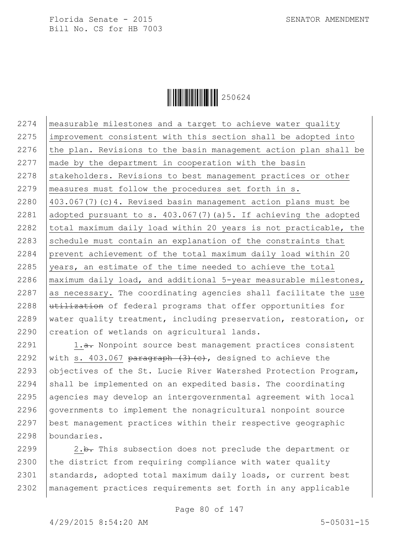

 measurable milestones and a target to achieve water quality improvement consistent with this section shall be adopted into  $\vert$  the plan. Revisions to the basin management action plan shall be  $\vert$  made by the department in cooperation with the basin 2278 Stakeholders. Revisions to best management practices or other measures must follow the procedures set forth in s. 403.067(7)(c)4. Revised basin management action plans must be adopted pursuant to s. 403.067(7)(a)5. If achieving the adopted  $\vert$  total maximum daily load within 20 years is not practicable, the 2283 schedule must contain an explanation of the constraints that prevent achievement of the total maximum daily load within 20  $\sqrt{2285}$  vears, an estimate of the time needed to achieve the total 2286 | maximum daily load, and additional  $5$ -year measurable milestones, as necessary. The coordinating agencies shall facilitate the use  $u\text{tilization}$  of federal programs that offer opportunities for 2289 | water quality treatment, including preservation, restoration, or 2290 creation of wetlands on agricultural lands.

2291 | 1.a. Nonpoint source best management practices consistent 2292 with s. 403.067 paragraph  $(3)$  (c), designed to achieve the 2293 objectives of the St. Lucie River Watershed Protection Program,  $\vert$  shall be implemented on an expedited basis. The coordinating agencies may develop an intergovernmental agreement with local governments to implement the nonagricultural nonpoint source best management practices within their respective geographic boundaries.

2299  $\vert$  2.b. This subsection does not preclude the department or 2300 the district from requiring compliance with water quality 2301 standards, adopted total maximum daily loads, or current best 2302 management practices requirements set forth in any applicable

Page 80 of 147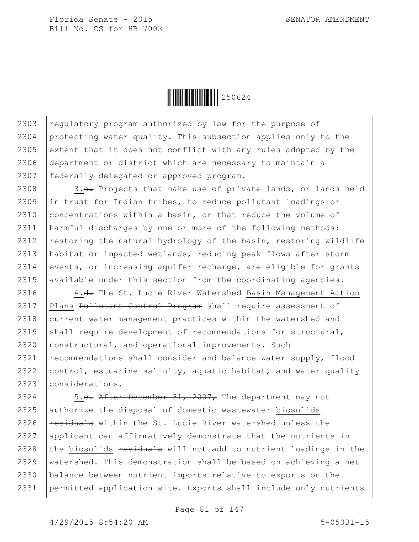$\|$  $\|$  $\|$  $\|$  $\|$  $\|$  $250624$ 

 $\vert$  regulatory program authorized by law for the purpose of protecting water quality. This subsection applies only to the 2305 extent that it does not conflict with any rules adopted by the department or district which are necessary to maintain a federally delegated or approved program.

2308 3.e. Projects that make use of private lands, or lands held 2309 in trust for Indian tribes, to reduce pollutant loadings or 2310 concentrations within a basin, or that reduce the volume of 2311 harmful discharges by one or more of the following methods: 2312 restoring the natural hydrology of the basin, restoring wildlife 2313 habitat or impacted wetlands, reducing peak flows after storm 2314 events, or increasing aquifer recharge, are eligible for grants 2315 available under this section from the coordinating agencies.

2316 4.<del>d.</del> The St. Lucie River Watershed Basin Management Action 2317 | Plans Pollutant Control Program shall require assessment of 2318 current water management practices within the watershed and 2319 shall require development of recommendations for structural, 2320 nonstructural, and operational improvements. Such 2321 recommendations shall consider and balance water supply, flood 2322  $|control,$  estuarine salinity, aquatic habitat, and water quality 2323 considerations.

 $\vert$  5.e. After December 31, 2007, The department may not 2325 authorize the disposal of domestic wastewater biosolids  $\vert$  residuals within the St. Lucie River watershed unless the 2327 applicant can affirmatively demonstrate that the nutrients in  $\vert$  the biosolids  $\frac{1}{2}$  residuals will not add to nutrient loadings in the watershed. This demonstration shall be based on achieving a net balance between nutrient imports relative to exports on the permitted application site. Exports shall include only nutrients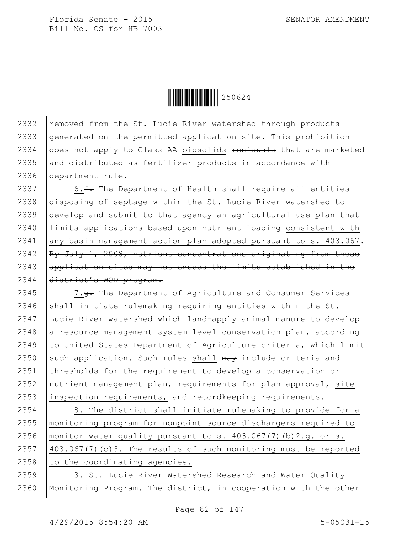

2332 removed from the St. Lucie River watershed through products generated on the permitted application site. This prohibition  $\vert$  does not apply to Class AA biosolids  $\frac{1}{100}$  residuals that are marketed and distributed as fertilizer products in accordance with department rule.

 $\vert$  6.<del>f.</del> The Department of Health shall require all entities disposing of septage within the St. Lucie River watershed to develop and submit to that agency an agricultural use plan that limits applications based upon nutrient loading consistent with 2341 any basin management action plan adopted pursuant to  $s. 403.067$ .  $\beta$  By July 1, 2008, nutrient concentrations originating from these 2343 application sites may not exceed the limits established in the district's WOD program.

2345 | 7.g. The Department of Agriculture and Consumer Services 2346 shall initiate rulemaking requiring entities within the St. 2347 Lucie River watershed which land-apply animal manure to develop 2348 a resource management system level conservation plan, according 2349 to United States Department of Agriculture criteria, which limit 2350 such application. Such rules shall  $\frac{m}{m}$  include criteria and 2351 thresholds for the requirement to develop a conservation or 2352 | nutrient management plan, requirements for plan approval, site 2353 inspection requirements, and recordkeeping requirements.

2354 8. The district shall initiate rulemaking to provide for a 2355 monitoring program for nonpoint source dischargers required to 2356 | monitor water quality pursuant to s.  $403.067(7)$  (b)  $2.g.$  or s. 2357 403.067(7)(c)3. The results of such monitoring must be reported  $2358$  to the coordinating agencies.

2359 | 3. St. Lucie River Watershed Research and Water Quality 2360 | Monitoring Program. The district, in cooperation with the other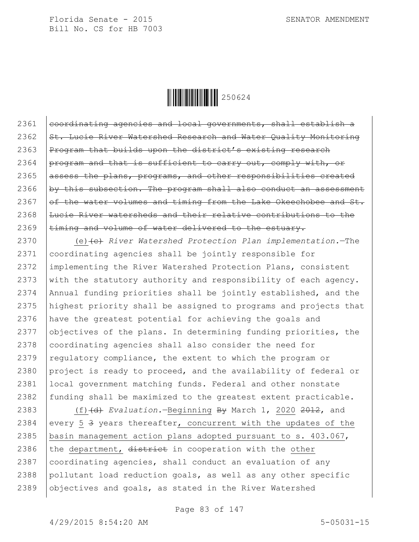

 $|$  coordinating agencies and local governments, shall establish a  $\overline{\text{St.}}$  Lucie River Watershed Research and Water Quality Monitoring 2363 | Program that builds upon the district's existing research  $permath$  and that is sufficient to carry out, comply with, or assess the plans, programs, and other responsibilities created  $by this subsection. The program shall also conduct an assessment$  $\sigma$  of the water volumes and timing from the Lake Okeechobee and St. Lucie River watersheds and their relative contributions to the  $\pm i$ ming and volume of water delivered to the estuary.

2370 (e) (e) *River Watershed Protection Plan implementation*.<sup>—The</sup> coordinating agencies shall be jointly responsible for implementing the River Watershed Protection Plans, consistent 2373 with the statutory authority and responsibility of each agency. Annual funding priorities shall be jointly established, and the highest priority shall be assigned to programs and projects that have the greatest potential for achieving the goals and  $\vert$  objectives of the plans. In determining funding priorities, the 2378 coordinating agencies shall also consider the need for  $\vert$  regulatory compliance, the extent to which the program or 2380 project is ready to proceed, and the availability of federal or local government matching funds. Federal and other nonstate 2382 funding shall be maximized to the greatest extent practicable.

 (f)(d) *Evaluation.*—Beginning By March 1, 2020 2012, and 2384 every 5  $\frac{3}{5}$  years thereafter, concurrent with the updates of the basin management action plans adopted pursuant to s. 403.067, 2386 the department,  $\frac{d\text{istrict}}{dt}$  in cooperation with the other  $\vert$  coordinating agencies, shall conduct an evaluation of any pollutant load reduction goals, as well as any other specific objectives and goals, as stated in the River Watershed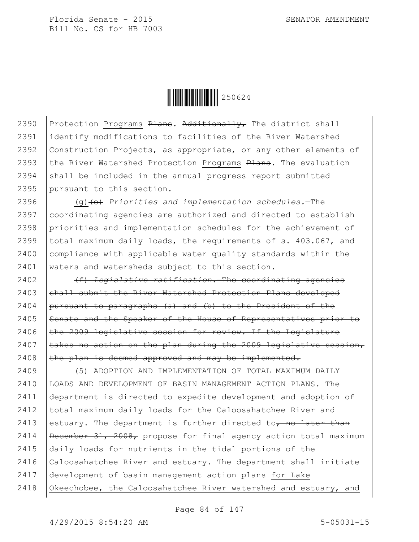

2390 Protection Programs Plans. Additionally, The district shall 2391 identify modifications to facilities of the River Watershed 2392 Construction Projects, as appropriate, or any other elements of 2393 the River Watershed Protection Programs  $Plans$ . The evaluation  $2394$  shall be included in the annual progress report submitted 2395 pursuant to this section.

 (g)(e) *Priorities and implementation schedules.*—The coordinating agencies are authorized and directed to establish priorities and implementation schedules for the achievement of total maximum daily loads, the requirements of s. 403.067, and 2400 compliance with applicable water quality standards within the waters and watersheds subject to this section.

2402 (f) *Legislative ratification.*—The coordinating agencies 2403 shall submit the River Watershed Protection Plans developed 2404 | pursuant to paragraphs  $(a)$  and  $(b)$  to the President of the 2405 Senate and the Speaker of the House of Representatives prior to  $2406$  the 2009 legislative session for review. If the Legislature 2407  $\vert$  takes no action on the plan during the 2009 legislative session, 2408  $\theta$  the plan is deemed approved and may be implemented.

2409 (5) ADOPTION AND IMPLEMENTATION OF TOTAL MAXIMUM DAILY 2410 LOADS AND DEVELOPMENT OF BASIN MANAGEMENT ACTION PLANS.—The 2411 department is directed to expedite development and adoption of 2412 | total maximum daily loads for the Caloosahatchee River and 2413 estuary. The department is further directed to, no later than 2414 | December 31, 2008, propose for final agency action total maximum 2415 daily loads for nutrients in the tidal portions of the 2416 Caloosahatchee River and estuary. The department shall initiate 2417 development of basin management action plans for Lake 2418 Okeechobee, the Caloosahatchee River watershed and estuary, and

Page 84 of 147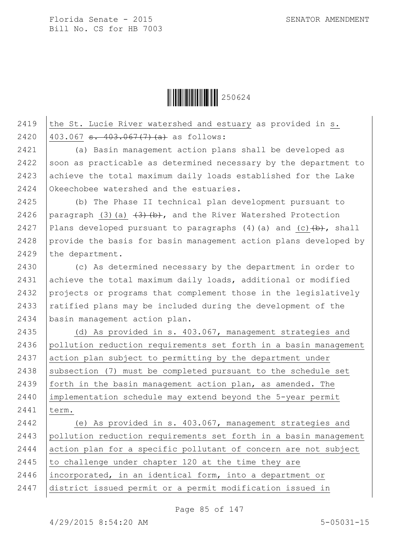

## 2419 the St. Lucie River watershed and estuary as provided in  $s$ . 2420  $|403.067 \text{ s. } 403.067(7)(a)$  as follows:

2421 (a) Basin management action plans shall be developed as 2422 soon as practicable as determined necessary by the department to 2423 achieve the total maximum daily loads established for the Lake 2424 Okeechobee watershed and the estuaries.

2425 (b) The Phase II technical plan development pursuant to 2426 | paragraph (3)(a)  $(3)(b)$ , and the River Watershed Protection 2427 Plans developed pursuant to paragraphs (4)(a) and (c) $\leftrightarrow$ , shall 2428 provide the basis for basin management action plans developed by 2429 the department.

 (c) As determined necessary by the department in order to 2431 achieve the total maximum daily loads, additional or modified projects or programs that complement those in the legislatively  $r$  ratified plans may be included during the development of the basin management action plan.

2435 (d) As provided in s. 403.067, management strategies and 2436 pollution reduction requirements set forth in a basin management 2437 action plan subject to permitting by the department under 2438 | subsection (7) must be completed pursuant to the schedule set 2439 forth in the basin management action plan, as amended. The 2440 implementation schedule may extend beyond the 5-year permit 2441 term.

 (e) As provided in s. 403.067, management strategies and pollution reduction requirements set forth in a basin management action plan for a specific pollutant of concern are not subject  $\vert$  to challenge under chapter 120 at the time they are incorporated, in an identical form, into a department or district issued permit or a permit modification issued in

Page 85 of 147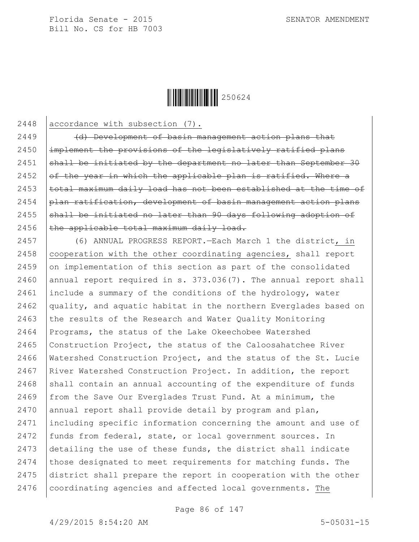

2448 accordance with subsection (7).

 (d) Development of basin management action plans that |implement the provisions of the legislatively ratified plans  $\beta$  shall be initiated by the department no later than September 30  $\sigma$  of the year in which the applicable plan is ratified. Where a  $|$  total maximum daily load has not been established at the time of  $\beta$  plan ratification, development of basin management action plans  $\beta$  shall be initiated no later than 90 days following adoption of the applicable total maximum daily load.

 (6) ANNUAL PROGRESS REPORT.—Each March 1 the district, in 2458 | cooperation with the other coordinating agencies, shall report on implementation of this section as part of the consolidated 2460 annual report required in s.  $373.036(7)$ . The annual report shall include a summary of the conditions of the hydrology, water 2462 quality, and aquatic habitat in the northern Everglades based on 2463 the results of the Research and Water Quality Monitoring Programs, the status of the Lake Okeechobee Watershed  $\vert$  Construction Project, the status of the Caloosahatchee River Watershed Construction Project, and the status of the St. Lucie 2467 | River Watershed Construction Project. In addition, the report shall contain an annual accounting of the expenditure of funds from the Save Our Everglades Trust Fund. At a minimum, the annual report shall provide detail by program and plan, including specific information concerning the amount and use of funds from federal, state, or local government sources. In detailing the use of these funds, the district shall indicate 2474 those designated to meet requirements for matching funds. The district shall prepare the report in cooperation with the other 2476 | coordinating agencies and affected local governments. The

Page 86 of 147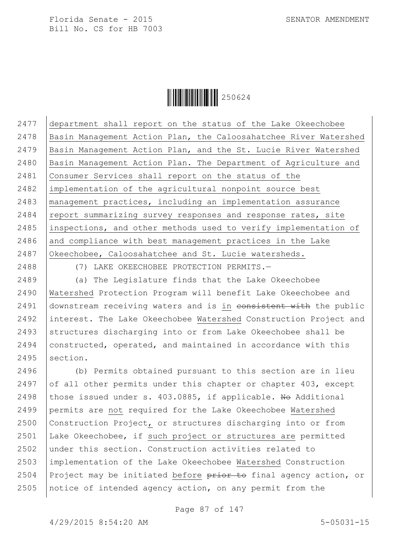

 department shall report on the status of the Lake Okeechobee Basin Management Action Plan, the Caloosahatchee River Watershed Basin Management Action Plan, and the St. Lucie River Watershed Basin Management Action Plan. The Department of Agriculture and Consumer Services shall report on the status of the implementation of the agricultural nonpoint source best management practices, including an implementation assurance report summarizing survey responses and response rates, site 2485 inspections, and other methods used to verify implementation of and compliance with best management practices in the Lake 2487 Okeechobee, Caloosahatchee and St. Lucie watersheds.

2488 (7) LAKE OKEECHOBEE PROTECTION PERMITS.—

2489 (a) The Legislature finds that the Lake Okeechobee 2490 Watershed Protection Program will benefit Lake Okeechobee and 2491 downstream receiving waters and is in consistent with the public 2492 interest. The Lake Okeechobee Watershed Construction Project and 2493 Structures discharging into or from Lake Okeechobee shall be 2494 constructed, operated, and maintained in accordance with this 2495  $section.$ 

 (b) Permits obtained pursuant to this section are in lieu 2497 of all other permits under this chapter or chapter 403, except 2498 those issued under s. 403.0885, if applicable. No Additional permits are not required for the Lake Okeechobee Watershed Construction Project, or structures discharging into or from Lake Okeechobee, if such project or structures are permitted under this section. Construction activities related to implementation of the Lake Okeechobee Watershed Construction 2504 Project may be initiated before  $\frac{1}{100}$  be final agency action, or notice of intended agency action, on any permit from the

Page 87 of 147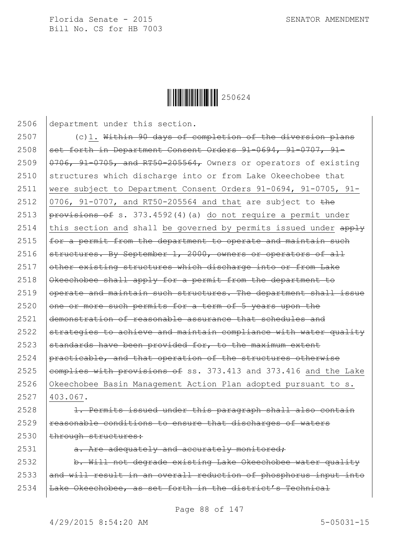

 department under this section. 2507 (c)1. Within 90 days of completion of the diversion plans |set forth in Department Consent Orders 91-0694, 91-0707, 91- $\sqrt{0.9706}$ , 91-0705, and RT50-205564, Owners or operators of existing 2510 Structures which discharge into or from Lake Okeechobee that were subject to Department Consent Orders 91-0694, 91-0705, 91-  $\sqrt{0706}$ , 91-0707, and RT50-205564 and that are subject to the  $permath$   $\frac{1}{2513}$   $permath$   $\frac{1}{2513}$   $\frac{1}{273}$ . 4592(4)(a) do not require a permit under 2514 this section and shall be governed by permits issued under  $\frac{apply}{ap}$  $\vert$  for a permit from the department to operate and maintain such  $\vert$  structures. By September 1, 2000, owners or operators of all other existing structures which discharge into or from Lake 2518 | Okeechobee shall apply for a permit from the department to operate and maintain such structures. The department shall issue one or more such permits for a term of 5 years upon the demonstration of reasonable assurance that schedules and  $\beta$  strategies to achieve and maintain compliance with water quality 2523 standards have been provided for, to the maximum extent  $\beta$  practicable, and that operation of the structures otherwise  $\epsilon$  eomplies with provisions of ss. 373.413 and 373.416 and the Lake 2526 Okeechobee Basin Management Action Plan adopted pursuant to s. 2527 403.067. 2528 | 1. Permits issued under this paragraph shall also contain reasonable conditions to ensure that discharges of waters | through structures:  $\vert$  a. Are adequately and accurately monitored; 2532 b. Will not degrade existing Lake Okeechobee water quality 2533 and will result in an overall reduction of phosphorus input into | Lake Okeechobee, as set forth in the district's Technical

Page 88 of 147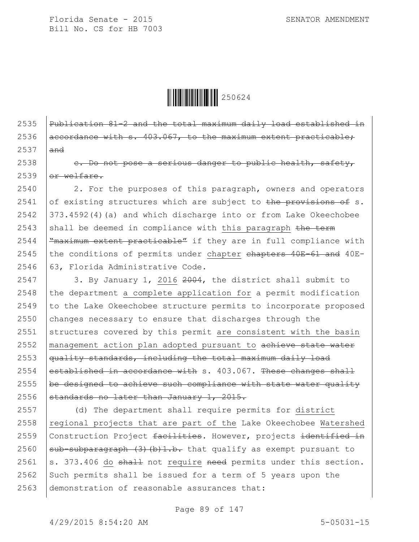

## 2535 Publication  $81-2$  and the total maximum daily load established in 2536  $\vert$  accordance with s. 403.067, to the maximum extent practicable;  $2537$  and

 $2538$  e. Do not pose a serious danger to public health, safety,  $2539$  or welfare.

2540 | 2. For the purposes of this paragraph, owners and operators 2541 of existing structures which are subject to the provisions of s.  $2542$   $|373.4592(4)(a)$  and which discharge into or from Lake Okeechobee 2543 shall be deemed in compliance with this paragraph  $t$ he term 2544  $\frac{m}{2544}$   $\frac{m}{2544}$   $\frac{m}{2544}$   $\frac{m}{2544}$   $\frac{m}{2544}$   $\frac{m}{2544}$   $\frac{m}{2544}$   $\frac{m}{2544}$   $\frac{m}{2544}$   $\frac{m}{2544}$   $\frac{m}{2544}$   $\frac{m}{2544}$   $\frac{m}{2544}$   $\frac{m}{2544}$   $\frac{m}{2544}$   $\frac{m}{2544}$   $\frac{m}{25$  $2545$  the conditions of permits under chapter chapters 40E-61 and 40E-2546 63, Florida Administrative Code.

 $\vert$  3. By January 1, 2016 2004, the district shall submit to the department a complete application for a permit modification  $\vert$  to the Lake Okeechobee structure permits to incorporate proposed changes necessary to ensure that discharges through the structures covered by this permit are consistent with the basin 2552 | management action plan adopted pursuant to achieve state water  $\frac{1}{4}$  quality standards, including the total maximum daily load established in accordance with s. 403.067. These changes shall  $\vert$  be designed to achieve such compliance with state water quality  $\sigma$  standards no later than January 1, 2015.

2557 (d) The department shall require permits for district  $2558$  regional projects that are part of the Lake Okeechobee Watershed 2559 Construction Project facilities. However, projects identified in 2560  $\beta$  sub-subparagraph (3) (b) 1.b. that qualify as exempt pursuant to 2561 s. 373.406 do shall not require need permits under this section. 2562 Such permits shall be issued for a term of 5 years upon the 2563 demonstration of reasonable assurances that: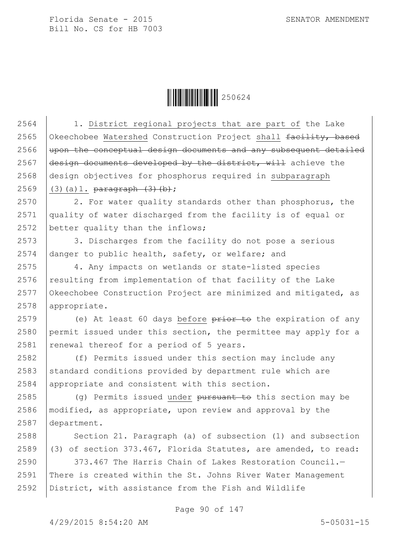$\|$  $\|$  $\|$  $\|$  $\|$  $\|$  $250624$ 

2564 | 1. District regional projects that are part of the Lake 2565 Okeechobee Watershed Construction Project shall facility, based upon the conceptual design documents and any subsequent detailed  $\frac{1}{\text{design}}$  documents developed by the district, will achieve the design objectives for phosphorus required in subparagraph 2569 (3)(a)1.  $\frac{1}{1}$  (3)(b); 2570 2. For water quality standards other than phosphorus, the quality of water discharged from the facility is of equal or 2572 better quality than the inflows; 2573 3. Discharges from the facility do not pose a serious danger to public health, safety, or welfare; and 4. Any impacts on wetlands or state-listed species 2576 resulting from implementation of that facility of the Lake Okeechobee Construction Project are minimized and mitigated, as appropriate. 2579 (e) At least 60 days before  $\frac{1}{2}$  be the expiration of any permit issued under this section, the permittee may apply for a renewal thereof for a period of 5 years. (f) Permits issued under this section may include any standard conditions provided by department rule which are 2584 appropriate and consistent with this section. 2585 (g) Permits issued under pursuant to this section may be |modified, as appropriate, upon review and approval by the department.  $\vert$  Section 21. Paragraph (a) of subsection (1) and subsection  $(3)$  of section 373.467, Florida Statutes, are amended, to read:  $\vert$  373.467 The Harris Chain of Lakes Restoration Council. There is created within the St. Johns River Water Management District, with assistance from the Fish and Wildlife

Page 90 of 147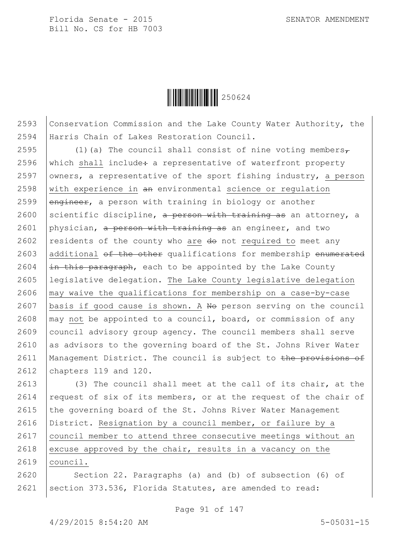

2593 Conservation Commission and the Lake County Water Authority, the 2594 Harris Chain of Lakes Restoration Council.

2595  $(1)(a)$  The council shall consist of nine voting members, 2596 which shall include $\div$  a representative of waterfront property 2597 | owners, a representative of the sport fishing industry, a person 2598  $\vert$  with experience in  $\theta$  environmental science or regulation 2599  $\sqrt{$  engineer, a person with training in biology or another 2600 | scientific discipline, a person with training as an attorney, a 2601 physician, a person with training as an engineer, and two 2602 residents of the county who are  $d\theta$  not required to meet any 2603 additional of the other qualifications for membership enumerated 2604  $\frac{1}{2}$   $\frac{1}{2}$   $\frac{1}{2}$   $\frac{1}{2}$   $\frac{1}{2}$   $\frac{1}{2}$   $\frac{1}{2}$   $\frac{1}{2}$   $\frac{1}{2}$   $\frac{1}{2}$   $\frac{1}{2}$   $\frac{1}{2}$   $\frac{1}{2}$   $\frac{1}{2}$   $\frac{1}{2}$   $\frac{1}{2}$   $\frac{1}{2}$   $\frac{1}{2}$   $\frac{1}{2}$   $\frac{1}{2}$   $\frac{1}{2}$   $\frac{1}{$ 2605 legislative delegation. The Lake County legislative delegation  $2606$   $\mid$  may waive the qualifications for membership on a case-by-case 2607 | basis if good cause is shown. A  $N\Theta$  person serving on the council 2608  $\vert$  may not be appointed to a council, board, or commission of any 2609 council advisory group agency. The council members shall serve 2610 as advisors to the governing board of the St. Johns River Water 2611 | Management District. The council is subject to the provisions of 2612 chapters 119 and 120.

2613 (3) The council shall meet at the call of its chair, at the 2614 request of six of its members, or at the request of the chair of  $2615$  the governing board of the St. Johns River Water Management 2616 District. Resignation by a council member, or failure by a 2617 | council member to attend three consecutive meetings without an 2618 excuse approved by the chair, results in a vacancy on the

2619 council.

2620 | Section 22. Paragraphs (a) and (b) of subsection (6) of 2621 | section 373.536, Florida Statutes, are amended to read:

Page 91 of 147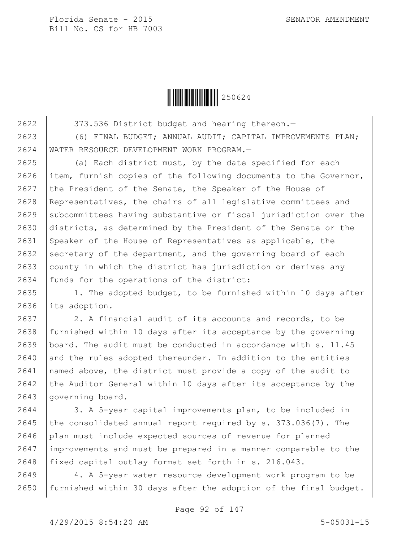

2622 373.536 District budget and hearing thereon.-

2623 (6) FINAL BUDGET; ANNUAL AUDIT; CAPITAL IMPROVEMENTS PLAN; 2624 WATER RESOURCE DEVELOPMENT WORK PROGRAM.—

2625 (a) Each district must, by the date specified for each 2626 item, furnish copies of the following documents to the Governor, 2627 the President of the Senate, the Speaker of the House of 2628 Representatives, the chairs of all legislative committees and 2629 Subcommittees having substantive or fiscal jurisdiction over the 2630 districts, as determined by the President of the Senate or the 2631 Speaker of the House of Representatives as applicable, the 2632 secretary of the department, and the governing board of each 2633 county in which the district has jurisdiction or derives any 2634 funds for the operations of the district:

2635 | 1. The adopted budget, to be furnished within 10 days after 2636 its adoption.

2637 2. A financial audit of its accounts and records, to be 2638 furnished within 10 days after its acceptance by the governing 2639 board. The audit must be conducted in accordance with s. 11.45  $2640$  and the rules adopted thereunder. In addition to the entities 2641 named above, the district must provide a copy of the audit to 2642 the Auditor General within 10 days after its acceptance by the 2643 | governing board.

2644 | 3. A 5-year capital improvements plan, to be included in 2645 the consolidated annual report required by s.  $373.036(7)$ . The 2646 plan must include expected sources of revenue for planned 2647 improvements and must be prepared in a manner comparable to the 2648 fixed capital outlay format set forth in s. 216.043.

2649 4. A 5-year water resource development work program to be 2650 | furnished within 30 days after the adoption of the final budget.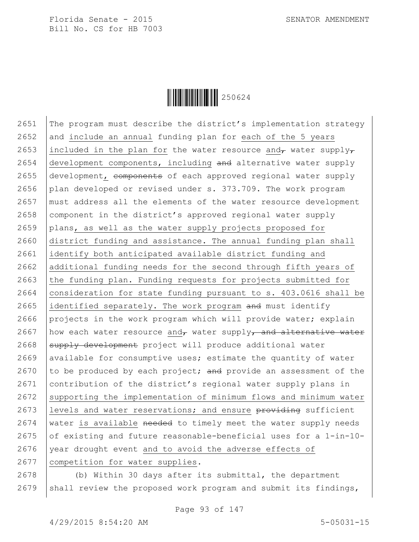

2651 The program must describe the district's implementation strategy  $2652$  and include an annual funding plan for each of the 5 years 2653 included in the plan for the water resource and, water supply, 2654  $\vert$  development components, including and alternative water supply 2655 development, components of each approved regional water supply 2656 plan developed or revised under s. 373.709. The work program 2657 must address all the elements of the water resource development 2658 component in the district's approved regional water supply 2659 plans, as well as the water supply projects proposed for 2660 district funding and assistance. The annual funding plan shall 2661 identify both anticipated available district funding and 2662 additional funding needs for the second through fifth years of  $2663$  the funding plan. Funding requests for projects submitted for 2664 consideration for state funding pursuant to  $s. 403.0616$  shall be 2665 identified separately. The work program and must identify 2666 projects in the work program which will provide water; explain 2667 | how each water resource and, water supply, and alternative water 2668 supply development project will produce additional water  $2669$  available for consumptive uses; estimate the quantity of water 2670 to be produced by each project; and provide an assessment of the 2671 contribution of the district's regional water supply plans in  $2672$  supporting the implementation of minimum flows and minimum water 2673 | levels and water reservations; and ensure  $\frac{1}{2673}$  sufficient 2674 | water is available needed to timely meet the water supply needs 2675 of existing and future reasonable-beneficial uses for a  $1$ -in-10-2676 | year drought event and to avoid the adverse effects of 2677 | competition for water supplies.

2678 (b) Within 30 days after its submittal, the department 2679 | shall review the proposed work program and submit its findings,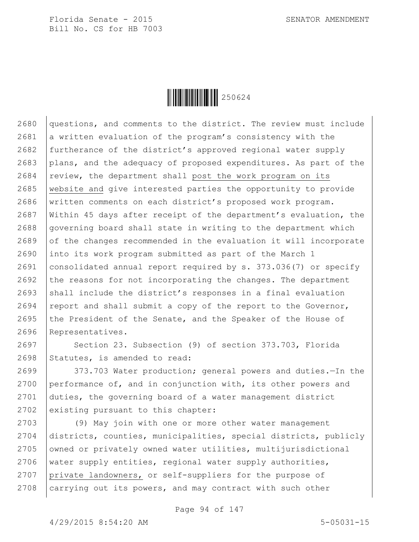

2680 questions, and comments to the district. The review must include 2681 a written evaluation of the program's consistency with the 2682 furtherance of the district's approved regional water supply 2683 plans, and the adequacy of proposed expenditures. As part of the  $2684$  review, the department shall post the work program on its 2685 website and give interested parties the opportunity to provide 2686 written comments on each district's proposed work program. 2687 Within 45 days after receipt of the department's evaluation, the  $2688$  governing board shall state in writing to the department which  $2689$  of the changes recommended in the evaluation it will incorporate 2690 into its work program submitted as part of the March 1 2691 consolidated annual report required by s. 373.036(7) or specify 2692 the reasons for not incorporating the changes. The department 2693 shall include the district's responses in a final evaluation 2694 report and shall submit a copy of the report to the Governor, 2695 the President of the Senate, and the Speaker of the House of 2696 Representatives.

2697 Section 23. Subsection (9) of section 373.703, Florida 2698 Statutes, is amended to read:

2699 | 373.703 Water production; general powers and duties. The the 2700 performance of, and in conjunction with, its other powers and 2701 duties, the governing board of a water management district 2702 existing pursuant to this chapter:

 (9) May join with one or more other water management districts, counties, municipalities, special districts, publicly 2705 | owned or privately owned water utilities, multijurisdictional 2706 | water supply entities, regional water supply authorities, private landowners, or self-suppliers for the purpose of carrying out its powers, and may contract with such other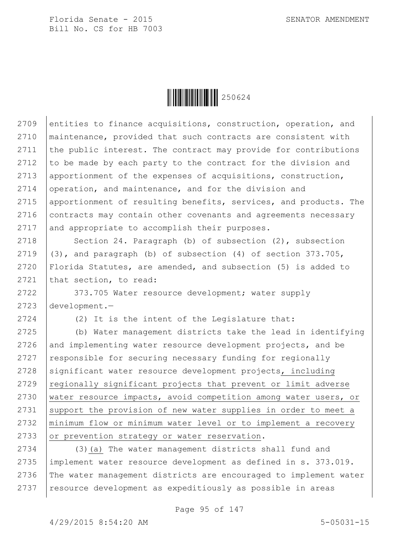

2709 entities to finance acquisitions, construction, operation, and 2710 maintenance, provided that such contracts are consistent with 2711 | the public interest. The contract may provide for contributions 2712 to be made by each party to the contract for the division and 2713 apportionment of the expenses of acquisitions, construction, 2714 operation, and maintenance, and for the division and 2715 apportionment of resulting benefits, services, and products. The 2716 contracts may contain other covenants and agreements necessary 2717 and appropriate to accomplish their purposes.

2718 Section 24. Paragraph (b) of subsection (2), subsection 2719  $(3)$ , and paragraph (b) of subsection (4) of section 373.705, 2720 Florida Statutes, are amended, and subsection (5) is added to 2721 that section, to read:

2722 373.705 Water resource development; water supply 2723 development.—

2724 (2) It is the intent of the Legislature that:

 (b) Water management districts take the lead in identifying and implementing water resource development projects, and be  $\vert$  responsible for securing necessary funding for regionally 2728 significant water resource development projects, including regionally significant projects that prevent or limit adverse water resource impacts, avoid competition among water users, or 2731 Support the provision of new water supplies in order to meet a minimum flow or minimum water level or to implement a recovery 2733 or prevention strategy or water reservation.

2734 (3)(a) The water management districts shall fund and 2735 implement water resource development as defined in s. 373.019. 2736 The water management districts are encouraged to implement water 2737 | resource development as expeditiously as possible in areas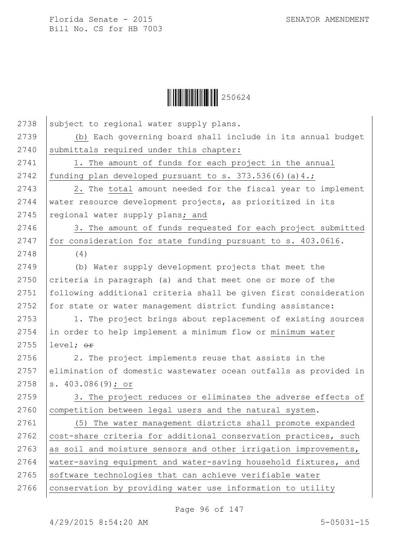$\begin{array}{|c|c|c|c|}\hline \multicolumn{1}{|}{\textbf{1}}&\multicolumn{1}{|}{\textbf{250624}}\ \hline \end{array}$ 

| 2738 | subject to regional water supply plans.                          |
|------|------------------------------------------------------------------|
| 2739 | (b) Each governing board shall include in its annual budget      |
| 2740 | submittals required under this chapter:                          |
| 2741 | 1. The amount of funds for each project in the annual            |
| 2742 | funding plan developed pursuant to s. $373.536(6)(a)4.$ ;        |
| 2743 | 2. The total amount needed for the fiscal year to implement      |
| 2744 | water resource development projects, as prioritized in its       |
| 2745 | regional water supply plans; and                                 |
| 2746 | 3. The amount of funds requested for each project submitted      |
| 2747 | for consideration for state funding pursuant to s. 403.0616.     |
| 2748 | (4)                                                              |
| 2749 | (b) Water supply development projects that meet the              |
| 2750 | criteria in paragraph (a) and that meet one or more of the       |
| 2751 | following additional criteria shall be given first consideration |
| 2752 | for state or water management district funding assistance:       |
| 2753 | 1. The project brings about replacement of existing sources      |
| 2754 | in order to help implement a minimum flow or minimum water       |
| 2755 | level; <del>or</del>                                             |
| 2756 | 2. The project implements reuse that assists in the              |
| 2757 | elimination of domestic wastewater ocean outfalls as provided in |
| 2758 | s. $403.086(9)$ ; or                                             |
| 2759 | 3. The project reduces or eliminates the adverse effects of      |
| 2760 | competition between legal users and the natural system.          |
| 2761 | (5) The water management districts shall promote expanded        |
| 2762 | cost-share criteria for additional conservation practices, such  |
| 2763 | as soil and moisture sensors and other irrigation improvements,  |
| 2764 | water-saving equipment and water-saving household fixtures, and  |
| 2765 | software technologies that can achieve verifiable water          |
| 2766 | conservation by providing water use information to utility       |
|      |                                                                  |

Page 96 of 147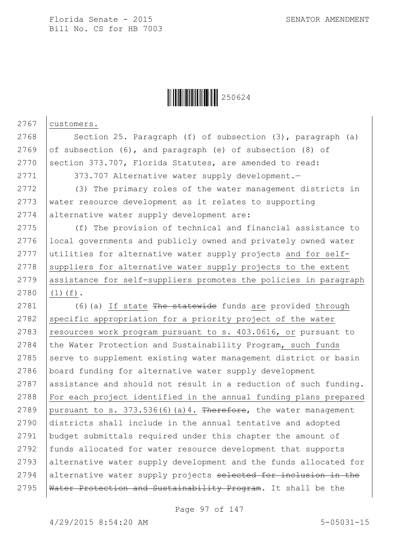

2767 | customers. 2768 | Section 25. Paragraph (f) of subsection (3), paragraph (a) 2769 of subsection  $(6)$ , and paragraph  $(e)$  of subsection  $(8)$  of 2770 Section 373.707, Florida Statutes, are amended to read: 2771 | 373.707 Alternative water supply development.-2772 (3) The primary roles of the water management districts in 2773 water resource development as it relates to supporting 2774 alternative water supply development are: 2775 (f) The provision of technical and financial assistance to 2776 local governments and publicly owned and privately owned water 2777 utilities for alternative water supply projects and for self- $2778$  suppliers for alternative water supply projects to the extent 2779 assistance for self-suppliers promotes the policies in paragraph 2780 (1)(f). 2781  $(6)(a)$  If state The statewide funds are provided through  $2782$  specific appropriation for a priority project of the water 2783 resources work program pursuant to s. 403.0616, or pursuant to 2784 the Water Protection and Sustainability Program, such funds 2785 serve to supplement existing water management district or basin 2786 board funding for alternative water supply development 2787 assistance and should not result in a reduction of such funding. 2788 For each project identified in the annual funding plans prepared 2789 | pursuant to s.  $373.536(6)(a)4$ . Therefore, the water management 2790 districts shall include in the annual tentative and adopted 2791 budget submittals required under this chapter the amount of 2792 funds allocated for water resource development that supports 2793 alternative water supply development and the funds allocated for 2794 alternative water supply projects selected for inclusion in the 2795 | Water Protection and Sustainability Program. It shall be the

Page 97 of 147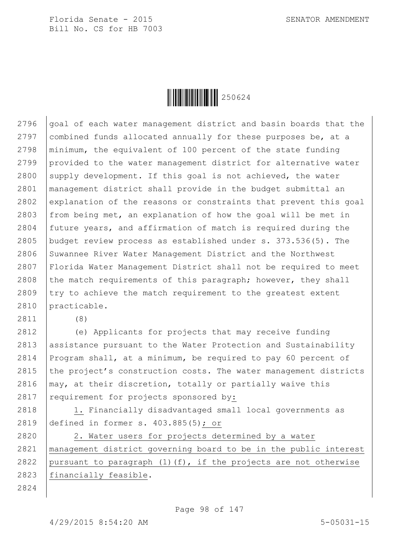

 $qo$ al of each water management district and basin boards that the 2797 combined funds allocated annually for these purposes be, at a minimum, the equivalent of 100 percent of the state funding provided to the water management district for alternative water 2800 supply development. If this goal is not achieved, the water management district shall provide in the budget submittal an explanation of the reasons or constraints that prevent this goal  $|$  from being met, an explanation of how the goal will be met in future years, and affirmation of match is required during the budget review process as established under s. 373.536(5). The 2806 Suwannee River Water Management District and the Northwest Florida Water Management District shall not be required to meet 2808 the match requirements of this paragraph; however, they shall try to achieve the match requirement to the greatest extent 2810 practicable.

2811 (8)

2812 (e) Applicants for projects that may receive funding 2813 assistance pursuant to the Water Protection and Sustainability 2814 Program shall, at a minimum, be required to pay 60 percent of 2815 the project's construction costs. The water management districts 2816  $\vert$  may, at their discretion, totally or partially waive this 2817  $\vert$  requirement for projects sponsored by:

2818 | 1. Financially disadvantaged small local governments as 2819 defined in former s. 403.885(5); or

2820 | 2. Water users for projects determined by a water 2821 management district governing board to be in the public interest 2822 | pursuant to paragraph  $(1)$  (f), if the projects are not otherwise 2823 financially feasible.

2824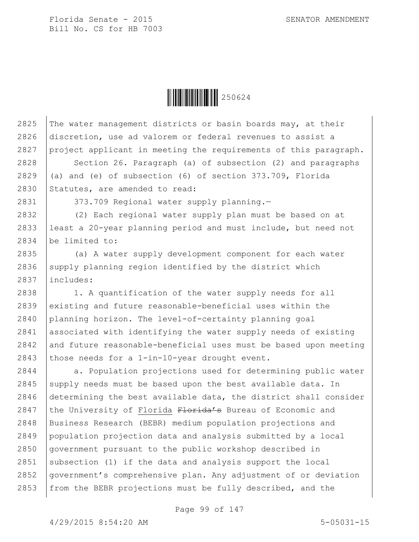

2825 The water management districts or basin boards may, at their

2826 discretion, use ad valorem or federal revenues to assist a

2827 project applicant in meeting the requirements of this paragraph. 2828 Section 26. Paragraph (a) of subsection (2) and paragraphs 2829  $\vert$  (a) and (e) of subsection (6) of section 373.709, Florida 2830 Statutes, are amended to read: 2831 | 373.709 Regional water supply planning.-2832 (2) Each regional water supply plan must be based on at 2833 least a 20-year planning period and must include, but need not 2834 be limited to: 2835 (a) A water supply development component for each water 2836 supply planning region identified by the district which 2837 includes: 2838 | 1. A quantification of the water supply needs for all 2839 existing and future reasonable-beneficial uses within the 2840 planning horizon. The level-of-certainty planning goal 2841 associated with identifying the water supply needs of existing  $2842$  and future reasonable-beneficial uses must be based upon meeting 2843 those needs for a 1-in-10-year drought event. 2844 | a. Population projections used for determining public water 2845 supply needs must be based upon the best available data. In 2846 determining the best available data, the district shall consider 2847 | the University of Florida  $F$ lorida's Bureau of Economic and 2848 Business Research (BEBR) medium population projections and 2849 population projection data and analysis submitted by a local 2850 | government pursuant to the public workshop described in 2851 | subsection (1) if the data and analysis support the local 2852 government's comprehensive plan. Any adjustment of or deviation 2853 | from the BEBR projections must be fully described, and the

Page 99 of 147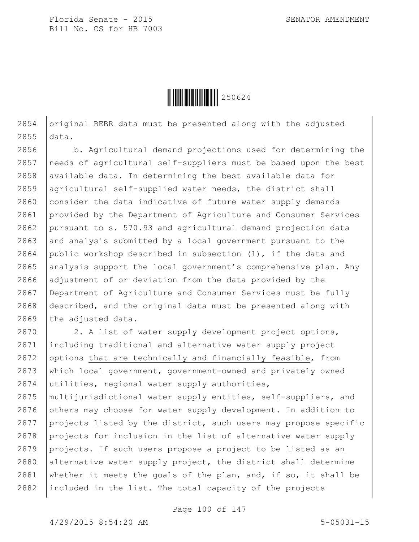

2854  $\alpha$  original BEBR data must be presented along with the adjusted 2855 data.

2856 b. Agricultural demand projections used for determining the 2857 needs of agricultural self-suppliers must be based upon the best 2858 | available data. In determining the best available data for 2859 agricultural self-supplied water needs, the district shall  $2860$  consider the data indicative of future water supply demands 2861 provided by the Department of Agriculture and Consumer Services 2862 pursuant to s. 570.93 and agricultural demand projection data 2863 and analysis submitted by a local government pursuant to the 2864 public workshop described in subsection  $(1)$ , if the data and 2865 analysis support the local government's comprehensive plan. Any 2866 adjustment of or deviation from the data provided by the 2867 Department of Agriculture and Consumer Services must be fully 2868 described, and the original data must be presented along with 2869 the adjusted data.

2870 | 2. A list of water supply development project options, including traditional and alternative water supply project 2872 options that are technically and financially feasible, from which local government, government-owned and privately owned utilities, regional water supply authorities, multijurisdictional water supply entities, self-suppliers, and 2876 others may choose for water supply development. In addition to projects listed by the district, such users may propose specific projects for inclusion in the list of alternative water supply projects. If such users propose a project to be listed as an 2880 alternative water supply project, the district shall determine 2881 whether it meets the goals of the plan, and, if so, it shall be included in the list. The total capacity of the projects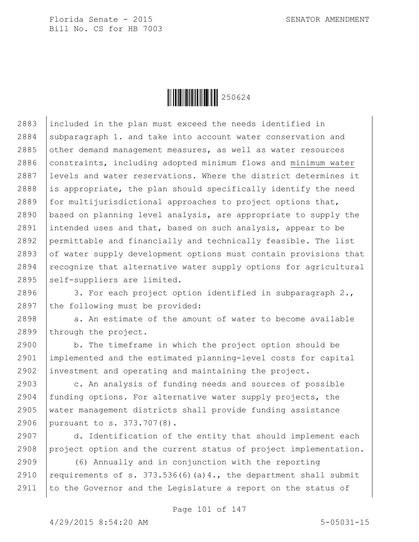

 included in the plan must exceed the needs identified in 2884 subparagraph 1. and take into account water conservation and other demand management measures, as well as water resources 2886 constraints, including adopted minimum flows and minimum water levels and water reservations. Where the district determines it 2888 is appropriate, the plan should specifically identify the need for multijurisdictional approaches to project options that, based on planning level analysis, are appropriate to supply the intended uses and that, based on such analysis, appear to be permittable and financially and technically feasible. The list 2893 of water supply development options must contain provisions that recognize that alternative water supply options for agricultural self-suppliers are limited.

2896 3. For each project option identified in subparagraph 2., 2897 the following must be provided:

 $2898$  a. An estimate of the amount of water to become available 2899 through the project.

2900 b. The timeframe in which the project option should be 2901 implemented and the estimated planning-level costs for capital 2902 investment and operating and maintaining the project.

2903 c. An analysis of funding needs and sources of possible funding options. For alternative water supply projects, the water management districts shall provide funding assistance pursuant to s. 373.707(8).

2907 d. Identification of the entity that should implement each 2908 project option and the current status of project implementation.

2909 (6) Annually and in conjunction with the reporting 2910 requirements of s. 373.536(6)(a)4., the department shall submit 2911 | to the Governor and the Legislature a report on the status of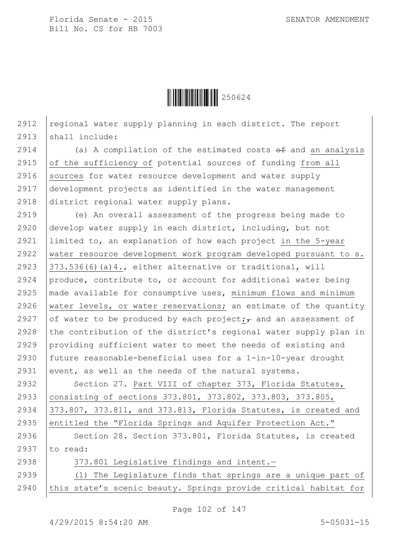

2912  $|$  regional water supply planning in each district. The report 2913 | shall include:

 $\vert$  (a) A compilation of the estimated costs  $\theta$  and an analysis  $\int$  of the sufficiency of potential sources of funding from all 2916 Sources for water resource development and water supply development projects as identified in the water management district regional water supply plans.

2919 (e) An overall assessment of the progress being made to 2920 develop water supply in each district, including, but not 2921 limited to, an explanation of how each project in the 5-year 2922 | water resource development work program developed pursuant to s. 2923  $|373.536(6)(a)4.,$  either alternative or traditional, will 2924 produce, contribute to, or account for additional water being 2925 made available for consumptive uses, minimum flows and minimum 2926 water levels, or water reservations; an estimate of the quantity 2927 of water to be produced by each project; and an assessment of 2928 the contribution of the district's regional water supply plan in 2929 providing sufficient water to meet the needs of existing and 2930 future reasonable-beneficial uses for a 1-in-10-year drought 2931 event, as well as the needs of the natural systems.

2932 | Section 27. Part VIII of chapter 373, Florida Statutes, 2933 consisting of sections 373.801, 373.802, 373.803, 373.805, 2934 373.807, 373.811, and 373.813, Florida Statutes, is created and 2935 entitled the "Florida Springs and Aquifer Protection Act."

2936 Section 28. Section 373.801, Florida Statutes, is created 2937  $\vert$  to read:

2938 373.801 Legislative findings and intent.-

2939 (1) The Legislature finds that springs are a unique part of 2940 this state's scenic beauty. Springs provide critical habitat for

Page 102 of 147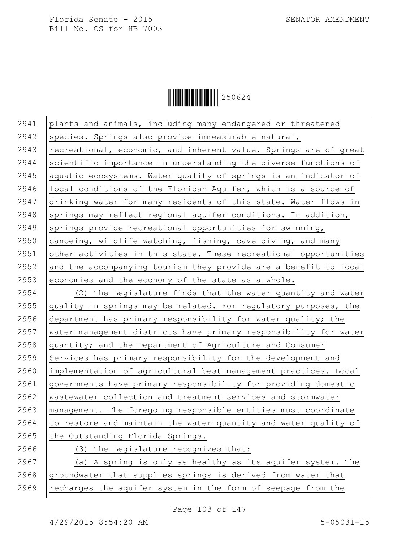

 plants and animals, including many endangered or threatened 2942 species. Springs also provide immeasurable natural,  $|$  recreational, economic, and inherent value. Springs are of great 2944 Scientific importance in understanding the diverse functions of 2945 | aquatic ecosystems. Water quality of springs is an indicator of local conditions of the Floridan Aquifer, which is a source of drinking water for many residents of this state. Water flows in 2948 springs may reflect regional aquifer conditions. In addition, 2949 | springs provide recreational opportunities for swimming,  $\alpha$  canoeing, wildlife watching, fishing, cave diving, and many 2951 other activities in this state. These recreational opportunities 2952 and the accompanying tourism they provide are a benefit to local 2953 economies and the economy of the state as a whole. (2) The Legislature finds that the water quantity and water  $\sqrt{\frac{1}{1}}$  quality in springs may be related. For regulatory purposes, the department has primary responsibility for water quality; the water management districts have primary responsibility for water quantity; and the Department of Agriculture and Consumer 2959 Services has primary responsibility for the development and implementation of agricultural best management practices. Local governments have primary responsibility for providing domestic wastewater collection and treatment services and stormwater management. The foregoing responsible entities must coordinate  $\vert$  to restore and maintain the water quantity and water quality of the Outstanding Florida Springs. (3) The Legislature recognizes that:

 $2967$   $\vert$  (a) A spring is only as healthy as its aquifer system. The 2968  $q$  aroundwater that supplies springs is derived from water that 2969  $\vert$  recharges the aquifer system in the form of seepage from the

Page 103 of 147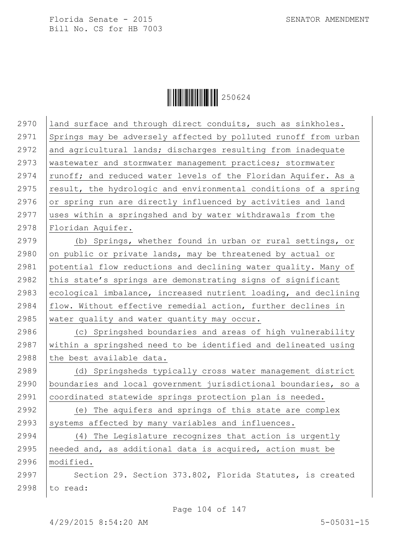

| 2970 | land surface and through direct conduits, such as sinkholes.    |
|------|-----------------------------------------------------------------|
| 2971 | Springs may be adversely affected by polluted runoff from urban |
| 2972 | and agricultural lands; discharges resulting from inadequate    |
| 2973 | wastewater and stormwater management practices; stormwater      |
| 2974 | runoff; and reduced water levels of the Floridan Aquifer. As a  |
| 2975 | result, the hydrologic and environmental conditions of a spring |
| 2976 | or spring run are directly influenced by activities and land    |
| 2977 | uses within a springshed and by water withdrawals from the      |
| 2978 | Floridan Aquifer.                                               |
| 2979 | (b) Springs, whether found in urban or rural settings, or       |
| 2980 | on public or private lands, may be threatened by actual or      |
| 2981 | potential flow reductions and declining water quality. Many of  |
| 2982 | this state's springs are demonstrating signs of significant     |
| 2983 | ecological imbalance, increased nutrient loading, and declining |
| 2984 | flow. Without effective remedial action, further declines in    |
| 2985 | water quality and water quantity may occur.                     |
| 2986 | (c) Springshed boundaries and areas of high vulnerability       |
| 2987 | within a springshed need to be identified and delineated using  |
| 2988 | the best available data.                                        |
| 2989 | (d) Springsheds typically cross water management district       |
| 2990 | boundaries and local government jurisdictional boundaries, so a |
| 2991 | coordinated statewide springs protection plan is needed.        |
| 2992 | (e) The aquifers and springs of this state are complex          |
| 2993 | systems affected by many variables and influences.              |
| 2994 | (4) The Legislature recognizes that action is urgently          |
| 2995 | needed and, as additional data is acquired, action must be      |
| 2996 | modified.                                                       |
| 2997 | Section 29. Section 373.802, Florida Statutes, is created       |
| 2998 | to read:                                                        |
|      |                                                                 |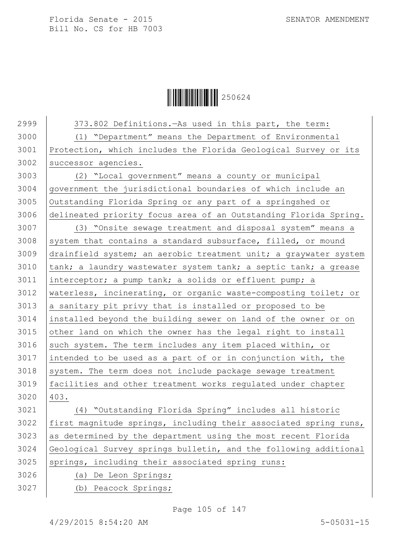**│││││││││││││││** 250624

 $\vert$  373.802 Definitions.—As used in this part, the term: (1) "Department" means the Department of Environmental Protection, which includes the Florida Geological Survey or its successor agencies. (2) "Local government" means a county or municipal government the jurisdictional boundaries of which include an Outstanding Florida Spring or any part of a springshed or delineated priority focus area of an Outstanding Florida Spring. (3) "Onsite sewage treatment and disposal system" means a 3008 system that contains a standard subsurface, filled, or mound drainfield system; an aerobic treatment unit; a graywater system  $\vert$  tank; a laundry wastewater system tank; a septic tank; a grease interceptor; a pump tank; a solids or effluent pump; a waterless, incinerating, or organic waste-composting toilet; or a sanitary pit privy that is installed or proposed to be installed beyond the building sewer on land of the owner or on other land on which the owner has the legal right to install such system. The term includes any item placed within, or intended to be used as a part of or in conjunction with, the system. The term does not include package sewage treatment facilities and other treatment works regulated under chapter 403. (4) "Outstanding Florida Spring" includes all historic first magnitude springs, including their associated spring runs, as determined by the department using the most recent Florida Geological Survey springs bulletin, and the following additional springs, including their associated spring runs: (a) De Leon Springs; (b) Peacock Springs;

Page 105 of 147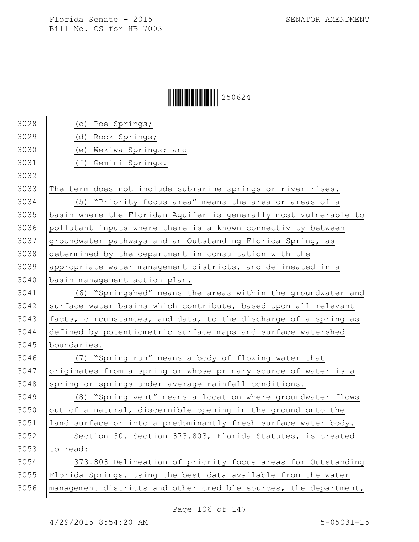## $\begin{array}{|c|c|c|c|}\hline \multicolumn{1}{|c|}{\textbf{1}}&250624\ \hline \multicolumn{1}{|c|}{\textbf{2}}&50624\ \hline \end{array}$

| 3028 | (c) Poe Springs;                                                 |
|------|------------------------------------------------------------------|
| 3029 | (d) Rock Springs;                                                |
| 3030 | (e) Wekiwa Springs; and                                          |
| 3031 | (f) Gemini Springs.                                              |
| 3032 |                                                                  |
| 3033 | The term does not include submarine springs or river rises.      |
| 3034 | (5) "Priority focus area" means the area or areas of a           |
| 3035 | basin where the Floridan Aquifer is generally most vulnerable to |
| 3036 | pollutant inputs where there is a known connectivity between     |
| 3037 | groundwater pathways and an Outstanding Florida Spring, as       |
| 3038 | determined by the department in consultation with the            |
| 3039 | appropriate water management districts, and delineated in a      |
| 3040 | basin management action plan.                                    |
| 3041 | (6) "Springshed" means the areas within the groundwater and      |
| 3042 | surface water basins which contribute, based upon all relevant   |
| 3043 | facts, circumstances, and data, to the discharge of a spring as  |
| 3044 | defined by potentiometric surface maps and surface watershed     |
| 3045 | boundaries.                                                      |
| 3046 | (7) "Spring run" means a body of flowing water that              |
| 3047 | originates from a spring or whose primary source of water is a   |
| 3048 | spring or springs under average rainfall conditions.             |
| 3049 | (8) "Spring vent" means a location where groundwater flows       |
| 3050 | out of a natural, discernible opening in the ground onto the     |
| 3051 | land surface or into a predominantly fresh surface water body.   |
| 3052 | Section 30. Section 373.803, Florida Statutes, is created        |
| 3053 | to read:                                                         |
| 3054 | 373.803 Delineation of priority focus areas for Outstanding      |
| 3055 | Florida Springs.-Using the best data available from the water    |
| 3056 | management districts and other credible sources, the department, |
|      |                                                                  |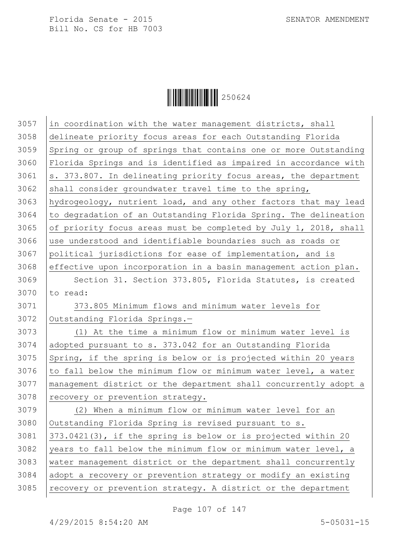

| 3057 | in coordination with the water management districts, shall       |
|------|------------------------------------------------------------------|
| 3058 | delineate priority focus areas for each Outstanding Florida      |
| 3059 | Spring or group of springs that contains one or more Outstanding |
| 3060 | Florida Springs and is identified as impaired in accordance with |
| 3061 | s. 373.807. In delineating priority focus areas, the department  |
| 3062 | shall consider groundwater travel time to the spring,            |
| 3063 | hydrogeology, nutrient load, and any other factors that may lead |
| 3064 | to degradation of an Outstanding Florida Spring. The delineation |
| 3065 | of priority focus areas must be completed by July 1, 2018, shall |
| 3066 | use understood and identifiable boundaries such as roads or      |
| 3067 | political jurisdictions for ease of implementation, and is       |
| 3068 | effective upon incorporation in a basin management action plan.  |
| 3069 | Section 31. Section 373.805, Florida Statutes, is created        |
| 3070 | to read:                                                         |
| 3071 | 373.805 Minimum flows and minimum water levels for               |
| 3072 | Outstanding Florida Springs.-                                    |
| 3073 | (1) At the time a minimum flow or minimum water level is         |
| 3074 | adopted pursuant to s. 373.042 for an Outstanding Florida        |
| 3075 | Spring, if the spring is below or is projected within 20 years   |
| 3076 | to fall below the minimum flow or minimum water level, a water   |
| 3077 | management district or the department shall concurrently adopt a |
| 3078 | recovery or prevention strategy.                                 |
| 3079 | (2) When a minimum flow or minimum water level for an            |
| 3080 | Outstanding Florida Spring is revised pursuant to s.             |
| 3081 | 373.0421(3), if the spring is below or is projected within 20    |
| 3082 | years to fall below the minimum flow or minimum water level, a   |
| 3083 | water management district or the department shall concurrently   |
| 3084 | adopt a recovery or prevention strategy or modify an existing    |
| 3085 | recovery or prevention strategy. A district or the department    |
|      |                                                                  |

Page 107 of 147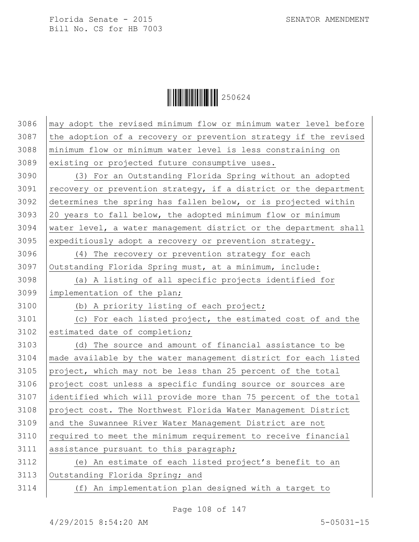$\begin{array}{|c|c|c|c|}\hline \multicolumn{1}{|c|}{\textbf{1}}&250624\ \hline \multicolumn{1}{|c|}{\textbf{2}}&50624\ \hline \end{array}$ 

| 3087<br>the adoption of a recovery or prevention strategy if the revised<br>3088<br>minimum flow or minimum water level is less constraining on |  |
|-------------------------------------------------------------------------------------------------------------------------------------------------|--|
|                                                                                                                                                 |  |
|                                                                                                                                                 |  |
| 3089<br>existing or projected future consumptive uses.                                                                                          |  |
| 3090<br>(3) For an Outstanding Florida Spring without an adopted                                                                                |  |
| 3091<br>recovery or prevention strategy, if a district or the department                                                                        |  |
| 3092<br>determines the spring has fallen below, or is projected within                                                                          |  |
| 3093<br>20 years to fall below, the adopted minimum flow or minimum                                                                             |  |
| 3094<br>water level, a water management district or the department shall                                                                        |  |
| 3095<br>expeditiously adopt a recovery or prevention strategy.                                                                                  |  |
| 3096<br>(4) The recovery or prevention strategy for each                                                                                        |  |
| 3097<br>Outstanding Florida Spring must, at a minimum, include:                                                                                 |  |
| 3098<br>(a) A listing of all specific projects identified for                                                                                   |  |
| 3099<br>implementation of the plan;                                                                                                             |  |
| 3100<br>(b) A priority listing of each project;                                                                                                 |  |
| 3101<br>(c) For each listed project, the estimated cost of and the                                                                              |  |
| 3102<br>estimated date of completion;                                                                                                           |  |
| 3103<br>(d) The source and amount of financial assistance to be                                                                                 |  |
| 3104<br>made available by the water management district for each listed                                                                         |  |
| 3105<br>project, which may not be less than 25 percent of the total                                                                             |  |
| 3106<br>project cost unless a specific funding source or sources are                                                                            |  |
| 3107<br>identified which will provide more than 75 percent of the total                                                                         |  |
| 3108<br>project cost. The Northwest Florida Water Management District                                                                           |  |
| 3109<br>and the Suwannee River Water Management District are not                                                                                |  |
| 3110<br>required to meet the minimum requirement to receive financial                                                                           |  |
| 3111<br>assistance pursuant to this paragraph;                                                                                                  |  |
| 3112<br>(e) An estimate of each listed project's benefit to an                                                                                  |  |
| 3113<br>Outstanding Florida Spring; and                                                                                                         |  |
| 3114<br>(f) An implementation plan designed with a target to                                                                                    |  |

Page 108 of 147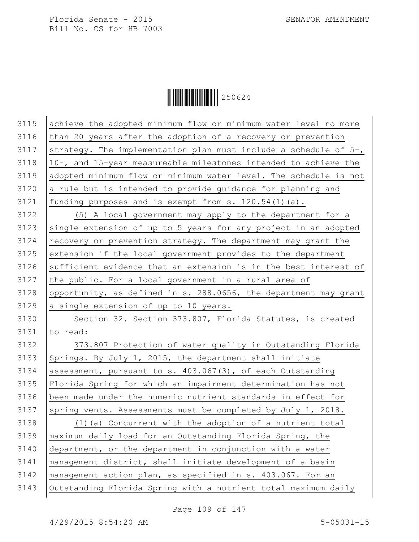$\begin{array}{|c|c|c|c|}\hline \multicolumn{1}{|c|}{\textbf{1}}&250624\ \hline \multicolumn{1}{|c|}{\textbf{2}}&50624\ \hline \end{array}$ 

| 3115 | achieve the adopted minimum flow or minimum water level no more  |
|------|------------------------------------------------------------------|
| 3116 | than 20 years after the adoption of a recovery or prevention     |
| 3117 | strategy. The implementation plan must include a schedule of 5-, |
| 3118 | 10-, and 15-year measureable milestones intended to achieve the  |
| 3119 | adopted minimum flow or minimum water level. The schedule is not |
| 3120 | a rule but is intended to provide guidance for planning and      |
| 3121 | funding purposes and is exempt from s. 120.54(1)(a).             |
| 3122 | (5) A local government may apply to the department for a         |
| 3123 | single extension of up to 5 years for any project in an adopted  |
| 3124 | recovery or prevention strategy. The department may grant the    |
| 3125 | extension if the local government provides to the department     |
| 3126 | sufficient evidence that an extension is in the best interest of |
| 3127 | the public. For a local government in a rural area of            |
| 3128 | opportunity, as defined in s. 288.0656, the department may grant |
| 3129 | a single extension of up to 10 years.                            |
| 3130 | Section 32. Section 373.807, Florida Statutes, is created        |
| 3131 | to read:                                                         |
| 3132 | 373.807 Protection of water quality in Outstanding Florida       |
| 3133 | Springs.-By July 1, 2015, the department shall initiate          |
| 3134 | assessment, pursuant to s. 403.067(3), of each Outstanding       |
| 3135 | Florida Spring for which an impairment determination has not     |
| 3136 | been made under the numeric nutrient standards in effect for     |
| 3137 | spring vents. Assessments must be completed by July 1, 2018.     |
| 3138 | (1) (a) Concurrent with the adoption of a nutrient total         |
| 3139 | maximum daily load for an Outstanding Florida Spring, the        |
| 3140 | department, or the department in conjunction with a water        |
| 3141 | management district, shall initiate development of a basin       |
| 3142 | management action plan, as specified in s. 403.067. For an       |
| 3143 | Outstanding Florida Spring with a nutrient total maximum daily   |

Page 109 of 147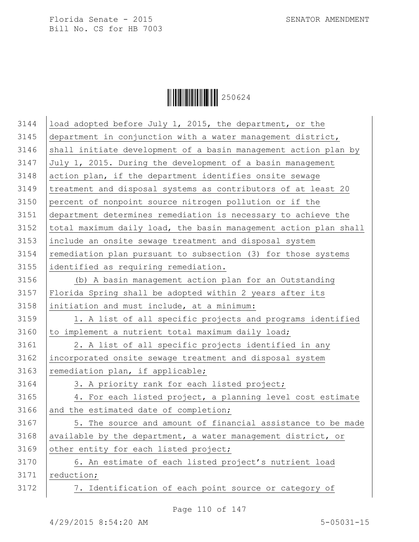$\begin{array}{|c|c|c|c|c|}\hline \multicolumn{1}{|c|}{\textbf{||}}{\textbf{||}}{\textbf{||}}{\textbf{||}}{\textbf{||}}{\textbf{||}}{\textbf{||}}{\textbf{||}}{\textbf{||}}{\textbf{||}}{\textbf{||}}{\textbf{||}}{\textbf{||}}{\textbf{||}}{\textbf{||}}{\textbf{||}}{\textbf{||}}{\textbf{||}}{\textbf{||}}{\textbf{||}}{\textbf{||}}{\textbf{||}}{\textbf{||}}{\textbf{||}}{\textbf{||}}{\textbf{||}}{\textbf{||}}{\textbf{||}}{\textbf{||}}{\textbf{||}}{\textbf{||}}{\textbf{$ 

| 3144 | load adopted before July 1, 2015, the department, or the         |
|------|------------------------------------------------------------------|
| 3145 | department in conjunction with a water management district,      |
| 3146 | shall initiate development of a basin management action plan by  |
| 3147 | July 1, 2015. During the development of a basin management       |
| 3148 | action plan, if the department identifies onsite sewage          |
| 3149 | treatment and disposal systems as contributors of at least 20    |
| 3150 | percent of nonpoint source nitrogen pollution or if the          |
| 3151 | department determines remediation is necessary to achieve the    |
| 3152 | total maximum daily load, the basin management action plan shall |
| 3153 | include an onsite sewage treatment and disposal system           |
| 3154 | remediation plan pursuant to subsection (3) for those systems    |
| 3155 | identified as requiring remediation.                             |
| 3156 | (b) A basin management action plan for an Outstanding            |
| 3157 | Florida Spring shall be adopted within 2 years after its         |
| 3158 | initiation and must include, at a minimum:                       |
| 3159 | 1. A list of all specific projects and programs identified       |
| 3160 | to implement a nutrient total maximum daily load;                |
| 3161 | 2. A list of all specific projects identified in any             |
| 3162 | incorporated onsite sewage treatment and disposal system         |
| 3163 | remediation plan, if applicable;                                 |
| 3164 | 3. A priority rank for each listed project;                      |
| 3165 | 4. For each listed project, a planning level cost estimate       |
| 3166 | and the estimated date of completion;                            |
| 3167 | 5. The source and amount of financial assistance to be made      |
| 3168 | available by the department, a water management district, or     |
| 3169 | other entity for each listed project;                            |
| 3170 | 6. An estimate of each listed project's nutrient load            |
| 3171 | reduction;                                                       |
| 3172 | 7. Identification of each point source or category of            |
|      |                                                                  |

Page 110 of 147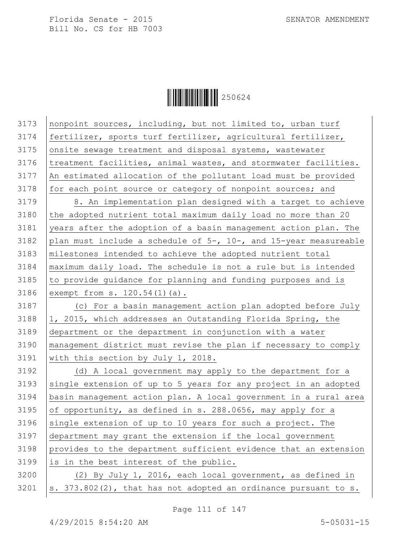

 nonpoint sources, including, but not limited to, urban turf 3174 | fertilizer, sports turf fertilizer, agricultural fertilizer, 3175 onsite sewage treatment and disposal systems, wastewater treatment facilities, animal wastes, and stormwater facilities. An estimated allocation of the pollutant load must be provided for each point source or category of nonpoint sources; and 3179 | 8. An implementation plan designed with a target to achieve the adopted nutrient total maximum daily load no more than 20 years after the adoption of a basin management action plan. The 3182 plan must include a schedule of  $5-$ , 10-, and 15-year measureable milestones intended to achieve the adopted nutrient total maximum daily load. The schedule is not a rule but is intended to provide guidance for planning and funding purposes and is exempt from s. 120.54(1)(a). (c) For a basin management action plan adopted before July  $\vert$ 1, 2015, which addresses an Outstanding Florida Spring, the department or the department in conjunction with a water management district must revise the plan if necessary to comply with this section by July 1, 2018. (d) A local government may apply to the department for a 3193 single extension of up to 5 years for any project in an adopted basin management action plan. A local government in a rural area 3195 of opportunity, as defined in s. 288.0656, may apply for a 3196 single extension of up to 10 years for such a project. The department may grant the extension if the local government provides to the department sufficient evidence that an extension is in the best interest of the public. (2) By July 1, 2016, each local government, as defined in |s.  $373.802(2)$ , that has not adopted an ordinance pursuant to s.

Page 111 of 147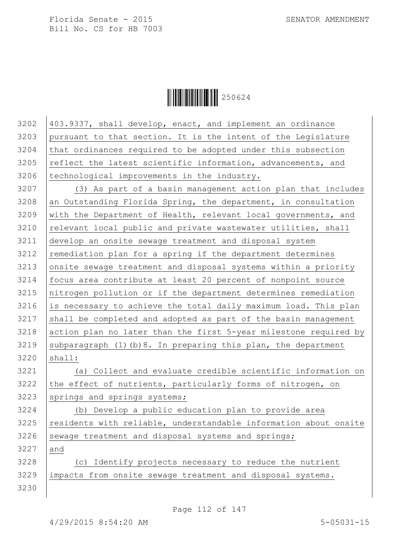## $\|$  $\|$  $\|$  $\|$  $\|$  $\|$  $250624$

 403.9337, shall develop, enact, and implement an ordinance pursuant to that section. It is the intent of the Legislature that ordinances required to be adopted under this subsection  $\vert$  reflect the latest scientific information, advancements, and | technological improvements in the industry.  $(3)$  As part of a basin management action plan that includes an Outstanding Florida Spring, the department, in consultation with the Department of Health, relevant local governments, and relevant local public and private wastewater utilities, shall develop an onsite sewage treatment and disposal system remediation plan for a spring if the department determines 3213 onsite sewage treatment and disposal systems within a priority focus area contribute at least 20 percent of nonpoint source nitrogen pollution or if the department determines remediation is necessary to achieve the total daily maximum load. This plan shall be completed and adopted as part of the basin management 3218 action plan no later than the first 5-year milestone required by 3219 Subparagraph (1)(b)8. In preparing this plan, the department shall: (a) Collect and evaluate credible scientific information on the effect of nutrients, particularly forms of nitrogen, on springs and springs systems; (b) Develop a public education plan to provide area residents with reliable, understandable information about onsite sewage treatment and disposal systems and springs; 3227 and (c) Identify projects necessary to reduce the nutrient impacts from onsite sewage treatment and disposal systems.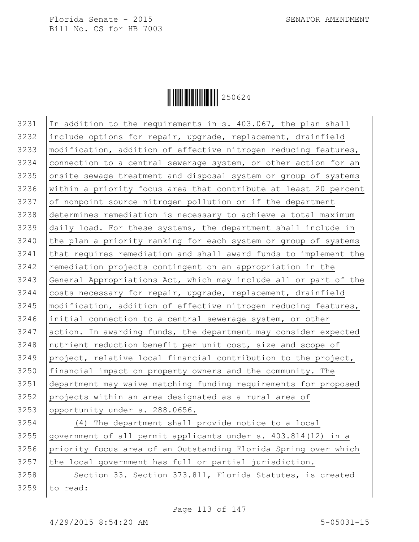

 $\vert$  In addition to the requirements in s. 403.067, the plan shall include options for repair, upgrade, replacement, drainfield 3233 | modification, addition of effective nitrogen reducing features, 3234 connection to a central sewerage system, or other action for an 3235 onsite sewage treatment and disposal system or group of systems within a priority focus area that contribute at least 20 percent of nonpoint source nitrogen pollution or if the department determines remediation is necessary to achieve a total maximum daily load. For these systems, the department shall include in the plan a priority ranking for each system or group of systems that requires remediation and shall award funds to implement the 3242 remediation projects contingent on an appropriation in the General Appropriations Act, which may include all or part of the 3244 | costs necessary for repair, upgrade, replacement, drainfield 3245 | modification, addition of effective nitrogen reducing features, initial connection to a central sewerage system, or other action. In awarding funds, the department may consider expected 3248 | nutrient reduction benefit per unit cost, size and scope of 3249 project, relative local financial contribution to the project, financial impact on property owners and the community. The department may waive matching funding requirements for proposed projects within an area designated as a rural area of 3253 opportunity under s. 288.0656. (4) The department shall provide notice to a local

3255 government of all permit applicants under s. 403.814(12) in a 3256 priority focus area of an Outstanding Florida Spring over which  $3257$  the local government has full or partial jurisdiction.

3258 Section 33. Section 373.811, Florida Statutes, is created 3259 to read: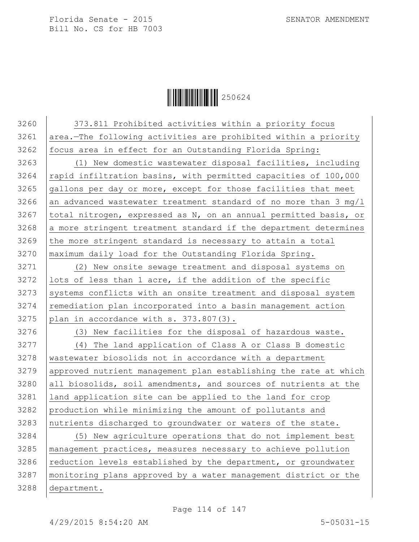

3260 | 373.811 Prohibited activities within a priority focus area.—The following activities are prohibited within a priority 3262 | focus area in effect for an Outstanding Florida Spring: (1) New domestic wastewater disposal facilities, including rapid infiltration basins, with permitted capacities of 100,000 gallons per day or more, except for those facilities that meet 3266 an advanced wastewater treatment standard of no more than 3 mg/l 3267 | total nitrogen, expressed as N, on an annual permitted basis, or a more stringent treatment standard if the department determines the more stringent standard is necessary to attain a total maximum daily load for the Outstanding Florida Spring. (2) New onsite sewage treatment and disposal systems on lots of less than 1 acre, if the addition of the specific 3273 Systems conflicts with an onsite treatment and disposal system 3274 remediation plan incorporated into a basin management action plan in accordance with s.  $373.807(3)$ . 3276 (3) New facilities for the disposal of hazardous waste. (4) The land application of Class A or Class B domestic 3278 wastewater biosolids not in accordance with a department approved nutrient management plan establishing the rate at which all biosolids, soil amendments, and sources of nutrients at the land application site can be applied to the land for crop production while minimizing the amount of pollutants and 3283 nutrients discharged to groundwater or waters of the state. (5) New agriculture operations that do not implement best management practices, measures necessary to achieve pollution reduction levels established by the department, or groundwater monitoring plans approved by a water management district or the department.

Page 114 of 147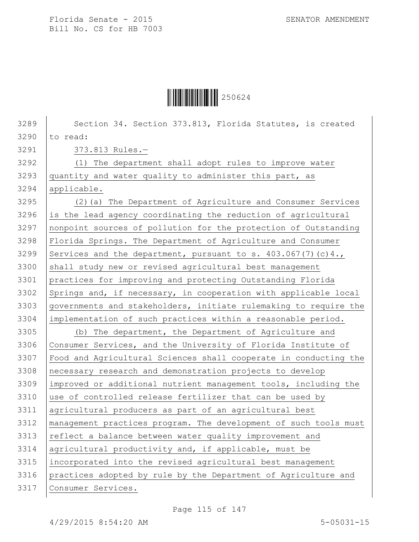

3289 Section 34. Section 373.813, Florida Statutes, is created 3290 to read: 373.813 Rules.— (1) The department shall adopt rules to improve water quantity and water quality to administer this part, as applicable. (2)(a) The Department of Agriculture and Consumer Services is the lead agency coordinating the reduction of agricultural nonpoint sources of pollution for the protection of Outstanding Florida Springs. The Department of Agriculture and Consumer 3299 Services and the department, pursuant to s.  $403.067(7)(c)4.$ 3300 shall study new or revised agricultural best management practices for improving and protecting Outstanding Florida 3302 Springs and, if necessary, in cooperation with applicable local governments and stakeholders, initiate rulemaking to require the implementation of such practices within a reasonable period. (b) The department, the Department of Agriculture and 3306 Consumer Services, and the University of Florida Institute of Food and Agricultural Sciences shall cooperate in conducting the 3308 | necessary research and demonstration projects to develop improved or additional nutrient management tools, including the 3310 use of controlled release fertilizer that can be used by agricultural producers as part of an agricultural best management practices program. The development of such tools must 3313 | reflect a balance between water quality improvement and 3314 | agricultural productivity and, if applicable, must be incorporated into the revised agricultural best management practices adopted by rule by the Department of Agriculture and Consumer Services.

Page 115 of 147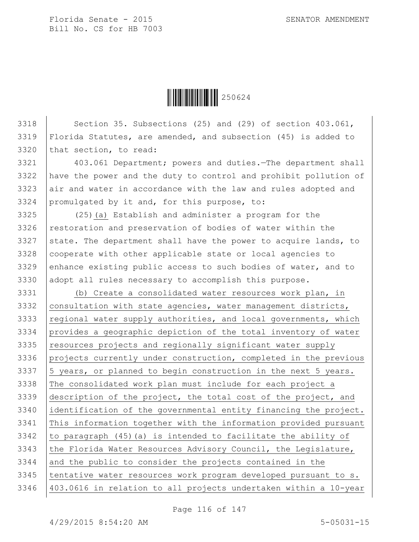**│││││││││││││││** 250624

3318 Section 35. Subsections (25) and (29) of section 403.061, Florida Statutes, are amended, and subsection (45) is added to that section, to read: 3321 403.061 Department; powers and duties.—The department shall have the power and the duty to control and prohibit pollution of 3323 air and water in accordance with the law and rules adopted and promulgated by it and, for this purpose, to: (25)(a) Establish and administer a program for the restoration and preservation of bodies of water within the 3327 state. The department shall have the power to acquire lands, to 3328 | cooperate with other applicable state or local agencies to 3329 enhance existing public access to such bodies of water, and to 3330 adopt all rules necessary to accomplish this purpose. (b) Create a consolidated water resources work plan, in 3332 consultation with state agencies, water management districts, regional water supply authorities, and local governments, which provides a geographic depiction of the total inventory of water resources projects and regionally significant water supply projects currently under construction, completed in the previous |5 years, or planned to begin construction in the next 5 years. 3338 The consolidated work plan must include for each project a description of the project, the total cost of the project, and identification of the governmental entity financing the project. This information together with the information provided pursuant  $\vert$  to paragraph (45) (a) is intended to facilitate the ability of 3343 the Florida Water Resources Advisory Council, the Legislature, 3344 and the public to consider the projects contained in the tentative water resources work program developed pursuant to s. 403.0616 in relation to all projects undertaken within a 10-year

Page 116 of 147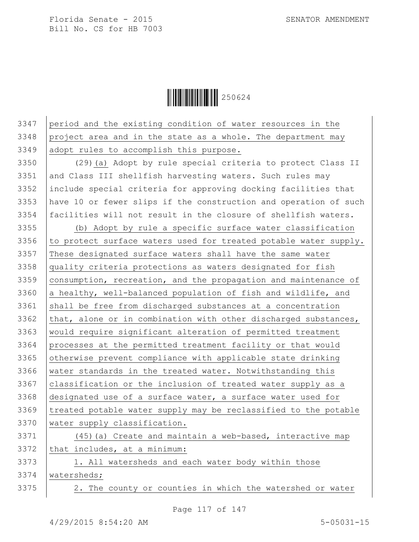## $\|$  $\|$  $\|$  $\|$  $\|$  $\|$  $\|$  $250624$

3347 period and the existing condition of water resources in the 3348 project area and in the state as a whole. The department may 3349 adopt rules to accomplish this purpose.

 (29)(a) Adopt by rule special criteria to protect Class II 3351 and Class III shellfish harvesting waters. Such rules may include special criteria for approving docking facilities that have 10 or fewer slips if the construction and operation of such facilities will not result in the closure of shellfish waters.

 (b) Adopt by rule a specific surface water classification  $\vert$  to protect surface waters used for treated potable water supply. 3357 These designated surface waters shall have the same water quality criteria protections as waters designated for fish 3359 consumption, recreation, and the propagation and maintenance of  $\vert$  a healthy, well-balanced population of fish and wildlife, and shall be free from discharged substances at a concentration 3362 that, alone or in combination with other discharged substances, would require significant alteration of permitted treatment processes at the permitted treatment facility or that would 3365 otherwise prevent compliance with applicable state drinking water standards in the treated water. Notwithstanding this 3367 classification or the inclusion of treated water supply as a designated use of a surface water, a surface water used for treated potable water supply may be reclassified to the potable water supply classification. 3371 | (45)(a) Create and maintain a web-based, interactive map that includes, at a minimum:

3373 | 1. All watersheds and each water body within those 3374 watersheds;

3375 | 2. The county or counties in which the watershed or water

Page 117 of 147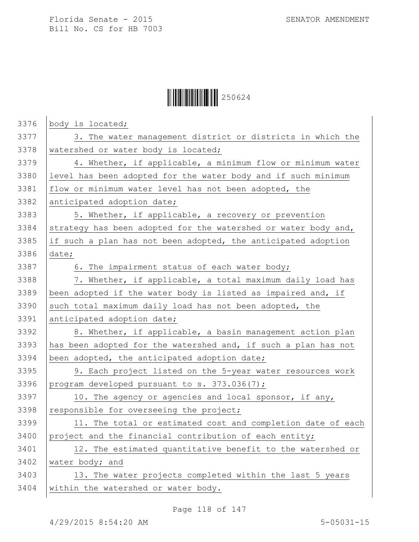## $\begin{array}{|c|c|c|c|}\hline \multicolumn{1}{|c|}{\textbf{1}}&250624\ \hline \multicolumn{1}{|c|}{\textbf{2}}&50624\ \hline \end{array}$

| 3376 | body is located;                                               |
|------|----------------------------------------------------------------|
| 3377 | 3. The water management district or districts in which the     |
| 3378 | watershed or water body is located;                            |
| 3379 | 4. Whether, if applicable, a minimum flow or minimum water     |
| 3380 | level has been adopted for the water body and if such minimum  |
| 3381 | flow or minimum water level has not been adopted, the          |
| 3382 | anticipated adoption date;                                     |
| 3383 | 5. Whether, if applicable, a recovery or prevention            |
| 3384 | strategy has been adopted for the watershed or water body and, |
| 3385 | if such a plan has not been adopted, the anticipated adoption  |
| 3386 | date;                                                          |
| 3387 | 6. The impairment status of each water body;                   |
| 3388 | 7. Whether, if applicable, a total maximum daily load has      |
| 3389 | been adopted if the water body is listed as impaired and, if   |
| 3390 | such total maximum daily load has not been adopted, the        |
| 3391 | anticipated adoption date;                                     |
| 3392 | 8. Whether, if applicable, a basin management action plan      |
| 3393 | has been adopted for the watershed and, if such a plan has not |
| 3394 | been adopted, the anticipated adoption date;                   |
| 3395 | 9. Each project listed on the 5-year water resources work      |
| 3396 | program developed pursuant to s. 373.036(7);                   |
| 3397 | 10. The agency or agencies and local sponsor, if any,          |
| 3398 | responsible for overseeing the project;                        |
| 3399 | 11. The total or estimated cost and completion date of each    |
| 3400 | project and the financial contribution of each entity;         |
| 3401 | 12. The estimated quantitative benefit to the watershed or     |
| 3402 | water body; and                                                |
| 3403 | 13. The water projects completed within the last 5 years       |
| 3404 | within the watershed or water body.                            |
|      |                                                                |

Page 118 of 147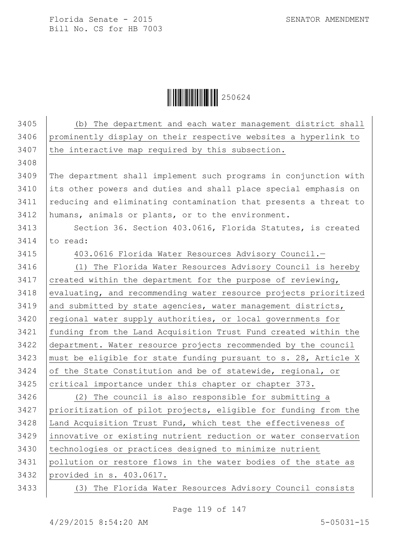Ì250624ÆÎ250624

| 3405 | (b) The department and each water management district shall      |
|------|------------------------------------------------------------------|
| 3406 | prominently display on their respective websites a hyperlink to  |
| 3407 | the interactive map required by this subsection.                 |
| 3408 |                                                                  |
| 3409 | The department shall implement such programs in conjunction with |
| 3410 | its other powers and duties and shall place special emphasis on  |
| 3411 | reducing and eliminating contamination that presents a threat to |
| 3412 | humans, animals or plants, or to the environment.                |
| 3413 | Section 36. Section 403.0616, Florida Statutes, is created       |
| 3414 | to read:                                                         |
| 3415 | 403.0616 Florida Water Resources Advisory Council.-              |
| 3416 | (1) The Florida Water Resources Advisory Council is hereby       |
| 3417 | created within the department for the purpose of reviewing,      |
| 3418 | evaluating, and recommending water resource projects prioritized |
| 3419 | and submitted by state agencies, water management districts,     |
| 3420 | regional water supply authorities, or local governments for      |
| 3421 | funding from the Land Acquisition Trust Fund created within the  |
| 3422 | department. Water resource projects recommended by the council   |
| 3423 | must be eligible for state funding pursuant to s. 28, Article X  |
| 3424 | of the State Constitution and be of statewide, regional, or      |
| 3425 | critical importance under this chapter or chapter 373.           |
| 3426 | (2) The council is also responsible for submitting a             |
| 3427 | prioritization of pilot projects, eligible for funding from the  |
| 3428 | Land Acquisition Trust Fund, which test the effectiveness of     |
| 3429 | innovative or existing nutrient reduction or water conservation  |
| 3430 | technologies or practices designed to minimize nutrient          |
| 3431 | pollution or restore flows in the water bodies of the state as   |
| 3432 | provided in s. 403.0617.                                         |
| 3433 | (3) The Florida Water Resources Advisory Council consists        |

Page 119 of 147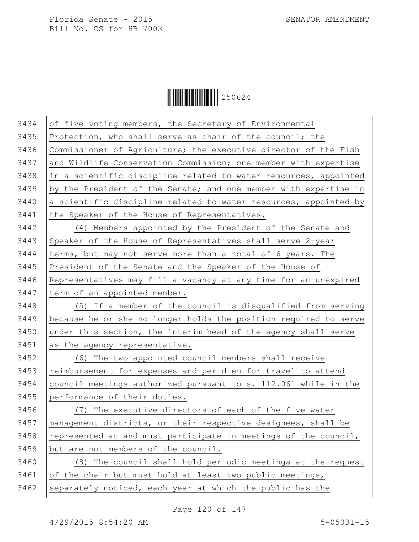

| 3434 | of five voting members, the Secretary of Environmental           |
|------|------------------------------------------------------------------|
| 3435 | Protection, who shall serve as chair of the council; the         |
| 3436 | Commissioner of Agriculture; the executive director of the Fish  |
| 3437 | and Wildlife Conservation Commission; one member with expertise  |
| 3438 | in a scientific discipline related to water resources, appointed |
| 3439 | by the President of the Senate; and one member with expertise in |
| 3440 | a scientific discipline related to water resources, appointed by |
| 3441 | the Speaker of the House of Representatives.                     |
| 3442 | (4) Members appointed by the President of the Senate and         |
| 3443 | Speaker of the House of Representatives shall serve 2-year       |
| 3444 | terms, but may not serve more than a total of 6 years. The       |
| 3445 | President of the Senate and the Speaker of the House of          |
| 3446 | Representatives may fill a vacancy at any time for an unexpired  |
| 3447 | term of an appointed member.                                     |
| 3448 | (5) If a member of the council is disqualified from serving      |
| 3449 | because he or she no longer holds the position required to serve |
| 3450 | under this section, the interim head of the agency shall serve   |
| 3451 | as the agency representative.                                    |
| 3452 | (6) The two appointed council members shall receive              |
| 3453 | reimbursement for expenses and per diem for travel to attend     |
| 3454 | council meetings authorized pursuant to s. 112.061 while in the  |
| 3455 | performance of their duties.                                     |
| 3456 | (7) The executive directors of each of the five water            |
| 3457 | management districts, or their respective designees, shall be    |
| 3458 | represented at and must participate in meetings of the council,  |
| 3459 | but are not members of the council.                              |
| 3460 | (8) The council shall hold periodic meetings at the request      |
| 3461 | of the chair but must hold at least two public meetings,         |
| 3462 | separately noticed, each year at which the public has the        |

Page 120 of 147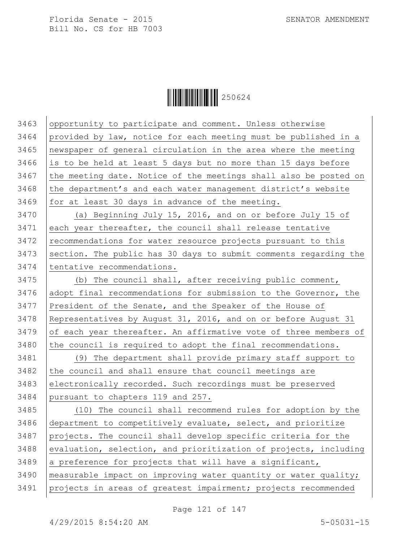$\begin{array}{|c|c|c|c|}\hline \multicolumn{1}{|c|}{\textbf{1}}&250624\ \hline \multicolumn{1}{|c|}{\textbf{2}}&50624\ \hline \end{array}$ 

| 3463 | opportunity to participate and comment. Unless otherwise         |
|------|------------------------------------------------------------------|
| 3464 | provided by law, notice for each meeting must be published in a  |
| 3465 | newspaper of general circulation in the area where the meeting   |
| 3466 | is to be held at least 5 days but no more than 15 days before    |
| 3467 | the meeting date. Notice of the meetings shall also be posted on |
| 3468 | the department's and each water management district's website    |
| 3469 | for at least 30 days in advance of the meeting.                  |
| 3470 | (a) Beginning July 15, 2016, and on or before July 15 of         |
| 3471 | each year thereafter, the council shall release tentative        |
| 3472 | recommendations for water resource projects pursuant to this     |
| 3473 | section. The public has 30 days to submit comments regarding the |
| 3474 | tentative recommendations.                                       |
| 3475 | (b) The council shall, after receiving public comment,           |
| 3476 | adopt final recommendations for submission to the Governor, the  |
| 3477 | President of the Senate, and the Speaker of the House of         |
| 3478 | Representatives by August 31, 2016, and on or before August 31   |
| 3479 | of each year thereafter. An affirmative vote of three members of |
| 3480 | the council is required to adopt the final recommendations.      |
| 3481 | (9) The department shall provide primary staff support to        |
| 3482 | the council and shall ensure that council meetings are           |
| 3483 | electronically recorded. Such recordings must be preserved       |
| 3484 | pursuant to chapters 119 and 257.                                |
| 3485 | (10) The council shall recommend rules for adoption by the       |
| 3486 | department to competitively evaluate, select, and prioritize     |
| 3487 | projects. The council shall develop specific criteria for the    |
| 3488 | evaluation, selection, and prioritization of projects, including |
| 3489 | a preference for projects that will have a significant,          |
| 3490 | measurable impact on improving water quantity or water quality;  |
| 3491 | projects in areas of greatest impairment; projects recommended   |
|      |                                                                  |

Page 121 of 147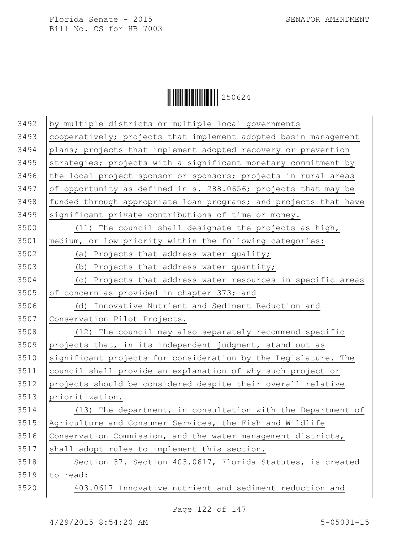$\begin{array}{|c|c|c|c|}\hline \multicolumn{1}{|c|}{\textbf{1}}&250624\ \hline \multicolumn{1}{|c|}{\textbf{2}}&50624\ \hline \end{array}$ 

| 3492 | by multiple districts or multiple local governments              |
|------|------------------------------------------------------------------|
| 3493 | cooperatively; projects that implement adopted basin management  |
| 3494 | plans; projects that implement adopted recovery or prevention    |
| 3495 | strategies; projects with a significant monetary commitment by   |
| 3496 | the local project sponsor or sponsors; projects in rural areas   |
| 3497 | of opportunity as defined in s. 288.0656; projects that may be   |
| 3498 | funded through appropriate loan programs; and projects that have |
| 3499 | significant private contributions of time or money.              |
| 3500 | (11) The council shall designate the projects as high,           |
| 3501 | medium, or low priority within the following categories:         |
| 3502 | (a) Projects that address water quality;                         |
| 3503 | (b) Projects that address water quantity;                        |
| 3504 | (c) Projects that address water resources in specific areas      |
| 3505 | of concern as provided in chapter 373; and                       |
| 3506 | Innovative Nutrient and Sediment Reduction and<br>(d)            |
| 3507 | Conservation Pilot Projects.                                     |
| 3508 | (12) The council may also separately recommend specific          |
| 3509 | projects that, in its independent judgment, stand out as         |
| 3510 | significant projects for consideration by the Legislature. The   |
| 3511 | council shall provide an explanation of why such project or      |
| 3512 | projects should be considered despite their overall relative     |
| 3513 | prioritization.                                                  |
| 3514 | (13) The department, in consultation with the Department of      |
| 3515 | Agriculture and Consumer Services, the Fish and Wildlife         |
| 3516 | Conservation Commission, and the water management districts,     |
| 3517 | shall adopt rules to implement this section.                     |
| 3518 | Section 37. Section 403.0617, Florida Statutes, is created       |
| 3519 | to read:                                                         |
|      |                                                                  |

Page 122 of 147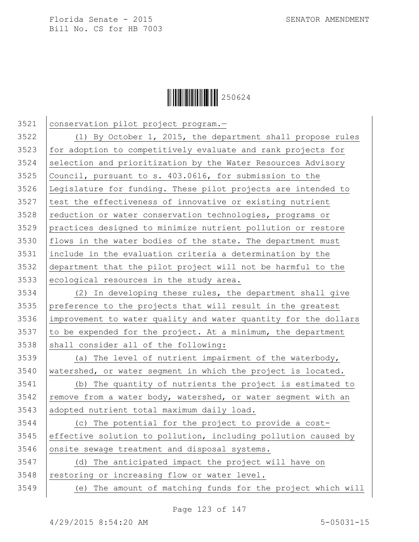

 conservation pilot project program.— (1) By October 1, 2015, the department shall propose rules 3523 for adoption to competitively evaluate and rank projects for selection and prioritization by the Water Resources Advisory Council, pursuant to s. 403.0616, for submission to the Legislature for funding. These pilot projects are intended to test the effectiveness of innovative or existing nutrient 3528 reduction or water conservation technologies, programs or practices designed to minimize nutrient pollution or restore  $|$  flows in the water bodies of the state. The department must include in the evaluation criteria a determination by the department that the pilot project will not be harmful to the ecological resources in the study area. (2) In developing these rules, the department shall give preference to the projects that will result in the greatest improvement to water quality and water quantity for the dollars 3537 to be expended for the project. At a minimum, the department shall consider all of the following: (a) The level of nutrient impairment of the waterbody, watershed, or water segment in which the project is located. (b) The quantity of nutrients the project is estimated to 3542 | remove from a water body, watershed, or water segment with an adopted nutrient total maximum daily load. (c) The potential for the project to provide a cost- effective solution to pollution, including pollution caused by 3546 onsite sewage treatment and disposal systems. (d) The anticipated impact the project will have on 3548 restoring or increasing flow or water level. (e) The amount of matching funds for the project which will

Page 123 of 147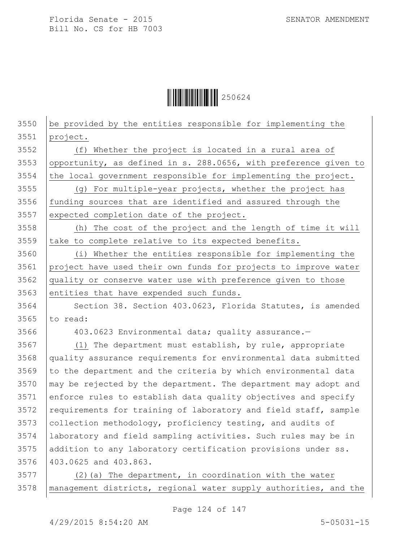$\|$  $\|$  $\|$  $\|$  $\|$  $\|$  $250624$ 

 be provided by the entities responsible for implementing the 3551 project. (f) Whether the project is located in a rural area of 3553 opportunity, as defined in s. 288.0656, with preference given to 3554 the local government responsible for implementing the project. (g) For multiple-year projects, whether the project has 3556 funding sources that are identified and assured through the expected completion date of the project. (h) The cost of the project and the length of time it will 3559 take to complete relative to its expected benefits. (i) Whether the entities responsible for implementing the project have used their own funds for projects to improve water quality or conserve water use with preference given to those 3563 entities that have expended such funds. 3564 Section 38. Section 403.0623, Florida Statutes, is amended  $3565$  to read: 403.0623 Environmental data; quality assurance.— (1) The department must establish, by rule, appropriate quality assurance requirements for environmental data submitted 3569 to the department and the criteria by which environmental data  $\mid$  may be rejected by the department. The department may adopt and enforce rules to establish data quality objectives and specify 3572 requirements for training of laboratory and field staff, sample 3573 collection methodology, proficiency testing, and audits of laboratory and field sampling activities. Such rules may be in addition to any laboratory certification provisions under ss. 403.0625 and 403.863.  $(2)(a)$  The department, in coordination with the water management districts, regional water supply authorities, and the

Page 124 of 147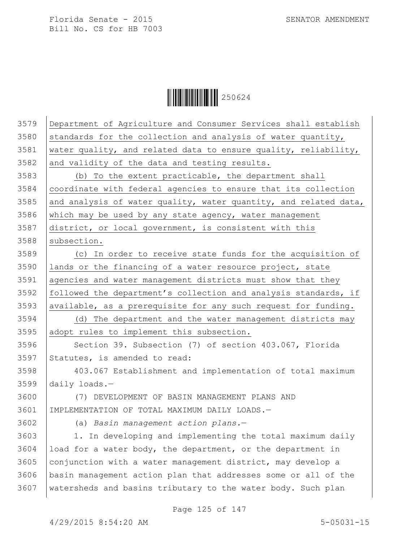$\begin{array}{|c|c|c|c|}\hline \multicolumn{1}{|c|}{\textbf{1}}&250624\ \hline \multicolumn{1}{|c|}{\textbf{2}}&50624\ \hline \end{array}$ 

| 3579 | Department of Agriculture and Consumer Services shall establish  |
|------|------------------------------------------------------------------|
| 3580 | standards for the collection and analysis of water quantity,     |
| 3581 | water quality, and related data to ensure quality, reliability,  |
| 3582 | and validity of the data and testing results.                    |
| 3583 | (b) To the extent practicable, the department shall              |
| 3584 | coordinate with federal agencies to ensure that its collection   |
| 3585 | and analysis of water quality, water quantity, and related data, |
| 3586 | which may be used by any state agency, water management          |
| 3587 | district, or local government, is consistent with this           |
| 3588 | subsection.                                                      |
| 3589 | (c) In order to receive state funds for the acquisition of       |
| 3590 | lands or the financing of a water resource project, state        |
| 3591 | agencies and water management districts must show that they      |
| 3592 | followed the department's collection and analysis standards, if  |
| 3593 | available, as a prerequisite for any such request for funding.   |
| 3594 | (d) The department and the water management districts may        |
| 3595 | adopt rules to implement this subsection.                        |
| 3596 | Section 39. Subsection (7) of section 403.067, Florida           |
| 3597 | Statutes, is amended to read:                                    |
| 3598 | 403.067 Establishment and implementation of total maximum        |
| 3599 | daily loads. $-$                                                 |
| 3600 | (7) DEVELOPMENT OF BASIN MANAGEMENT PLANS AND                    |
| 3601 | IMPLEMENTATION OF TOTAL MAXIMUM DAILY LOADS.-                    |
| 3602 | (a) Basin management action plans.-                              |
| 3603 | 1. In developing and implementing the total maximum daily        |
| 3604 | load for a water body, the department, or the department in      |
| 3605 | conjunction with a water management district, may develop a      |
| 3606 | basin management action plan that addresses some or all of the   |
| 3607 | watersheds and basins tributary to the water body. Such plan     |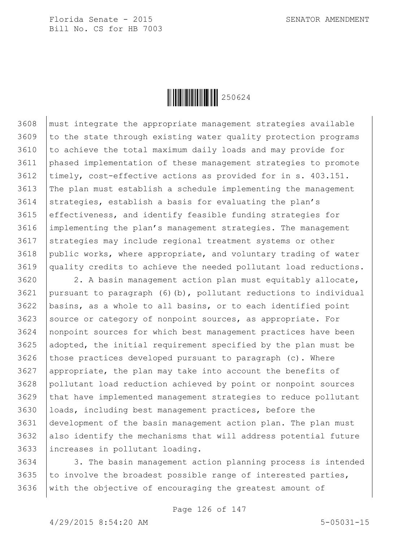

 must integrate the appropriate management strategies available 3609 to the state through existing water quality protection programs to achieve the total maximum daily loads and may provide for phased implementation of these management strategies to promote timely, cost-effective actions as provided for in s. 403.151. The plan must establish a schedule implementing the management 3614 strategies, establish a basis for evaluating the plan's effectiveness, and identify feasible funding strategies for implementing the plan's management strategies. The management strategies may include regional treatment systems or other public works, where appropriate, and voluntary trading of water quality credits to achieve the needed pollutant load reductions.

 2. A basin management action plan must equitably allocate, pursuant to paragraph (6)(b), pollutant reductions to individual basins, as a whole to all basins, or to each identified point source or category of nonpoint sources, as appropriate. For nonpoint sources for which best management practices have been adopted, the initial requirement specified by the plan must be 3626 those practices developed pursuant to paragraph (c). Where appropriate, the plan may take into account the benefits of pollutant load reduction achieved by point or nonpoint sources that have implemented management strategies to reduce pollutant loads, including best management practices, before the development of the basin management action plan. The plan must also identify the mechanisms that will address potential future increases in pollutant loading.

3634 3. The basin management action planning process is intended 3635 to involve the broadest possible range of interested parties, with the objective of encouraging the greatest amount of

Page 126 of 147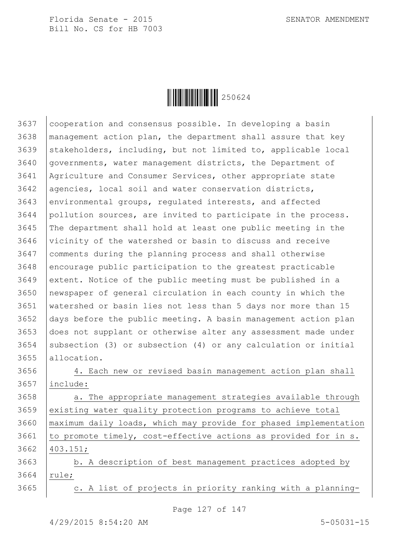

 cooperation and consensus possible. In developing a basin | management action plan, the department shall assure that key stakeholders, including, but not limited to, applicable local governments, water management districts, the Department of Agriculture and Consumer Services, other appropriate state 3642 | agencies, local soil and water conservation districts, environmental groups, regulated interests, and affected pollution sources, are invited to participate in the process. The department shall hold at least one public meeting in the vicinity of the watershed or basin to discuss and receive comments during the planning process and shall otherwise 3648 encourage public participation to the greatest practicable extent. Notice of the public meeting must be published in a newspaper of general circulation in each county in which the watershed or basin lies not less than 5 days nor more than 15 days before the public meeting. A basin management action plan does not supplant or otherwise alter any assessment made under 3654 Subsection (3) or subsection (4) or any calculation or initial allocation.

 4. Each new or revised basin management action plan shall include:

3658 a. The appropriate management strategies available through existing water quality protection programs to achieve total maximum daily loads, which may provide for phased implementation 3661  $\vert$  to promote timely, cost-effective actions as provided for in s. 403.151;

3663 | b. A description of best management practices adopted by 3664 | rule;

| c. A list of projects in priority ranking with a planning-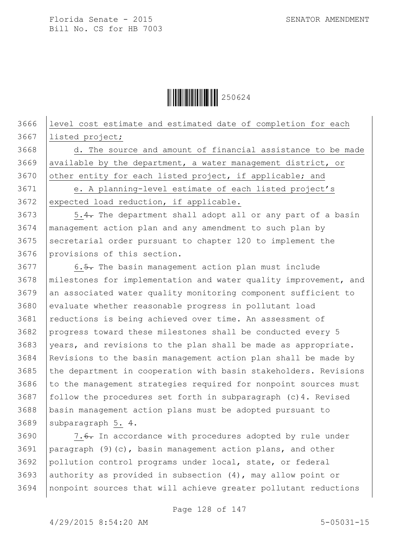

3666 level cost estimate and estimated date of completion for each 3667 listed project;

 $3668$  d. The source and amount of financial assistance to be made 3669 available by the department, a water management district, or 3670 other entity for each listed project, if applicable; and 3671 e. A planning-level estimate of each listed project's

3672 expected load reduction, if applicable.

3673 | 5.4. The department shall adopt all or any part of a basin management action plan and any amendment to such plan by secretarial order pursuant to chapter 120 to implement the provisions of this section.

3677 6.5. The basin management action plan must include 3678 milestones for implementation and water quality improvement, and 3679 an associated water quality monitoring component sufficient to 3680 evaluate whether reasonable progress in pollutant load 3681 reductions is being achieved over time. An assessment of 3682 progress toward these milestones shall be conducted every 5  $3683$  vears, and revisions to the plan shall be made as appropriate.  $3684$  Revisions to the basin management action plan shall be made by 3685 the department in cooperation with basin stakeholders. Revisions  $3686$  to the management strategies required for nonpoint sources must 3687 | follow the procedures set forth in subparagraph  $(c)$ 4. Revised 3688 basin management action plans must be adopted pursuant to 3689 subparagraph 5. 4.

3690 | 7.6. In accordance with procedures adopted by rule under 3691 paragraph (9)(c), basin management action plans, and other 3692 pollution control programs under local, state, or federal 3693 | authority as provided in subsection  $(4)$ , may allow point or 3694 nonpoint sources that will achieve greater pollutant reductions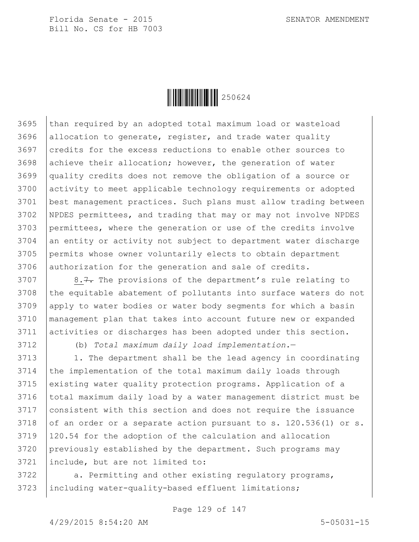

 than required by an adopted total maximum load or wasteload allocation to generate, register, and trade water quality credits for the excess reductions to enable other sources to achieve their allocation; however, the generation of water quality credits does not remove the obligation of a source or activity to meet applicable technology requirements or adopted best management practices. Such plans must allow trading between NPDES permittees, and trading that may or may not involve NPDES permittees, where the generation or use of the credits involve an entity or activity not subject to department water discharge permits whose owner voluntarily elects to obtain department 3706 authorization for the generation and sale of credits.

 | 8.7. The provisions of the department's rule relating to 3708 the equitable abatement of pollutants into surface waters do not apply to water bodies or water body segments for which a basin management plan that takes into account future new or expanded activities or discharges has been adopted under this section.

(b) *Total maximum daily load implementation.*—

 | 1. The department shall be the lead agency in coordinating the implementation of the total maximum daily loads through 3715 existing water quality protection programs. Application of a total maximum daily load by a water management district must be consistent with this section and does not require the issuance 3718 of an order or a separate action pursuant to s.  $120.536(1)$  or s. 120.54 for the adoption of the calculation and allocation previously established by the department. Such programs may include, but are not limited to:

3722 | a. Permitting and other existing regulatory programs, 3723 | including water-quality-based effluent limitations;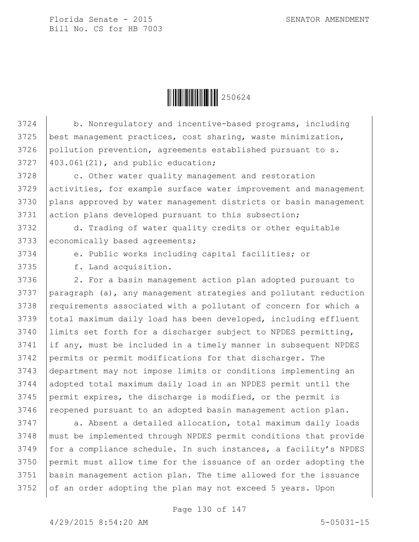

3724 b. Nonregulatory and incentive-based programs, including best management practices, cost sharing, waste minimization, 3726 pollution prevention, agreements established pursuant to s. 403.061(21), and public education; 3728 c. Other water quality management and restoration activities, for example surface water improvement and management plans approved by water management districts or basin management 3731 action plans developed pursuant to this subsection; d. Trading of water quality credits or other equitable 3733 economically based agreements; e. Public works including capital facilities; or f. Land acquisition. 2. For a basin management action plan adopted pursuant to paragraph (a), any management strategies and pollutant reduction requirements associated with a pollutant of concern for which a total maximum daily load has been developed, including effluent limits set forth for a discharger subject to NPDES permitting, if any, must be included in a timely manner in subsequent NPDES 3742 permits or permit modifications for that discharger. The department may not impose limits or conditions implementing an adopted total maximum daily load in an NPDES permit until the permit expires, the discharge is modified, or the permit is 3746 | reopened pursuant to an adopted basin management action plan. 3747 a. Absent a detailed allocation, total maximum daily loads must be implemented through NPDES permit conditions that provide

 for a compliance schedule. In such instances, a facility's NPDES permit must allow time for the issuance of an order adopting the basin management action plan. The time allowed for the issuance of an order adopting the plan may not exceed 5 years. Upon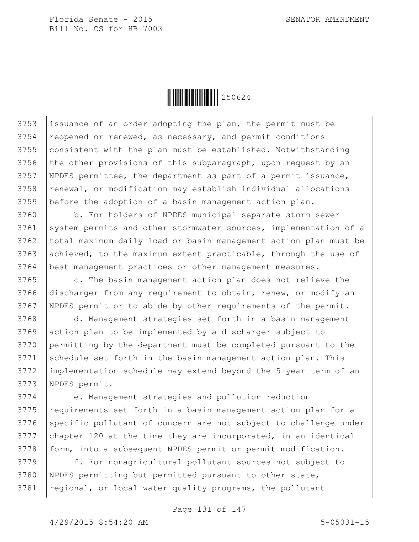

3753 issuance of an order adopting the plan, the permit must be reopened or renewed, as necessary, and permit conditions consistent with the plan must be established. Notwithstanding 3756 the other provisions of this subparagraph, upon request by an NPDES permittee, the department as part of a permit issuance, renewal, or modification may establish individual allocations before the adoption of a basin management action plan.

3760 b. For holders of NPDES municipal separate storm sewer 3761 system permits and other stormwater sources, implementation of a 3762 total maximum daily load or basin management action plan must be 3763 achieved, to the maximum extent practicable, through the use of 3764 best management practices or other management measures.

3765 c. The basin management action plan does not relieve the 3766 discharger from any requirement to obtain, renew, or modify an 3767 NPDES permit or to abide by other requirements of the permit.

 d. Management strategies set forth in a basin management action plan to be implemented by a discharger subject to permitting by the department must be completed pursuant to the schedule set forth in the basin management action plan. This implementation schedule may extend beyond the 5-year term of an NPDES permit.

3774 e. Management strategies and pollution reduction 3775 | requirements set forth in a basin management action plan for a 3776 Specific pollutant of concern are not subject to challenge under 3777 chapter 120 at the time they are incorporated, in an identical 3778 | form, into a subsequent NPDES permit or permit modification.

3779 f. For nonagricultural pollutant sources not subject to 3780 NPDES permitting but permitted pursuant to other state, 3781 | regional, or local water quality programs, the pollutant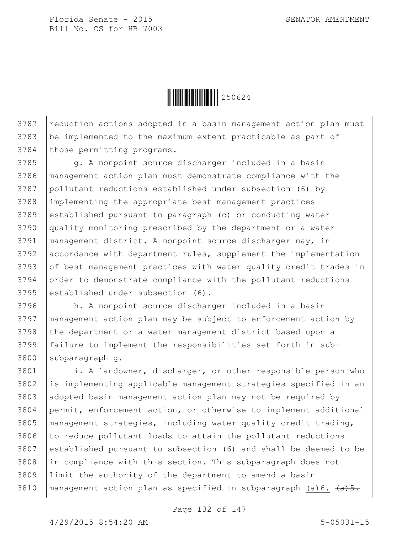$\|$  $\|$  $\|$  $\|$  $\|$  $\|$  $250624$ 

3782 reduction actions adopted in a basin management action plan must 3783 be implemented to the maximum extent practicable as part of 3784 those permitting programs.

3785 g. A nonpoint source discharger included in a basin management action plan must demonstrate compliance with the pollutant reductions established under subsection (6) by implementing the appropriate best management practices established pursuant to paragraph (c) or conducting water quality monitoring prescribed by the department or a water management district. A nonpoint source discharger may, in accordance with department rules, supplement the implementation 3793 of best management practices with water quality credit trades in 3794 order to demonstrate compliance with the pollutant reductions 3795 established under subsection (6).

3796 h. A nonpoint source discharger included in a basin 3797 management action plan may be subject to enforcement action by 3798 the department or a water management district based upon a 3799 failure to implement the responsibilities set forth in sub-3800 subparagraph q.

 i. A landowner, discharger, or other responsible person who is implementing applicable management strategies specified in an 3803 adopted basin management action plan may not be required by permit, enforcement action, or otherwise to implement additional management strategies, including water quality credit trading, to reduce pollutant loads to attain the pollutant reductions established pursuant to subsection (6) and shall be deemed to be 3808 in compliance with this section. This subparagraph does not limit the authority of the department to amend a basin 3810 | management action plan as specified in subparagraph (a)  $6. \frac{1}{(a+5)}$ .

Page 132 of 147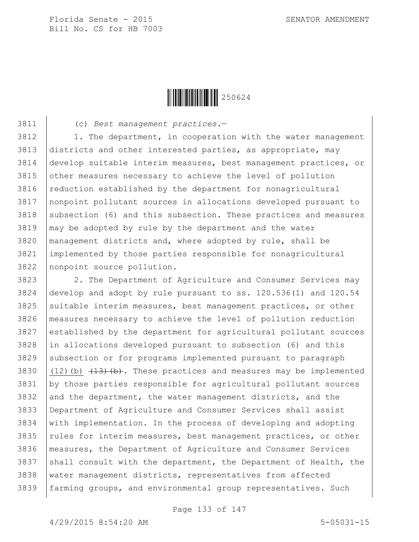

(c) *Best management practices.*—

3812 | 1. The department, in cooperation with the water management districts and other interested parties, as appropriate, may develop suitable interim measures, best management practices, or 3815 other measures necessary to achieve the level of pollution reduction established by the department for nonagricultural nonpoint pollutant sources in allocations developed pursuant to subsection (6) and this subsection. These practices and measures may be adopted by rule by the department and the water management districts and, where adopted by rule, shall be implemented by those parties responsible for nonagricultural nonpoint source pollution.

 2. The Department of Agriculture and Consumer Services may develop and adopt by rule pursuant to ss. 120.536(1) and 120.54 suitable interim measures, best management practices, or other measures necessary to achieve the level of pollution reduction established by the department for agricultural pollutant sources in allocations developed pursuant to subsection (6) and this subsection or for programs implemented pursuant to paragraph  $(12)(b)$   $(13)(b)$ . These practices and measures may be implemented by those parties responsible for agricultural pollutant sources and the department, the water management districts, and the Department of Agriculture and Consumer Services shall assist with implementation. In the process of developing and adopting  $\vert$  rules for interim measures, best management practices, or other 3836 | measures, the Department of Agriculture and Consumer Services 3837 shall consult with the department, the Department of Health, the water management districts, representatives from affected farming groups, and environmental group representatives. Such

Page 133 of 147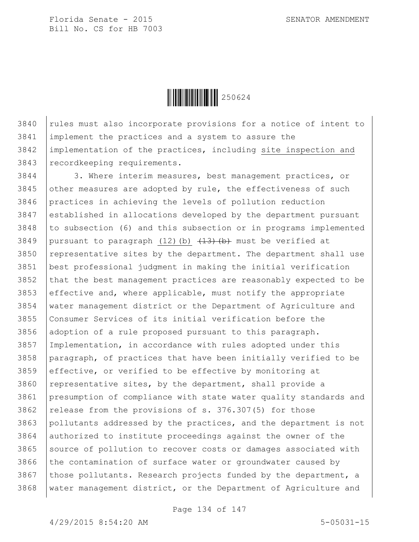

 rules must also incorporate provisions for a notice of intent to implement the practices and a system to assure the implementation of the practices, including site inspection and recordkeeping requirements.

3844 3. Where interim measures, best management practices, or other measures are adopted by rule, the effectiveness of such practices in achieving the levels of pollution reduction established in allocations developed by the department pursuant to subsection (6) and this subsection or in programs implemented 3849 pursuant to paragraph (12)(b)  $\left(13\right)\left(b\right)$  must be verified at representative sites by the department. The department shall use best professional judgment in making the initial verification that the best management practices are reasonably expected to be effective and, where applicable, must notify the appropriate water management district or the Department of Agriculture and Consumer Services of its initial verification before the adoption of a rule proposed pursuant to this paragraph. Implementation, in accordance with rules adopted under this paragraph, of practices that have been initially verified to be effective, or verified to be effective by monitoring at 3860 | representative sites, by the department, shall provide a presumption of compliance with state water quality standards and 3862 | release from the provisions of s. 376.307(5) for those pollutants addressed by the practices, and the department is not authorized to institute proceedings against the owner of the 3865 Source of pollution to recover costs or damages associated with the contamination of surface water or groundwater caused by 3867 those pollutants. Research projects funded by the department, a water management district, or the Department of Agriculture and

Page 134 of 147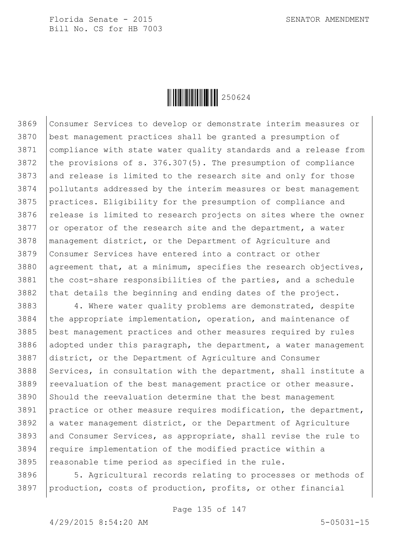

 Consumer Services to develop or demonstrate interim measures or best management practices shall be granted a presumption of compliance with state water quality standards and a release from the provisions of s. 376.307(5). The presumption of compliance 3873 and release is limited to the research site and only for those pollutants addressed by the interim measures or best management practices. Eligibility for the presumption of compliance and release is limited to research projects on sites where the owner 3877 or operator of the research site and the department, a water management district, or the Department of Agriculture and Consumer Services have entered into a contract or other 3880 agreement that, at a minimum, specifies the research objectives, 3881 the cost-share responsibilities of the parties, and a schedule that details the beginning and ending dates of the project.

3883 4. Where water quality problems are demonstrated, despite the appropriate implementation, operation, and maintenance of best management practices and other measures required by rules 3886 adopted under this paragraph, the department, a water management district, or the Department of Agriculture and Consumer 3888 Services, in consultation with the department, shall institute a 3889 | reevaluation of the best management practice or other measure. Should the reevaluation determine that the best management practice or other measure requires modification, the department, a water management district, or the Department of Agriculture and Consumer Services, as appropriate, shall revise the rule to 3894 | require implementation of the modified practice within a reasonable time period as specified in the rule.

 $3896$   $\vert$  5. Agricultural records relating to processes or methods of 3897 | production, costs of production, profits, or other financial

Page 135 of 147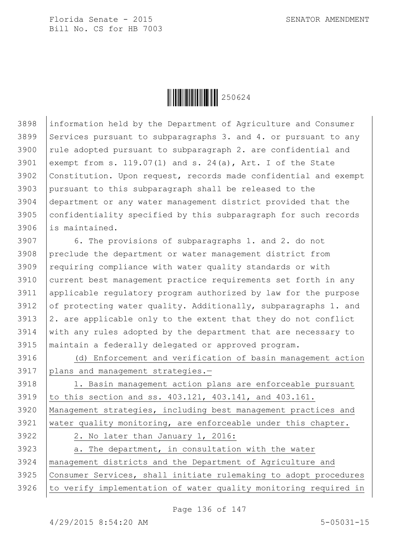

 information held by the Department of Agriculture and Consumer 3899 Services pursuant to subparagraphs 3. and 4. or pursuant to any rule adopted pursuant to subparagraph 2. are confidential and exempt from s. 119.07(1) and s. 24(a), Art. I of the State Constitution. Upon request, records made confidential and exempt pursuant to this subparagraph shall be released to the department or any water management district provided that the confidentiality specified by this subparagraph for such records is maintained.

 6. The provisions of subparagraphs 1. and 2. do not preclude the department or water management district from 3909 requiring compliance with water quality standards or with current best management practice requirements set forth in any applicable regulatory program authorized by law for the purpose 3912 of protecting water quality. Additionally, subparagraphs 1. and  $\vert$  2. are applicable only to the extent that they do not conflict with any rules adopted by the department that are necessary to maintain a federally delegated or approved program.

 (d) Enforcement and verification of basin management action plans and management strategies.—

 1. Basin management action plans are enforceable pursuant to this section and ss. 403.121, 403.141, and 403.161. Management strategies, including best management practices and 3921 water quality monitoring, are enforceable under this chapter. 2. No later than January 1, 2016: a. The department, in consultation with the water

 management districts and the Department of Agriculture and Consumer Services, shall initiate rulemaking to adopt procedures to verify implementation of water quality monitoring required in

Page 136 of 147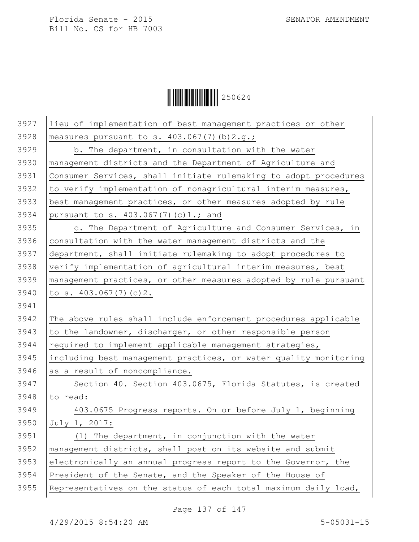$\begin{array}{|c|c|c|c|c|}\hline \multicolumn{1}{|c|}{\textbf{||}}{\textbf{||}}{\textbf{||}}{\textbf{||}}{\textbf{||}}{\textbf{||}}{\textbf{||}}{\textbf{||}}{\textbf{||}}{\textbf{||}}{\textbf{||}}{\textbf{||}}{\textbf{||}}{\textbf{||}}{\textbf{||}}{\textbf{||}}{\textbf{||}}{\textbf{||}}{\textbf{||}}{\textbf{||}}{\textbf{||}}{\textbf{||}}{\textbf{||}}{\textbf{||}}{\textbf{||}}{\textbf{||}}{\textbf{||}}{\textbf{||}}{\textbf{||}}{\textbf{||}}{\textbf{||}}{\textbf{$ 

| 3927 | lieu of implementation of best management practices or other     |
|------|------------------------------------------------------------------|
| 3928 | measures pursuant to s. $403.067(7)$ (b) $2.g.;$                 |
| 3929 | b. The department, in consultation with the water                |
| 3930 | management districts and the Department of Agriculture and       |
| 3931 | Consumer Services, shall initiate rulemaking to adopt procedures |
| 3932 | to verify implementation of nonagricultural interim measures,    |
| 3933 | best management practices, or other measures adopted by rule     |
| 3934 | pursuant to s. $403.067(7)(c)1.;$ and                            |
| 3935 | c. The Department of Agriculture and Consumer Services, in       |
| 3936 | consultation with the water management districts and the         |
| 3937 | department, shall initiate rulemaking to adopt procedures to     |
| 3938 | verify implementation of agricultural interim measures, best     |
| 3939 | management practices, or other measures adopted by rule pursuant |
| 3940 | to s. $403.067(7)(c)2$ .                                         |
| 3941 |                                                                  |
|      |                                                                  |
| 3942 | The above rules shall include enforcement procedures applicable  |
| 3943 | to the landowner, discharger, or other responsible person        |
| 3944 | required to implement applicable management strategies,          |
| 3945 | including best management practices, or water quality monitoring |
| 3946 | as a result of noncompliance.                                    |
| 3947 | Section 40. Section 403.0675, Florida Statutes, is created       |
| 3948 | to read:                                                         |
| 3949 | 403.0675 Progress reports. On or before July 1, beginning        |
| 3950 | July 1, 2017:                                                    |
| 3951 | (1) The department, in conjunction with the water                |
| 3952 | management districts, shall post on its website and submit       |
| 3953 | electronically an annual progress report to the Governor, the    |
| 3954 | President of the Senate, and the Speaker of the House of         |
| 3955 | Representatives on the status of each total maximum daily load,  |

Page 137 of 147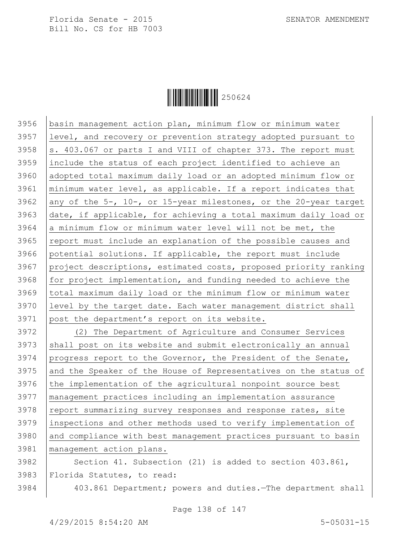

 basin management action plan, minimum flow or minimum water level, and recovery or prevention strategy adopted pursuant to  $\vert$ s. 403.067 or parts I and VIII of chapter 373. The report must include the status of each project identified to achieve an adopted total maximum daily load or an adopted minimum flow or minimum water level, as applicable. If a report indicates that 3962 any of the 5-, 10-, or 15-year milestones, or the 20-year target date, if applicable, for achieving a total maximum daily load or 3964 a minimum flow or minimum water level will not be met, the report must include an explanation of the possible causes and potential solutions. If applicable, the report must include project descriptions, estimated costs, proposed priority ranking for project implementation, and funding needed to achieve the total maximum daily load or the minimum flow or minimum water level by the target date. Each water management district shall post the department's report on its website. (2) The Department of Agriculture and Consumer Services shall post on its website and submit electronically an annual 3974 progress report to the Governor, the President of the Senate, 3975 and the Speaker of the House of Representatives on the status of the implementation of the agricultural nonpoint source best management practices including an implementation assurance 3978 report summarizing survey responses and response rates, site inspections and other methods used to verify implementation of and compliance with best management practices pursuant to basin management action plans. 3982 Section 41. Subsection (21) is added to section 403.861, Florida Statutes, to read: 403.861 Department; powers and duties.—The department shall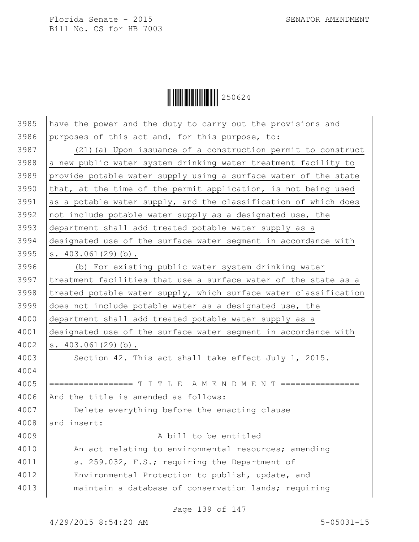Ì250624ÆÎ250624

| 3985 | have the power and the duty to carry out the provisions and      |
|------|------------------------------------------------------------------|
| 3986 | purposes of this act and, for this purpose, to:                  |
| 3987 | (21) (a) Upon issuance of a construction permit to construct     |
| 3988 | a new public water system drinking water treatment facility to   |
| 3989 | provide potable water supply using a surface water of the state  |
| 3990 | that, at the time of the permit application, is not being used   |
| 3991 | as a potable water supply, and the classification of which does  |
| 3992 | not include potable water supply as a designated use, the        |
| 3993 | department shall add treated potable water supply as a           |
| 3994 | designated use of the surface water segment in accordance with   |
| 3995 | s. $403.061(29)(b)$ .                                            |
| 3996 | (b) For existing public water system drinking water              |
| 3997 | treatment facilities that use a surface water of the state as a  |
| 3998 | treated potable water supply, which surface water classification |
| 3999 | does not include potable water as a designated use, the          |
| 4000 | department shall add treated potable water supply as a           |
| 4001 | designated use of the surface water segment in accordance with   |
| 4002 | $s. 403.061(29)$ (b).                                            |
| 4003 | Section 42. This act shall take effect July 1, 2015.             |
| 4004 |                                                                  |
| 4005 | ================= T I T L E A M E N D M E N T ============       |
| 4006 | And the title is amended as follows:                             |
| 4007 | Delete everything before the enacting clause                     |
| 4008 | and insert:                                                      |
| 4009 | A bill to be entitled                                            |
| 4010 | An act relating to environmental resources; amending             |
| 4011 | s. 259.032, F.S.; requiring the Department of                    |
| 4012 | Environmental Protection to publish, update, and                 |
| 4013 | maintain a database of conservation lands; requiring             |

Page 139 of 147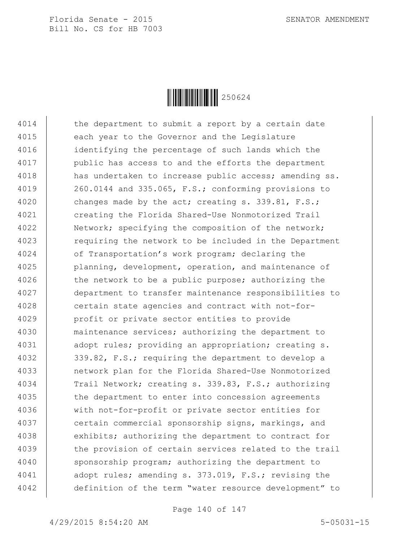

4014 the department to submit a report by a certain date 4015 | each year to the Governor and the Legislature 4016 identifying the percentage of such lands which the 4017 | public has access to and the efforts the department 4018 has undertaken to increase public access; amending ss. 4019 | 260.0144 and 335.065, F.S.; conforming provisions to 4020 changes made by the act; creating s. 339.81, F.S.; 4021 creating the Florida Shared-Use Nonmotorized Trail 4022 Network; specifying the composition of the network; 4023 | requiring the network to be included in the Department 4024 of Transportation's work program; declaring the 4025 | planning, development, operation, and maintenance of 4026 the network to be a public purpose; authorizing the 4027 department to transfer maintenance responsibilities to 4028 certain state agencies and contract with not-for-4029 profit or private sector entities to provide 4030 maintenance services; authorizing the department to 4031 | adopt rules; providing an appropriation; creating s. 4032 339.82, F.S.; requiring the department to develop a 4033 network plan for the Florida Shared-Use Nonmotorized 4034 Trail Network; creating s. 339.83, F.S.; authorizing 4035 the department to enter into concession agreements 4036 with not-for-profit or private sector entities for 4037 | certain commercial sponsorship signs, markings, and 4038 exhibits; authorizing the department to contract for 4039 the provision of certain services related to the trail 4040 sponsorship program; authorizing the department to 4041 ddopt rules; amending s. 373.019, F.S.; revising the 4042 definition of the term "water resource development" to

Page 140 of 147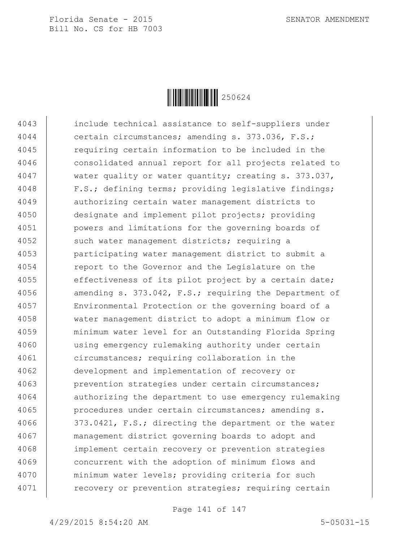

 include technical assistance to self-suppliers under certain circumstances; amending s. 373.036, F.S.; requiring certain information to be included in the consolidated annual report for all projects related to 4047 water quality or water quantity; creating s. 373.037, F.S.; defining terms; providing legislative findings; authorizing certain water management districts to designate and implement pilot projects; providing powers and limitations for the governing boards of 4052 | such water management districts; requiring a participating water management district to submit a 4054 | report to the Governor and the Legislature on the 4055 effectiveness of its pilot project by a certain date; 4056 | amending s. 373.042, F.S.; requiring the Department of Environmental Protection or the governing board of a water management district to adopt a minimum flow or minimum water level for an Outstanding Florida Spring using emergency rulemaking authority under certain circumstances; requiring collaboration in the development and implementation of recovery or prevention strategies under certain circumstances; authorizing the department to use emergency rulemaking 4065 | procedures under certain circumstances; amending s. 373.0421, F.S.; directing the department or the water management district governing boards to adopt and implement certain recovery or prevention strategies 4069 | concurrent with the adoption of minimum flows and minimum water levels; providing criteria for such 4071 | recovery or prevention strategies; requiring certain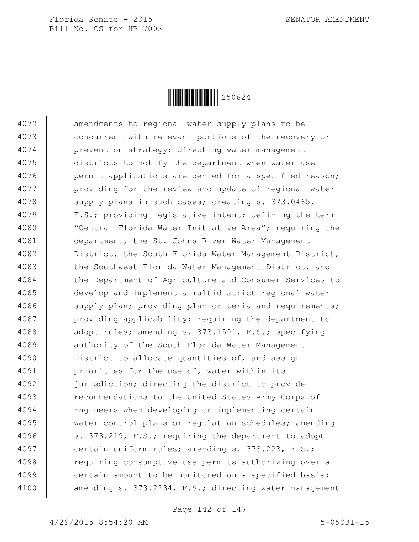

4072 amendments to regional water supply plans to be 4073 concurrent with relevant portions of the recovery or 4074 prevention strategy; directing water management 4075 districts to notify the department when water use 4076 | permit applications are denied for a specified reason; 4077 | providing for the review and update of regional water 4078 supply plans in such cases; creating s. 373.0465, 4079 F.S.; providing legislative intent; defining the term 4080 "Central Florida Water Initiative Area"; requiring the 4081 department, the St. Johns River Water Management 4082 District, the South Florida Water Management District, 4083 the Southwest Florida Water Management District, and 4084 the Department of Agriculture and Consumer Services to 4085 develop and implement a multidistrict regional water 4086 supply plan; providing plan criteria and requirements; 4087 providing applicability; requiring the department to 4088 adopt rules; amending s. 373.1501, F.S.; specifying 4089 | authority of the South Florida Water Management 4090 **District** to allocate quantities of, and assign 4091 priorities for the use of, water within its 4092 jurisdiction; directing the district to provide 4093 recommendations to the United States Army Corps of 4094 Engineers when developing or implementing certain 4095 water control plans or regulation schedules; amending 4096  $\vert$  s. 373.219, F.S.; requiring the department to adopt 4097 certain uniform rules; amending s. 373.223, F.S.; 4098 | requiring consumptive use permits authorizing over a 4099  $\vert$  certain amount to be monitored on a specified basis; 4100 | amending s. 373.2234, F.S.; directing water management

Page 142 of 147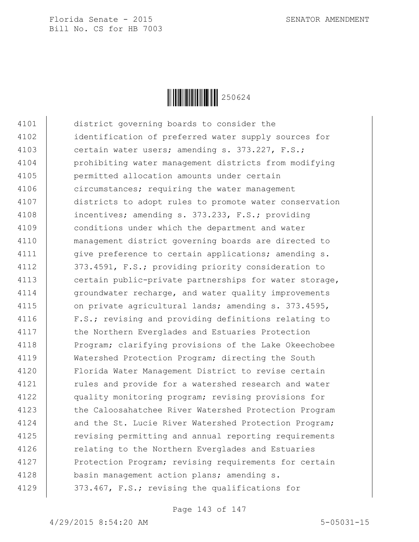

4101 district governing boards to consider the 4102 identification of preferred water supply sources for 4103 certain water users; amending s. 373.227, F.S.; 4104 prohibiting water management districts from modifying 4105 permitted allocation amounts under certain 4106 circumstances; requiring the water management 4107 districts to adopt rules to promote water conservation 4108 incentives; amending s. 373.233, F.S.; providing 4109 conditions under which the department and water 4110 management district governing boards are directed to 4111 | give preference to certain applications; amending s. 4112 | 373.4591, F.S.; providing priority consideration to 4113 **certain** public-private partnerships for water storage, 4114 | groundwater recharge, and water quality improvements 4115 | on private agricultural lands; amending s. 373.4595, 4116 | F.S.; revising and providing definitions relating to 4117 | the Northern Everglades and Estuaries Protection 4118 Program; clarifying provisions of the Lake Okeechobee 4119 Watershed Protection Program; directing the South 4120 Florida Water Management District to revise certain 4121 | rules and provide for a watershed research and water 4122 quality monitoring program; revising provisions for 4123 the Caloosahatchee River Watershed Protection Program 4124 and the St. Lucie River Watershed Protection Program; 4125 The revising permitting and annual reporting requirements 4126 Telating to the Northern Everglades and Estuaries 4127 | Protection Program; revising requirements for certain 4128 basin management action plans; amending s. 4129 | 373.467, F.S.; revising the qualifications for

Page 143 of 147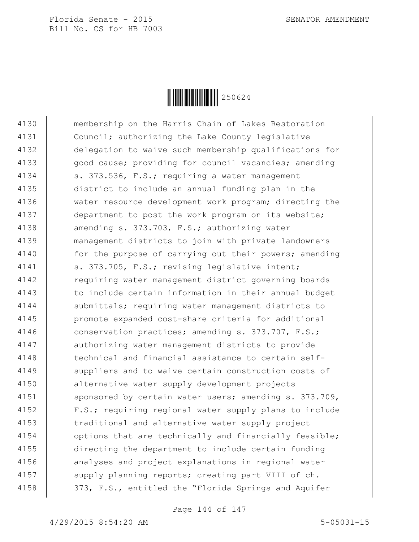

4130 membership on the Harris Chain of Lakes Restoration 4131 Council; authorizing the Lake County legislative 4132 delegation to waive such membership qualifications for 4133 | good cause; providing for council vacancies; amending 4134 | s. 373.536, F.S.; requiring a water management 4135 district to include an annual funding plan in the 4136 water resource development work program; directing the 4137 department to post the work program on its website; 4138 amending s. 373.703, F.S.; authorizing water 4139 management districts to join with private landowners 4140 | for the purpose of carrying out their powers; amending 4141 | s. 373.705, F.S.; revising legislative intent; 4142 | requiring water management district governing boards 4143 | to include certain information in their annual budget 4144 | submittals; requiring water management districts to 4145 promote expanded cost-share criteria for additional 4146 conservation practices; amending s. 373.707, F.S.; 4147 authorizing water management districts to provide 4148  $\vert$  technical and financial assistance to certain self-4149 | suppliers and to waive certain construction costs of 4150 alternative water supply development projects 4151 | sponsored by certain water users; amending s. 373.709, 4152 F.S.; requiring regional water supply plans to include 4153 **traditional and alternative water supply project** 4154 | options that are technically and financially feasible; 4155 directing the department to include certain funding 4156 | analyses and project explanations in regional water 4157 supply planning reports; creating part VIII of ch. 4158 | 373, F.S., entitled the "Florida Springs and Aquifer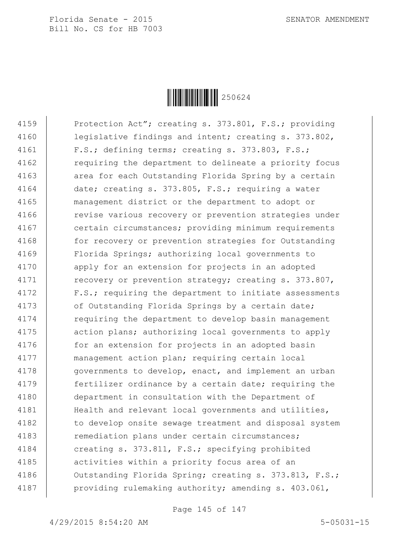Florida Senate - 2015 SENATOR AMENDMENT Bill No. CS for HB 7003



4159 Protection Act"; creating s. 373.801, F.S.; providing 4160 legislative findings and intent; creating s. 373.802, 4161 | F.S.; defining terms; creating s. 373.803, F.S.; 4162 **requiring the department to delineate a priority focus** 4163 | area for each Outstanding Florida Spring by a certain 4164 date; creating s. 373.805, F.S.; requiring a water 4165 management district or the department to adopt or 4166 | revise various recovery or prevention strategies under 4167 certain circumstances; providing minimum requirements 4168 | for recovery or prevention strategies for Outstanding 4169 Florida Springs; authorizing local governments to 4170 | apply for an extension for projects in an adopted 4171 | recovery or prevention strategy; creating s. 373.807, 4172 | F.S.; requiring the department to initiate assessments 4173 | of Outstanding Florida Springs by a certain date; 4174 Tequiring the department to develop basin management 4175 | action plans; authorizing local governments to apply 4176 | for an extension for projects in an adopted basin 4177 management action plan; requiring certain local 4178 | governments to develop, enact, and implement an urban 4179 **fertilizer ordinance by a certain date; requiring the** 4180 department in consultation with the Department of 4181 | Health and relevant local governments and utilities, 4182 | to develop onsite sewage treatment and disposal system 4183 | remediation plans under certain circumstances; 4184 creating s. 373.811, F.S.; specifying prohibited 4185 | activities within a priority focus area of an 4186 | Outstanding Florida Spring; creating s. 373.813, F.S.; 4187 | providing rulemaking authority; amending s. 403.061,

Page 145 of 147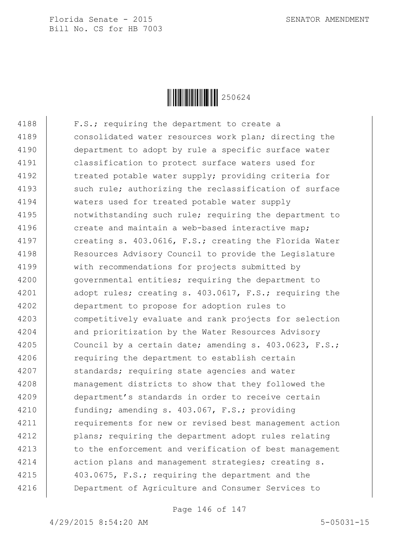Florida Senate - 2015 SENATOR AMENDMENT Bill No. CS for HB 7003



4188 | F.S.; requiring the department to create a 4189 consolidated water resources work plan; directing the 4190 department to adopt by rule a specific surface water 4191 classification to protect surface waters used for 4192 | treated potable water supply; providing criteria for 4193 such rule; authorizing the reclassification of surface 4194 waters used for treated potable water supply 4195 notwithstanding such rule; requiring the department to 4196 create and maintain a web-based interactive map; 4197 creating s. 403.0616, F.S.; creating the Florida Water 4198 Resources Advisory Council to provide the Legislature 4199 | with recommendations for projects submitted by 4200 | governmental entities; requiring the department to 4201 adopt rules; creating s. 403.0617, F.S.; requiring the 4202 department to propose for adoption rules to 4203 competitively evaluate and rank projects for selection 4204 and prioritization by the Water Resources Advisory 4205 Council by a certain date; amending s. 403.0623, F.S.; 4206 | requiring the department to establish certain 4207 | standards; requiring state agencies and water 4208 management districts to show that they followed the 4209 department's standards in order to receive certain 4210 | funding; amending s. 403.067, F.S.; providing 4211 | requirements for new or revised best management action 4212 **plans;** requiring the department adopt rules relating 4213 to the enforcement and verification of best management 4214 | action plans and management strategies; creating s. 4215  $\vert$  403.0675, F.S.; requiring the department and the 4216 Department of Agriculture and Consumer Services to

Page 146 of 147